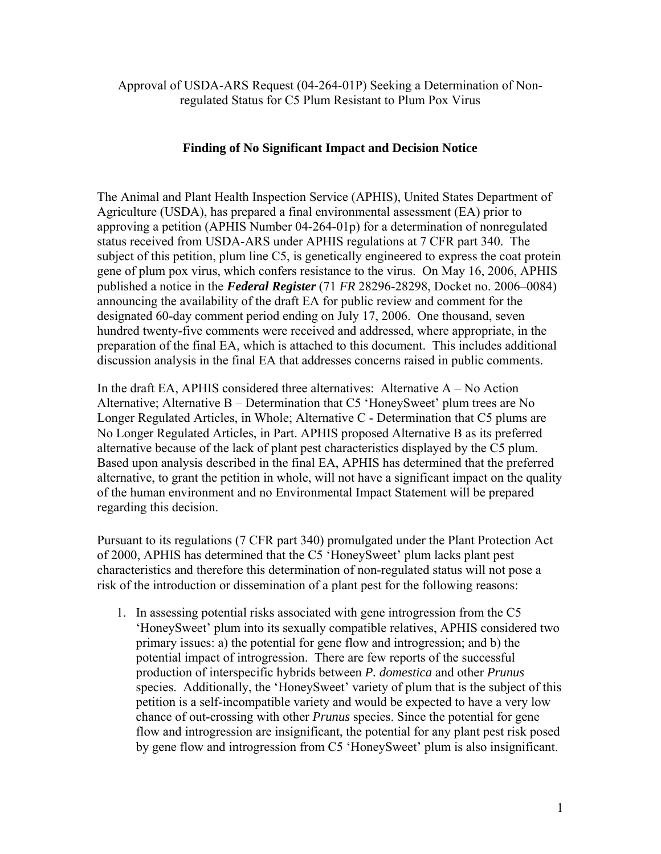Approval of USDA-ARS Request (04-264-01P) Seeking a Determination of Nonregulated Status for C5 Plum Resistant to Plum Pox Virus

### **Finding of No Significant Impact and Decision Notice**

The Animal and Plant Health Inspection Service (APHIS), United States Department of Agriculture (USDA), has prepared a final environmental assessment (EA) prior to approving a petition (APHIS Number 04-264-01p) for a determination of nonregulated status received from USDA-ARS under APHIS regulations at 7 CFR part 340. The subject of this petition, plum line C5, is genetically engineered to express the coat protein gene of plum pox virus, which confers resistance to the virus. On May 16, 2006, APHIS published a notice in the *Federal Register* (71 *FR* 28296-28298, Docket no. 2006–0084) announcing the availability of the draft EA for public review and comment for the designated 60-day comment period ending on July 17, 2006. One thousand, seven hundred twenty-five comments were received and addressed, where appropriate, in the preparation of the final EA, which is attached to this document. This includes additional discussion analysis in the final EA that addresses concerns raised in public comments.

In the draft EA, APHIS considered three alternatives: Alternative  $A - No$  Action Alternative; Alternative B – Determination that C5 'HoneySweet' plum trees are No Longer Regulated Articles, in Whole; Alternative C - Determination that C5 plums are No Longer Regulated Articles, in Part. APHIS proposed Alternative B as its preferred alternative because of the lack of plant pest characteristics displayed by the C5 plum. Based upon analysis described in the final EA, APHIS has determined that the preferred alternative, to grant the petition in whole, will not have a significant impact on the quality of the human environment and no Environmental Impact Statement will be prepared regarding this decision.

Pursuant to its regulations (7 CFR part 340) promulgated under the Plant Protection Act of 2000, APHIS has determined that the C5 'HoneySweet' plum lacks plant pest characteristics and therefore this determination of non-regulated status will not pose a risk of the introduction or dissemination of a plant pest for the following reasons:

1. In assessing potential risks associated with gene introgression from the C5 'HoneySweet' plum into its sexually compatible relatives, APHIS considered two primary issues: a) the potential for gene flow and introgression; and b) the potential impact of introgression. There are few reports of the successful production of interspecific hybrids between *P. domestica* and other *Prunus* species. Additionally, the 'HoneySweet' variety of plum that is the subject of this petition is a self-incompatible variety and would be expected to have a very low chance of out-crossing with other *Prunus* species. Since the potential for gene flow and introgression are insignificant, the potential for any plant pest risk posed by gene flow and introgression from C5 'HoneySweet' plum is also insignificant.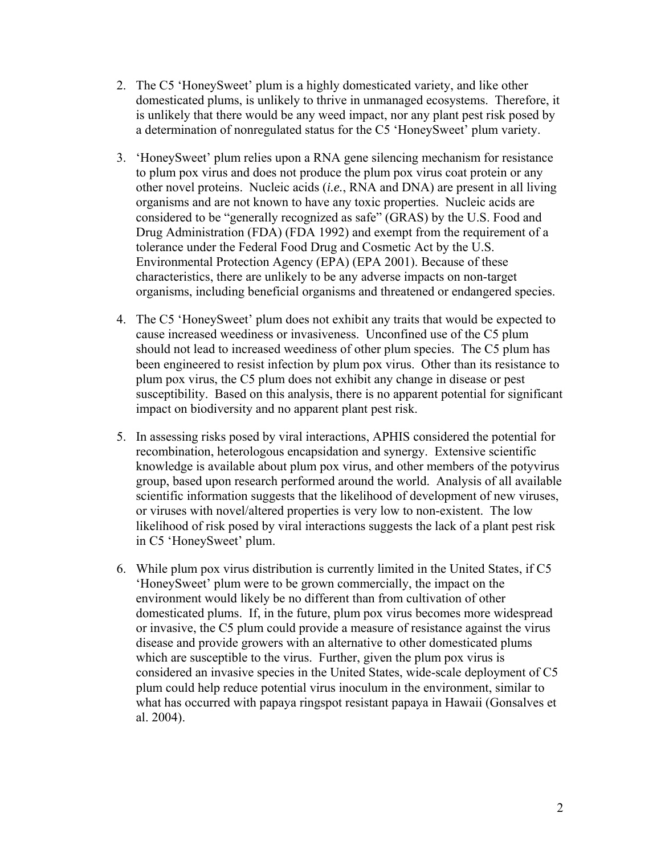- 2. The C5 'HoneySweet' plum is a highly domesticated variety, and like other domesticated plums, is unlikely to thrive in unmanaged ecosystems. Therefore, it is unlikely that there would be any weed impact, nor any plant pest risk posed by a determination of nonregulated status for the C5 'HoneySweet' plum variety.
- 3. 'HoneySweet' plum relies upon a RNA gene silencing mechanism for resistance to plum pox virus and does not produce the plum pox virus coat protein or any other novel proteins. Nucleic acids (*i.e.*, RNA and DNA) are present in all living organisms and are not known to have any toxic properties. Nucleic acids are considered to be "generally recognized as safe" (GRAS) by the U.S. Food and Drug Administration (FDA) (FDA 1992) and exempt from the requirement of a tolerance under the Federal Food Drug and Cosmetic Act by the U.S. Environmental Protection Agency (EPA) (EPA 2001). Because of these characteristics, there are unlikely to be any adverse impacts on non-target organisms, including beneficial organisms and threatened or endangered species.
- 4. The C5 'HoneySweet' plum does not exhibit any traits that would be expected to cause increased weediness or invasiveness. Unconfined use of the C5 plum should not lead to increased weediness of other plum species. The C5 plum has been engineered to resist infection by plum pox virus. Other than its resistance to plum pox virus, the C5 plum does not exhibit any change in disease or pest susceptibility. Based on this analysis, there is no apparent potential for significant impact on biodiversity and no apparent plant pest risk.
- 5. In assessing risks posed by viral interactions, APHIS considered the potential for recombination, heterologous encapsidation and synergy. Extensive scientific knowledge is available about plum pox virus, and other members of the potyvirus group, based upon research performed around the world. Analysis of all available scientific information suggests that the likelihood of development of new viruses, or viruses with novel/altered properties is very low to non-existent. The low likelihood of risk posed by viral interactions suggests the lack of a plant pest risk in C5 'HoneySweet' plum.
- 6. While plum pox virus distribution is currently limited in the United States, if C5 'HoneySweet' plum were to be grown commercially, the impact on the environment would likely be no different than from cultivation of other domesticated plums. If, in the future, plum pox virus becomes more widespread or invasive, the C5 plum could provide a measure of resistance against the virus disease and provide growers with an alternative to other domesticated plums which are susceptible to the virus. Further, given the plum pox virus is considered an invasive species in the United States, wide-scale deployment of C5 plum could help reduce potential virus inoculum in the environment, similar to what has occurred with papaya ringspot resistant papaya in Hawaii (Gonsalves et al. 2004).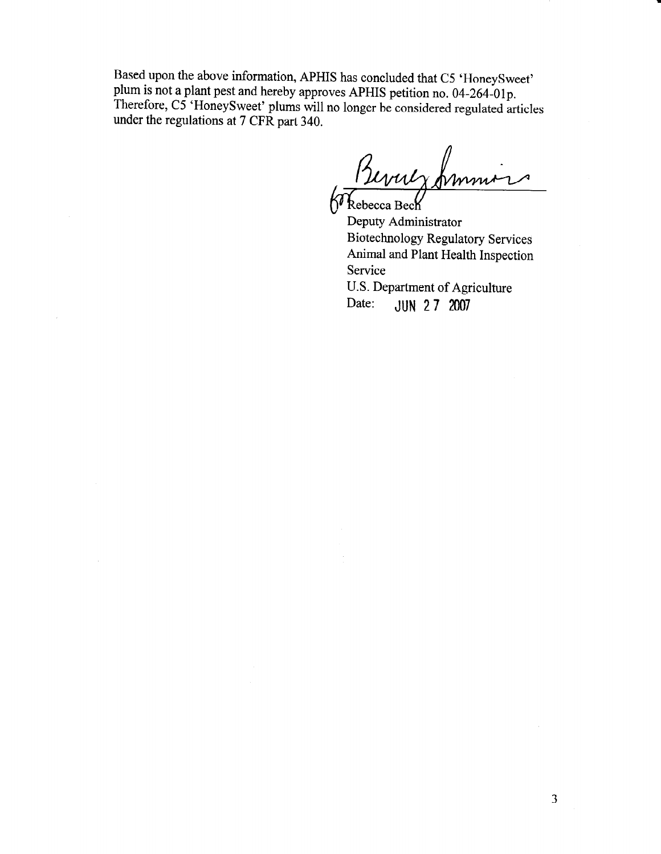Based upon the above information, APHIS has concluded that C5 'HoneySweet' plum is not a plant pest and hereby approves APHIS petition no. 04-264-01p. Therefore, C5 'HoneySweet' plums will no longer be considered regulated articles under the regulations at 7 CFR part 340.

Bevuly from

Deputy Administrator **Biotechnology Regulatory Services** Animal and Plant Health Inspection Service U.S. Department of Agriculture JUN 27 2007 Date: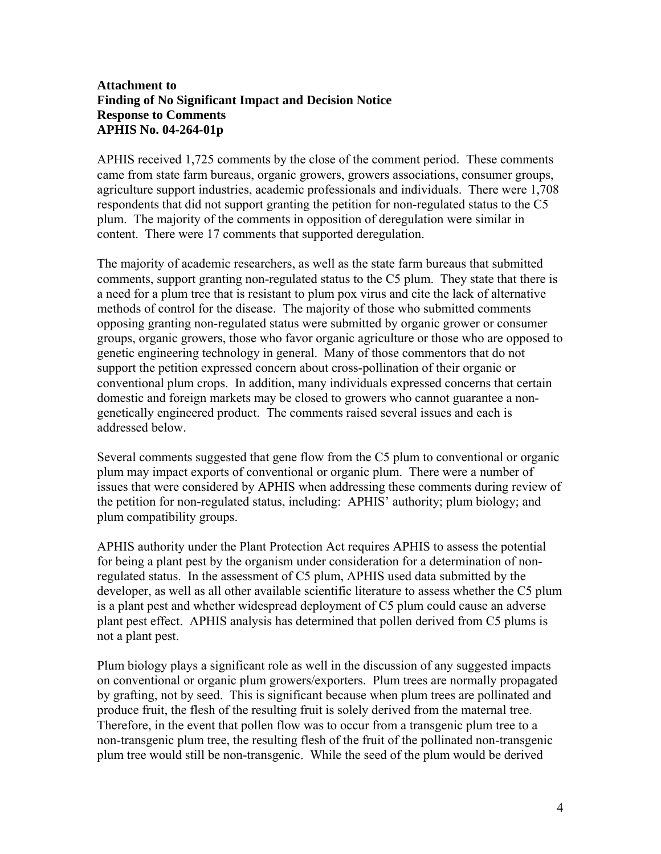### **Attachment to Finding of No Significant Impact and Decision Notice Response to Comments APHIS No. 04-264-01p**

APHIS received 1,725 comments by the close of the comment period. These comments came from state farm bureaus, organic growers, growers associations, consumer groups, agriculture support industries, academic professionals and individuals. There were 1,708 respondents that did not support granting the petition for non-regulated status to the C5 plum. The majority of the comments in opposition of deregulation were similar in content. There were 17 comments that supported deregulation.

The majority of academic researchers, as well as the state farm bureaus that submitted comments, support granting non-regulated status to the C5 plum. They state that there is a need for a plum tree that is resistant to plum pox virus and cite the lack of alternative methods of control for the disease. The majority of those who submitted comments opposing granting non-regulated status were submitted by organic grower or consumer groups, organic growers, those who favor organic agriculture or those who are opposed to genetic engineering technology in general. Many of those commentors that do not support the petition expressed concern about cross-pollination of their organic or conventional plum crops. In addition, many individuals expressed concerns that certain domestic and foreign markets may be closed to growers who cannot guarantee a nongenetically engineered product. The comments raised several issues and each is addressed below.

Several comments suggested that gene flow from the C5 plum to conventional or organic plum may impact exports of conventional or organic plum. There were a number of issues that were considered by APHIS when addressing these comments during review of the petition for non-regulated status, including: APHIS' authority; plum biology; and plum compatibility groups.

APHIS authority under the Plant Protection Act requires APHIS to assess the potential for being a plant pest by the organism under consideration for a determination of nonregulated status. In the assessment of C5 plum, APHIS used data submitted by the developer, as well as all other available scientific literature to assess whether the C5 plum is a plant pest and whether widespread deployment of C5 plum could cause an adverse plant pest effect. APHIS analysis has determined that pollen derived from C5 plums is not a plant pest.

Plum biology plays a significant role as well in the discussion of any suggested impacts on conventional or organic plum growers/exporters. Plum trees are normally propagated by grafting, not by seed. This is significant because when plum trees are pollinated and produce fruit, the flesh of the resulting fruit is solely derived from the maternal tree. Therefore, in the event that pollen flow was to occur from a transgenic plum tree to a non-transgenic plum tree, the resulting flesh of the fruit of the pollinated non-transgenic plum tree would still be non-transgenic. While the seed of the plum would be derived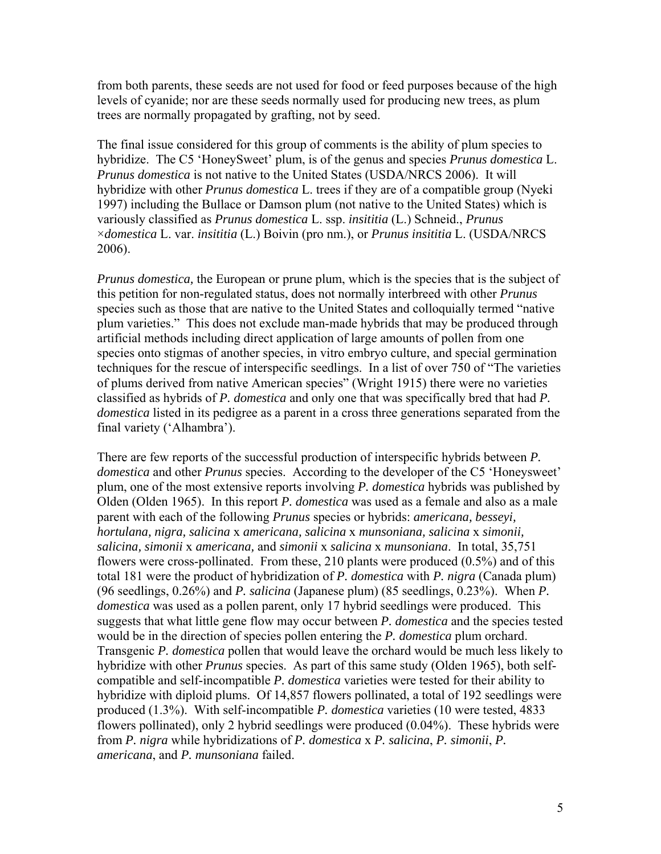from both parents, these seeds are not used for food or feed purposes because of the high levels of cyanide; nor are these seeds normally used for producing new trees, as plum trees are normally propagated by grafting, not by seed.

The final issue considered for this group of comments is the ability of plum species to hybridize. The C5 'HoneySweet' plum, is of the genus and species *Prunus domestica* L. *Prunus domestica* is not native to the United States (USDA/NRCS 2006). It will hybridize with other *Prunus domestica* L. trees if they are of a compatible group (Nyeki 1997) including the Bullace or Damson plum (not native to the United States) which is variously classified as *Prunus domestica* L. ssp. *insititia* (L.) Schneid., *Prunus* ×*domestica* L. var. *insititia* (L.) Boivin (pro nm.), or *Prunus insititia* L. (USDA/NRCS 2006).

*Prunus domestica,* the European or prune plum, which is the species that is the subject of this petition for non-regulated status, does not normally interbreed with other *Prunus*  species such as those that are native to the United States and colloquially termed "native plum varieties." This does not exclude man-made hybrids that may be produced through artificial methods including direct application of large amounts of pollen from one species onto stigmas of another species, in vitro embryo culture, and special germination techniques for the rescue of interspecific seedlings. In a list of over 750 of "The varieties of plums derived from native American species" (Wright 1915) there were no varieties classified as hybrids of *P. domestica* and only one that was specifically bred that had *P. domestica* listed in its pedigree as a parent in a cross three generations separated from the final variety ('Alhambra').

There are few reports of the successful production of interspecific hybrids between *P. domestica* and other *Prunus* species. According to the developer of the C5 'Honeysweet' plum, one of the most extensive reports involving *P. domestica* hybrids was published by Olden (Olden 1965). In this report *P. domestica* was used as a female and also as a male parent with each of the following *Prunus* species or hybrids: *americana, besseyi, hortulana, nigra, salicina* x *americana, salicina* x *munsoniana, salicina* x *simonii, salicina, simonii* x *americana,* and *simonii* x *salicina* x *munsoniana*. In total, 35,751 flowers were cross-pollinated. From these, 210 plants were produced (0.5%) and of this total 181 were the product of hybridization of *P. domestica* with *P. nigra* (Canada plum) (96 seedlings, 0.26%) and *P. salicina* (Japanese plum) (85 seedlings, 0.23%). When *P. domestica* was used as a pollen parent, only 17 hybrid seedlings were produced. This suggests that what little gene flow may occur between *P. domestica* and the species tested would be in the direction of species pollen entering the *P. domestica* plum orchard. Transgenic *P. domestica* pollen that would leave the orchard would be much less likely to hybridize with other *Prunus* species. As part of this same study (Olden 1965), both selfcompatible and self-incompatible *P. domestica* varieties were tested for their ability to hybridize with diploid plums. Of 14,857 flowers pollinated, a total of 192 seedlings were produced (1.3%). With self-incompatible *P. domestica* varieties (10 were tested, 4833 flowers pollinated), only 2 hybrid seedlings were produced (0.04%). These hybrids were from *P. nigra* while hybridizations of *P. domestica* x *P. salicina*, *P. simonii*, *P. americana*, and *P. munsoniana* failed.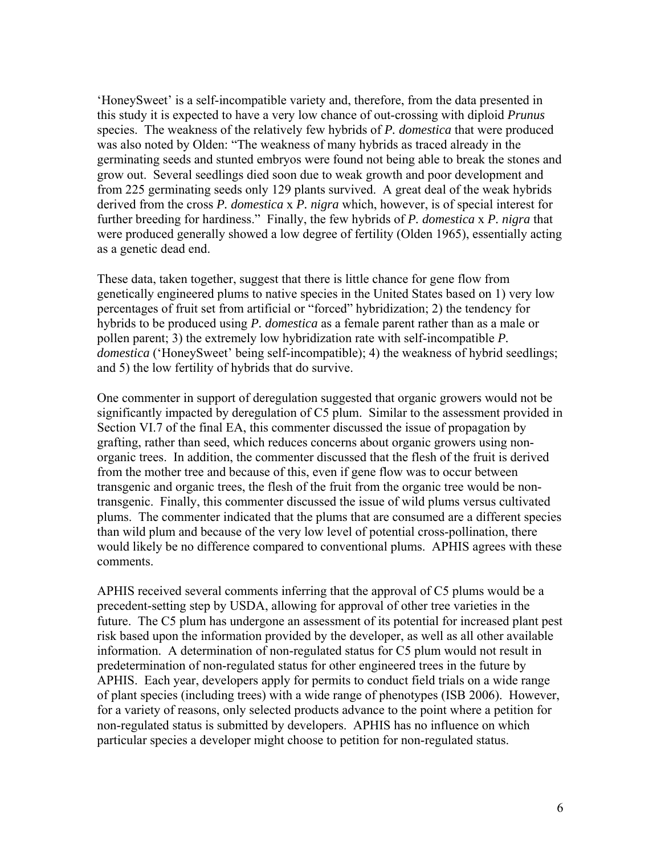'HoneySweet' is a self-incompatible variety and, therefore, from the data presented in this study it is expected to have a very low chance of out-crossing with diploid *Prunus* species. The weakness of the relatively few hybrids of *P. domestica* that were produced was also noted by Olden: "The weakness of many hybrids as traced already in the germinating seeds and stunted embryos were found not being able to break the stones and grow out. Several seedlings died soon due to weak growth and poor development and from 225 germinating seeds only 129 plants survived. A great deal of the weak hybrids derived from the cross *P. domestica* x *P. nigra* which, however, is of special interest for further breeding for hardiness." Finally, the few hybrids of *P. domestica* x *P. nigra* that were produced generally showed a low degree of fertility (Olden 1965), essentially acting as a genetic dead end.

These data, taken together, suggest that there is little chance for gene flow from genetically engineered plums to native species in the United States based on 1) very low percentages of fruit set from artificial or "forced" hybridization; 2) the tendency for hybrids to be produced using *P. domestica* as a female parent rather than as a male or pollen parent; 3) the extremely low hybridization rate with self-incompatible *P. domestica* ('HoneySweet' being self-incompatible); 4) the weakness of hybrid seedlings; and 5) the low fertility of hybrids that do survive.

One commenter in support of deregulation suggested that organic growers would not be significantly impacted by deregulation of C5 plum. Similar to the assessment provided in Section VI.7 of the final EA, this commenter discussed the issue of propagation by grafting, rather than seed, which reduces concerns about organic growers using nonorganic trees. In addition, the commenter discussed that the flesh of the fruit is derived from the mother tree and because of this, even if gene flow was to occur between transgenic and organic trees, the flesh of the fruit from the organic tree would be nontransgenic. Finally, this commenter discussed the issue of wild plums versus cultivated plums. The commenter indicated that the plums that are consumed are a different species than wild plum and because of the very low level of potential cross-pollination, there would likely be no difference compared to conventional plums. APHIS agrees with these comments.

APHIS received several comments inferring that the approval of C5 plums would be a precedent-setting step by USDA, allowing for approval of other tree varieties in the future. The C5 plum has undergone an assessment of its potential for increased plant pest risk based upon the information provided by the developer, as well as all other available information. A determination of non-regulated status for C5 plum would not result in predetermination of non-regulated status for other engineered trees in the future by APHIS. Each year, developers apply for permits to conduct field trials on a wide range of plant species (including trees) with a wide range of phenotypes (ISB 2006). However, for a variety of reasons, only selected products advance to the point where a petition for non-regulated status is submitted by developers. APHIS has no influence on which particular species a developer might choose to petition for non-regulated status.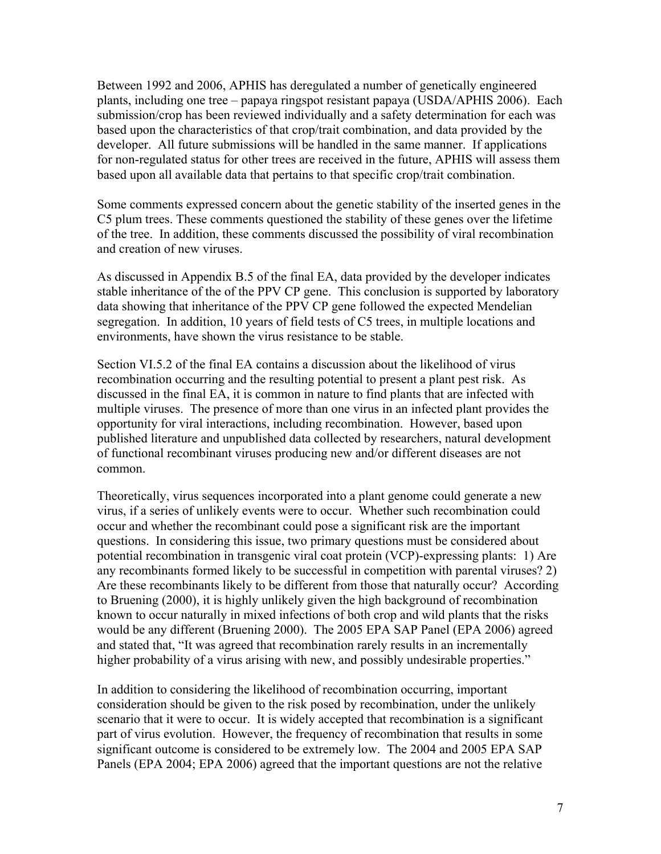Between 1992 and 2006, APHIS has deregulated a number of genetically engineered plants, including one tree – papaya ringspot resistant papaya (USDA/APHIS 2006). Each submission/crop has been reviewed individually and a safety determination for each was based upon the characteristics of that crop/trait combination, and data provided by the developer. All future submissions will be handled in the same manner. If applications for non-regulated status for other trees are received in the future, APHIS will assess them based upon all available data that pertains to that specific crop/trait combination.

Some comments expressed concern about the genetic stability of the inserted genes in the C5 plum trees. These comments questioned the stability of these genes over the lifetime of the tree. In addition, these comments discussed the possibility of viral recombination and creation of new viruses.

As discussed in Appendix B.5 of the final EA, data provided by the developer indicates stable inheritance of the of the PPV CP gene. This conclusion is supported by laboratory data showing that inheritance of the PPV CP gene followed the expected Mendelian segregation. In addition, 10 years of field tests of C5 trees, in multiple locations and environments, have shown the virus resistance to be stable.

Section VI.5.2 of the final EA contains a discussion about the likelihood of virus recombination occurring and the resulting potential to present a plant pest risk. As discussed in the final EA, it is common in nature to find plants that are infected with multiple viruses. The presence of more than one virus in an infected plant provides the opportunity for viral interactions, including recombination. However, based upon published literature and unpublished data collected by researchers, natural development of functional recombinant viruses producing new and/or different diseases are not common.

Theoretically, virus sequences incorporated into a plant genome could generate a new virus, if a series of unlikely events were to occur. Whether such recombination could occur and whether the recombinant could pose a significant risk are the important questions. In considering this issue, two primary questions must be considered about potential recombination in transgenic viral coat protein (VCP)-expressing plants: 1) Are any recombinants formed likely to be successful in competition with parental viruses? 2) Are these recombinants likely to be different from those that naturally occur? According to Bruening (2000), it is highly unlikely given the high background of recombination known to occur naturally in mixed infections of both crop and wild plants that the risks would be any different (Bruening 2000). The 2005 EPA SAP Panel (EPA 2006) agreed and stated that, "It was agreed that recombination rarely results in an incrementally higher probability of a virus arising with new, and possibly undesirable properties."

In addition to considering the likelihood of recombination occurring, important consideration should be given to the risk posed by recombination, under the unlikely scenario that it were to occur. It is widely accepted that recombination is a significant part of virus evolution. However, the frequency of recombination that results in some significant outcome is considered to be extremely low. The 2004 and 2005 EPA SAP Panels (EPA 2004; EPA 2006) agreed that the important questions are not the relative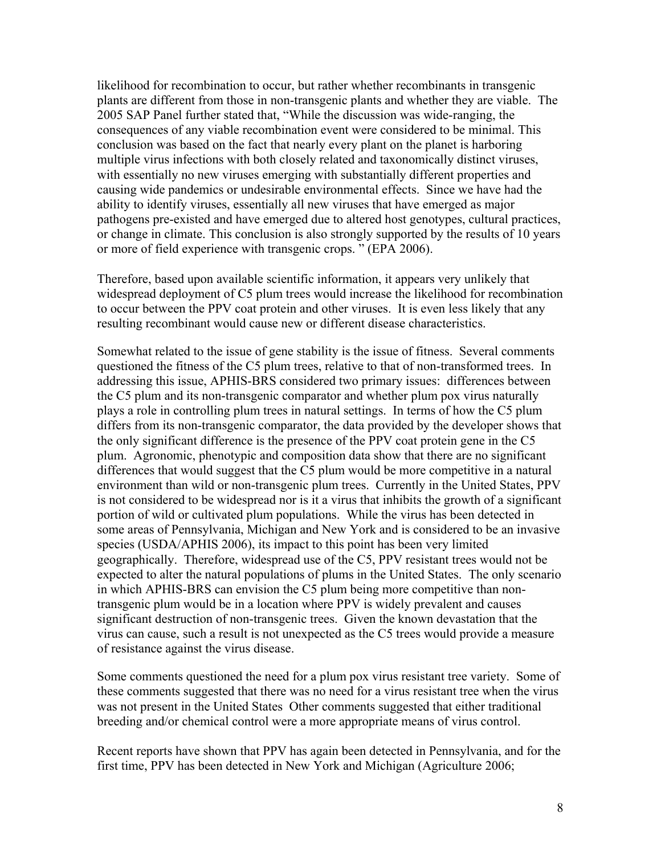likelihood for recombination to occur, but rather whether recombinants in transgenic plants are different from those in non-transgenic plants and whether they are viable. The 2005 SAP Panel further stated that, "While the discussion was wide-ranging, the consequences of any viable recombination event were considered to be minimal. This conclusion was based on the fact that nearly every plant on the planet is harboring multiple virus infections with both closely related and taxonomically distinct viruses, with essentially no new viruses emerging with substantially different properties and causing wide pandemics or undesirable environmental effects. Since we have had the ability to identify viruses, essentially all new viruses that have emerged as major pathogens pre-existed and have emerged due to altered host genotypes, cultural practices, or change in climate. This conclusion is also strongly supported by the results of 10 years or more of field experience with transgenic crops. " (EPA 2006).

Therefore, based upon available scientific information, it appears very unlikely that widespread deployment of C5 plum trees would increase the likelihood for recombination to occur between the PPV coat protein and other viruses. It is even less likely that any resulting recombinant would cause new or different disease characteristics.

Somewhat related to the issue of gene stability is the issue of fitness. Several comments questioned the fitness of the C5 plum trees, relative to that of non-transformed trees. In addressing this issue, APHIS-BRS considered two primary issues: differences between the C5 plum and its non-transgenic comparator and whether plum pox virus naturally plays a role in controlling plum trees in natural settings. In terms of how the C5 plum differs from its non-transgenic comparator, the data provided by the developer shows that the only significant difference is the presence of the PPV coat protein gene in the C5 plum. Agronomic, phenotypic and composition data show that there are no significant differences that would suggest that the C5 plum would be more competitive in a natural environment than wild or non-transgenic plum trees. Currently in the United States, PPV is not considered to be widespread nor is it a virus that inhibits the growth of a significant portion of wild or cultivated plum populations. While the virus has been detected in some areas of Pennsylvania, Michigan and New York and is considered to be an invasive species (USDA/APHIS 2006), its impact to this point has been very limited geographically. Therefore, widespread use of the C5, PPV resistant trees would not be expected to alter the natural populations of plums in the United States. The only scenario in which APHIS-BRS can envision the C5 plum being more competitive than nontransgenic plum would be in a location where PPV is widely prevalent and causes significant destruction of non-transgenic trees. Given the known devastation that the virus can cause, such a result is not unexpected as the C5 trees would provide a measure of resistance against the virus disease.

Some comments questioned the need for a plum pox virus resistant tree variety. Some of these comments suggested that there was no need for a virus resistant tree when the virus was not present in the United States Other comments suggested that either traditional breeding and/or chemical control were a more appropriate means of virus control.

Recent reports have shown that PPV has again been detected in Pennsylvania, and for the first time, PPV has been detected in New York and Michigan (Agriculture 2006;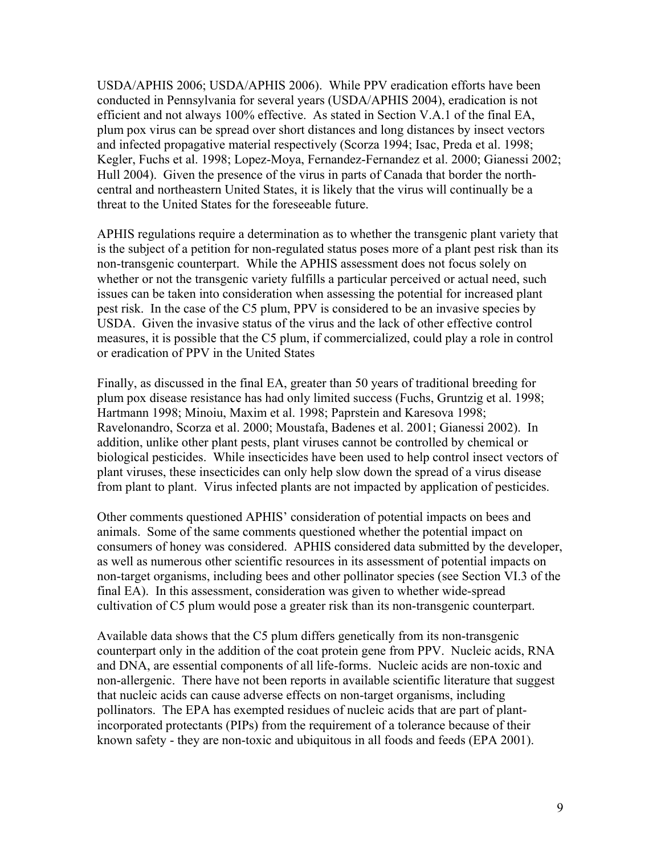USDA/APHIS 2006; USDA/APHIS 2006). While PPV eradication efforts have been conducted in Pennsylvania for several years (USDA/APHIS 2004), eradication is not efficient and not always 100% effective. As stated in Section V.A.1 of the final EA, plum pox virus can be spread over short distances and long distances by insect vectors and infected propagative material respectively (Scorza 1994; Isac, Preda et al. 1998; Kegler, Fuchs et al. 1998; Lopez-Moya, Fernandez-Fernandez et al. 2000; Gianessi 2002; Hull 2004). Given the presence of the virus in parts of Canada that border the northcentral and northeastern United States, it is likely that the virus will continually be a threat to the United States for the foreseeable future.

APHIS regulations require a determination as to whether the transgenic plant variety that is the subject of a petition for non-regulated status poses more of a plant pest risk than its non-transgenic counterpart. While the APHIS assessment does not focus solely on whether or not the transgenic variety fulfills a particular perceived or actual need, such issues can be taken into consideration when assessing the potential for increased plant pest risk. In the case of the C5 plum, PPV is considered to be an invasive species by USDA. Given the invasive status of the virus and the lack of other effective control measures, it is possible that the C5 plum, if commercialized, could play a role in control or eradication of PPV in the United States

Finally, as discussed in the final EA, greater than 50 years of traditional breeding for plum pox disease resistance has had only limited success (Fuchs, Gruntzig et al. 1998; Hartmann 1998; Minoiu, Maxim et al. 1998; Paprstein and Karesova 1998; Ravelonandro, Scorza et al. 2000; Moustafa, Badenes et al. 2001; Gianessi 2002). In addition, unlike other plant pests, plant viruses cannot be controlled by chemical or biological pesticides. While insecticides have been used to help control insect vectors of plant viruses, these insecticides can only help slow down the spread of a virus disease from plant to plant. Virus infected plants are not impacted by application of pesticides.

Other comments questioned APHIS' consideration of potential impacts on bees and animals. Some of the same comments questioned whether the potential impact on consumers of honey was considered. APHIS considered data submitted by the developer, as well as numerous other scientific resources in its assessment of potential impacts on non-target organisms, including bees and other pollinator species (see Section VI.3 of the final EA). In this assessment, consideration was given to whether wide-spread cultivation of C5 plum would pose a greater risk than its non-transgenic counterpart.

Available data shows that the C5 plum differs genetically from its non-transgenic counterpart only in the addition of the coat protein gene from PPV. Nucleic acids, RNA and DNA, are essential components of all life-forms. Nucleic acids are non-toxic and non-allergenic. There have not been reports in available scientific literature that suggest that nucleic acids can cause adverse effects on non-target organisms, including pollinators. The EPA has exempted residues of nucleic acids that are part of plantincorporated protectants (PIPs) from the requirement of a tolerance because of their known safety - they are non-toxic and ubiquitous in all foods and feeds (EPA 2001).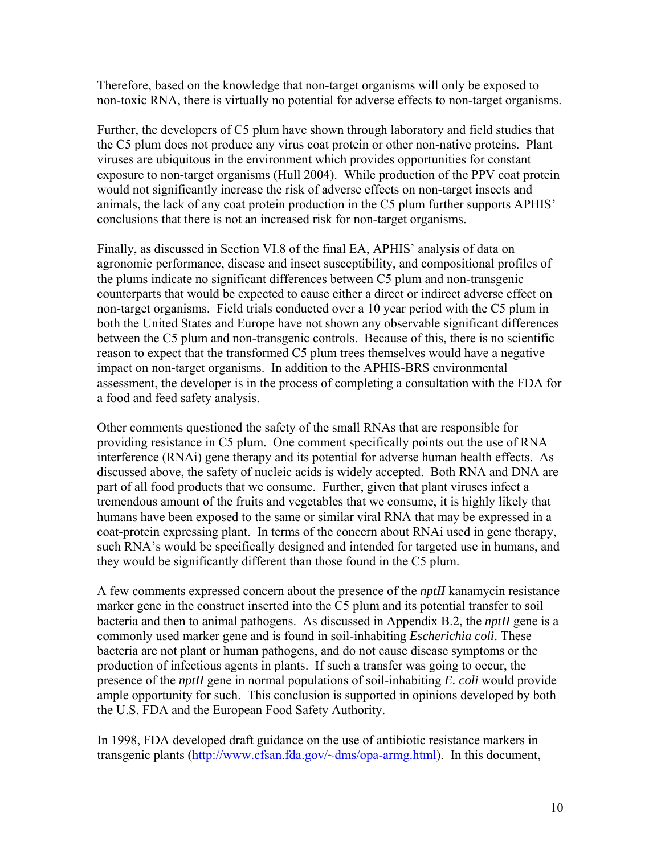Therefore, based on the knowledge that non-target organisms will only be exposed to non-toxic RNA, there is virtually no potential for adverse effects to non-target organisms.

Further, the developers of C5 plum have shown through laboratory and field studies that the C5 plum does not produce any virus coat protein or other non-native proteins. Plant viruses are ubiquitous in the environment which provides opportunities for constant exposure to non-target organisms (Hull 2004). While production of the PPV coat protein would not significantly increase the risk of adverse effects on non-target insects and animals, the lack of any coat protein production in the C5 plum further supports APHIS' conclusions that there is not an increased risk for non-target organisms.

Finally, as discussed in Section VI.8 of the final EA, APHIS' analysis of data on agronomic performance, disease and insect susceptibility, and compositional profiles of the plums indicate no significant differences between C5 plum and non-transgenic counterparts that would be expected to cause either a direct or indirect adverse effect on non-target organisms. Field trials conducted over a 10 year period with the C5 plum in both the United States and Europe have not shown any observable significant differences between the C5 plum and non-transgenic controls. Because of this, there is no scientific reason to expect that the transformed C5 plum trees themselves would have a negative impact on non-target organisms. In addition to the APHIS-BRS environmental assessment, the developer is in the process of completing a consultation with the FDA for a food and feed safety analysis.

Other comments questioned the safety of the small RNAs that are responsible for providing resistance in C5 plum. One comment specifically points out the use of RNA interference (RNAi) gene therapy and its potential for adverse human health effects. As discussed above, the safety of nucleic acids is widely accepted. Both RNA and DNA are part of all food products that we consume. Further, given that plant viruses infect a tremendous amount of the fruits and vegetables that we consume, it is highly likely that humans have been exposed to the same or similar viral RNA that may be expressed in a coat-protein expressing plant. In terms of the concern about RNAi used in gene therapy, such RNA's would be specifically designed and intended for targeted use in humans, and they would be significantly different than those found in the C5 plum.

A few comments expressed concern about the presence of the *nptII* kanamycin resistance marker gene in the construct inserted into the C5 plum and its potential transfer to soil bacteria and then to animal pathogens. As discussed in Appendix B.2, the *nptII* gene is a commonly used marker gene and is found in soil-inhabiting *Escherichia coli*. These bacteria are not plant or human pathogens, and do not cause disease symptoms or the production of infectious agents in plants. If such a transfer was going to occur, the presence of the *nptII* gene in normal populations of soil-inhabiting *E. coli* would provide ample opportunity for such. This conclusion is supported in opinions developed by both the U.S. FDA and the European Food Safety Authority.

In 1998, FDA developed draft guidance on the use of antibiotic resistance markers in transgenic plants [\(http://www.cfsan.fda.gov/~dms/opa-armg.html](http://www.cfsan.fda.gov/%7Edms/opa-armg.html)). In this document,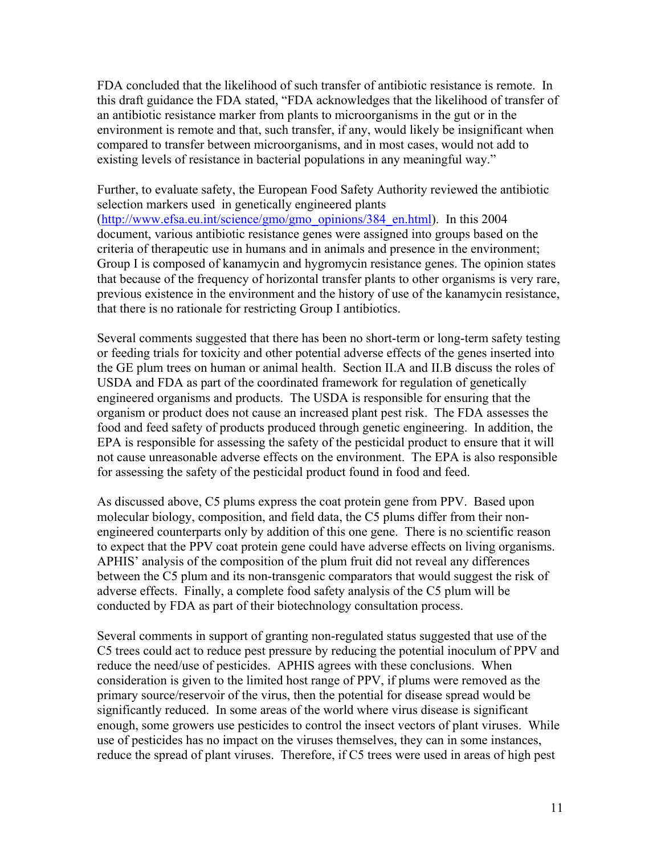FDA concluded that the likelihood of such transfer of antibiotic resistance is remote. In this draft guidance the FDA stated, "FDA acknowledges that the likelihood of transfer of an antibiotic resistance marker from plants to microorganisms in the gut or in the environment is remote and that, such transfer, if any, would likely be insignificant when compared to transfer between microorganisms, and in most cases, would not add to existing levels of resistance in bacterial populations in any meaningful way."

Further, to evaluate safety, the European Food Safety Authority reviewed the antibiotic selection markers used in genetically engineered plants (http://www.efsa.eu.int/science/gmo/gmo\_opinions/384\_en.html). In this 2004 document, various antibiotic resistance genes were assigned into groups based on the criteria of therapeutic use in humans and in animals and presence in the environment; Group I is composed of kanamycin and hygromycin resistance genes. The opinion states that because of the frequency of horizontal transfer plants to other organisms is very rare, previous existence in the environment and the history of use of the kanamycin resistance, that there is no rationale for restricting Group I antibiotics.

Several comments suggested that there has been no short-term or long-term safety testing or feeding trials for toxicity and other potential adverse effects of the genes inserted into the GE plum trees on human or animal health. Section II.A and II.B discuss the roles of USDA and FDA as part of the coordinated framework for regulation of genetically engineered organisms and products. The USDA is responsible for ensuring that the organism or product does not cause an increased plant pest risk. The FDA assesses the food and feed safety of products produced through genetic engineering. In addition, the EPA is responsible for assessing the safety of the pesticidal product to ensure that it will not cause unreasonable adverse effects on the environment. The EPA is also responsible for assessing the safety of the pesticidal product found in food and feed.

As discussed above, C5 plums express the coat protein gene from PPV. Based upon molecular biology, composition, and field data, the C5 plums differ from their nonengineered counterparts only by addition of this one gene. There is no scientific reason to expect that the PPV coat protein gene could have adverse effects on living organisms. APHIS' analysis of the composition of the plum fruit did not reveal any differences between the C5 plum and its non-transgenic comparators that would suggest the risk of adverse effects. Finally, a complete food safety analysis of the C5 plum will be conducted by FDA as part of their biotechnology consultation process.

Several comments in support of granting non-regulated status suggested that use of the C5 trees could act to reduce pest pressure by reducing the potential inoculum of PPV and reduce the need/use of pesticides. APHIS agrees with these conclusions. When consideration is given to the limited host range of PPV, if plums were removed as the primary source/reservoir of the virus, then the potential for disease spread would be significantly reduced. In some areas of the world where virus disease is significant enough, some growers use pesticides to control the insect vectors of plant viruses. While use of pesticides has no impact on the viruses themselves, they can in some instances, reduce the spread of plant viruses. Therefore, if C5 trees were used in areas of high pest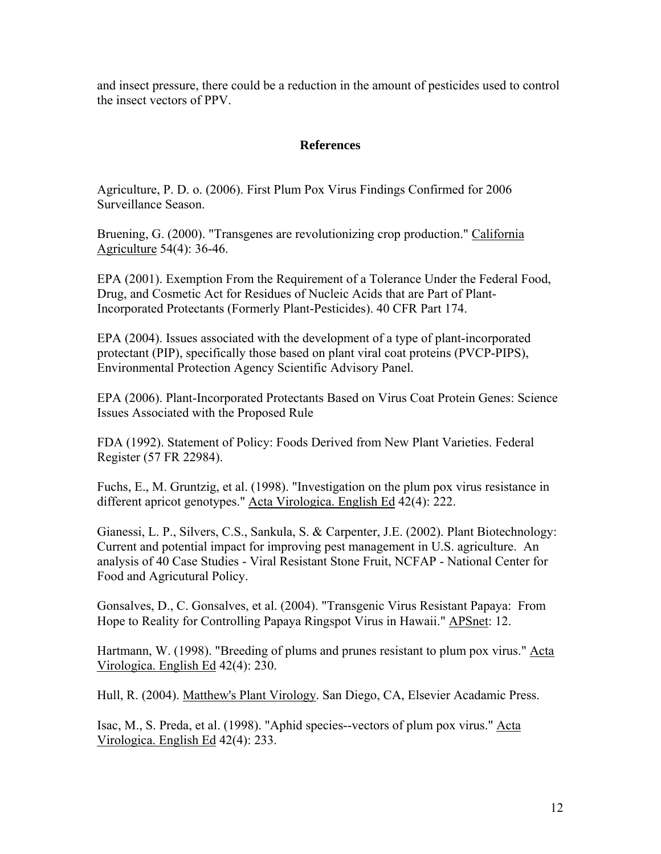and insect pressure, there could be a reduction in the amount of pesticides used to control the insect vectors of PPV.

### **References**

Agriculture, P. D. o. (2006). First Plum Pox Virus Findings Confirmed for 2006 Surveillance Season.

Bruening, G. (2000). "Transgenes are revolutionizing crop production." California Agriculture 54(4): 36-46.

EPA (2001). Exemption From the Requirement of a Tolerance Under the Federal Food, Drug, and Cosmetic Act for Residues of Nucleic Acids that are Part of Plant-Incorporated Protectants (Formerly Plant-Pesticides). 40 CFR Part 174.

EPA (2004). Issues associated with the development of a type of plant-incorporated protectant (PIP), specifically those based on plant viral coat proteins (PVCP-PIPS), Environmental Protection Agency Scientific Advisory Panel.

EPA (2006). Plant-Incorporated Protectants Based on Virus Coat Protein Genes: Science Issues Associated with the Proposed Rule

FDA (1992). Statement of Policy: Foods Derived from New Plant Varieties. Federal Register (57 FR 22984).

Fuchs, E., M. Gruntzig, et al. (1998). "Investigation on the plum pox virus resistance in different apricot genotypes." Acta Virologica. English Ed 42(4): 222.

Gianessi, L. P., Silvers, C.S., Sankula, S. & Carpenter, J.E. (2002). Plant Biotechnology: Current and potential impact for improving pest management in U.S. agriculture. An analysis of 40 Case Studies - Viral Resistant Stone Fruit, NCFAP - National Center for Food and Agricutural Policy.

Gonsalves, D., C. Gonsalves, et al. (2004). "Transgenic Virus Resistant Papaya: From Hope to Reality for Controlling Papaya Ringspot Virus in Hawaii." **APSnet: 12.** 

Hartmann, W. (1998). "Breeding of plums and prunes resistant to plum pox virus." Acta Virologica. English Ed 42(4): 230.

Hull, R. (2004). Matthew's Plant Virology. San Diego, CA, Elsevier Acadamic Press.

Isac, M., S. Preda, et al. (1998). "Aphid species--vectors of plum pox virus." Acta Virologica. English Ed 42(4): 233.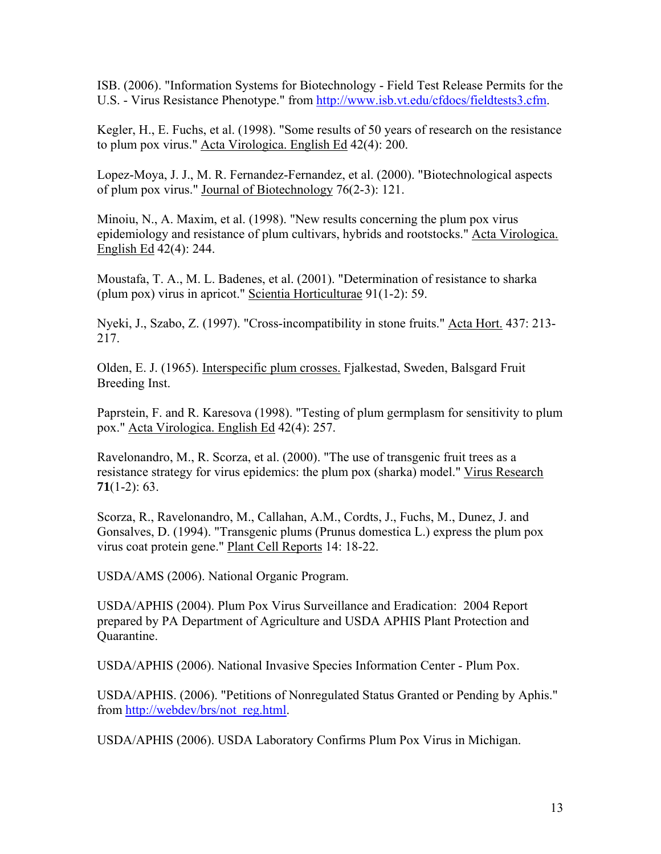ISB. (2006). "Information Systems for Biotechnology - Field Test Release Permits for the U.S. - Virus Resistance Phenotype." from [http://www.isb.vt.edu/cfdocs/fieldtests3.cfm.](http://www.isb.vt.edu/cfdocs/fieldtests3.cfm)

Kegler, H., E. Fuchs, et al. (1998). "Some results of 50 years of research on the resistance to plum pox virus." Acta Virologica. English Ed 42(4): 200.

Lopez-Moya, J. J., M. R. Fernandez-Fernandez, et al. (2000). "Biotechnological aspects of plum pox virus." Journal of Biotechnology 76(2-3): 121.

Minoiu, N., A. Maxim, et al. (1998). "New results concerning the plum pox virus epidemiology and resistance of plum cultivars, hybrids and rootstocks." Acta Virologica. English Ed 42(4): 244.

Moustafa, T. A., M. L. Badenes, et al. (2001). "Determination of resistance to sharka (plum pox) virus in apricot." Scientia Horticulturae 91(1-2): 59.

Nyeki, J., Szabo, Z. (1997). "Cross-incompatibility in stone fruits." Acta Hort. 437: 213- 217.

Olden, E. J. (1965). Interspecific plum crosses. Fjalkestad, Sweden, Balsgard Fruit Breeding Inst.

Paprstein, F. and R. Karesova (1998). "Testing of plum germplasm for sensitivity to plum pox." Acta Virologica. English Ed 42(4): 257.

Ravelonandro, M., R. Scorza, et al. (2000). "The use of transgenic fruit trees as a resistance strategy for virus epidemics: the plum pox (sharka) model." Virus Research **71**(1-2): 63.

Scorza, R., Ravelonandro, M., Callahan, A.M., Cordts, J., Fuchs, M., Dunez, J. and Gonsalves, D. (1994). "Transgenic plums (Prunus domestica L.) express the plum pox virus coat protein gene." Plant Cell Reports 14: 18-22.

USDA/AMS (2006). National Organic Program.

USDA/APHIS (2004). Plum Pox Virus Surveillance and Eradication: 2004 Report prepared by PA Department of Agriculture and USDA APHIS Plant Protection and Quarantine.

USDA/APHIS (2006). National Invasive Species Information Center - Plum Pox.

USDA/APHIS. (2006). "Petitions of Nonregulated Status Granted or Pending by Aphis." from [http://webdev/brs/not\\_reg.html](http://webdev/brs/not_reg.html).

USDA/APHIS (2006). USDA Laboratory Confirms Plum Pox Virus in Michigan.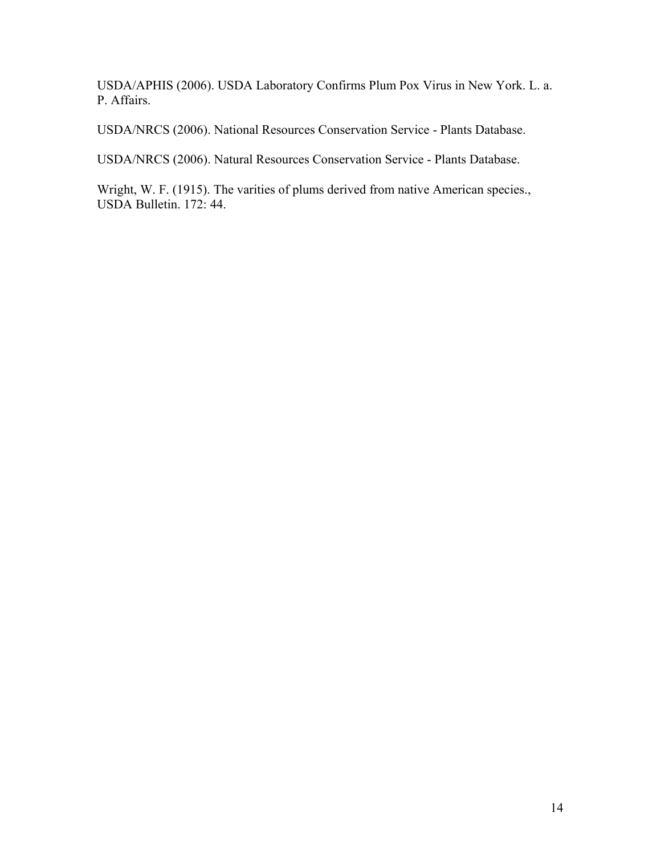USDA/APHIS (2006). USDA Laboratory Confirms Plum Pox Virus in New York. L. a. P. Affairs.

USDA/NRCS (2006). National Resources Conservation Service - Plants Database.

USDA/NRCS (2006). Natural Resources Conservation Service - Plants Database.

Wright, W. F. (1915). The varities of plums derived from native American species., USDA Bulletin. 172: 44.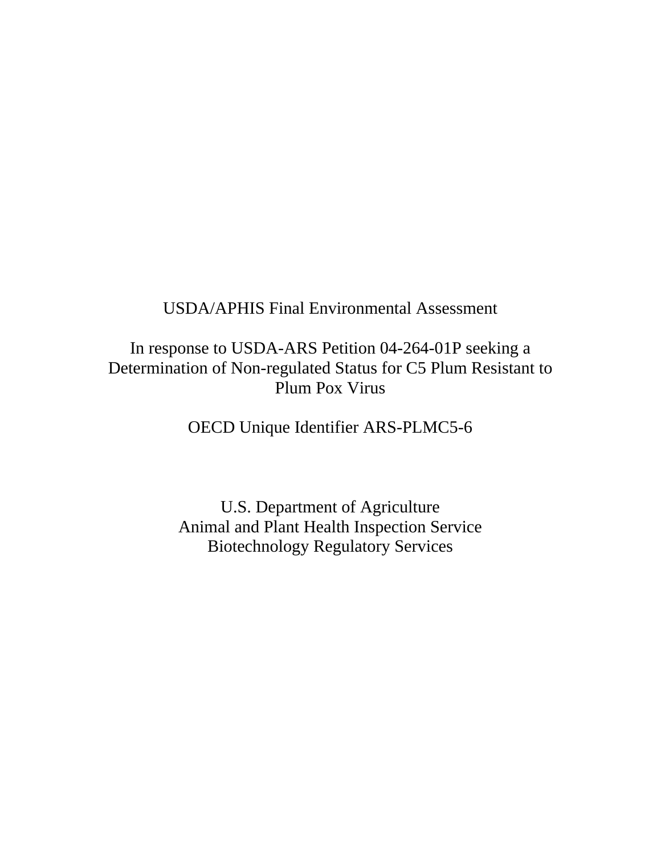# USDA/APHIS Final Environmental Assessment

# In response to USDA-ARS Petition 04-264-01P seeking a Determination of Non-regulated Status for C5 Plum Resistant to Plum Pox Virus

OECD Unique Identifier ARS-PLMC5-6

U.S. Department of Agriculture Animal and Plant Health Inspection Service Biotechnology Regulatory Services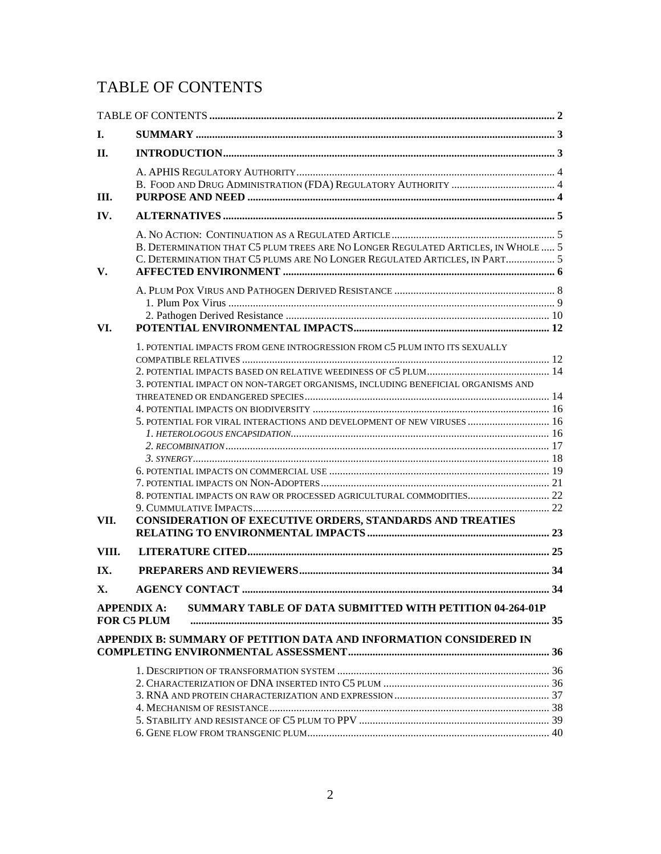# <span id="page-15-0"></span>TABLE OF CONTENTS

| Ι.    |                                                                                                                                                                 |    |
|-------|-----------------------------------------------------------------------------------------------------------------------------------------------------------------|----|
| II.   |                                                                                                                                                                 |    |
| Ш.    |                                                                                                                                                                 |    |
| IV.   |                                                                                                                                                                 |    |
| V.    | B. DETERMINATION THAT C5 PLUM TREES ARE NO LONGER REGULATED ARTICLES, IN WHOLE  5<br>C. DETERMINATION THAT C5 PLUMS ARE NO LONGER REGULATED ARTICLES, IN PART 5 |    |
|       |                                                                                                                                                                 |    |
|       |                                                                                                                                                                 |    |
| VI.   |                                                                                                                                                                 |    |
|       | 1. POTENTIAL IMPACTS FROM GENE INTROGRESSION FROM C5 PLUM INTO ITS SEXUALLY<br>3. POTENTIAL IMPACT ON NON-TARGET ORGANISMS, INCLUDING BENEFICIAL ORGANISMS AND  |    |
|       |                                                                                                                                                                 |    |
|       |                                                                                                                                                                 |    |
|       | 5. POTENTIAL FOR VIRAL INTERACTIONS AND DEVELOPMENT OF NEW VIRUSES  16                                                                                          |    |
|       |                                                                                                                                                                 |    |
|       |                                                                                                                                                                 |    |
|       |                                                                                                                                                                 |    |
|       |                                                                                                                                                                 |    |
|       |                                                                                                                                                                 |    |
|       |                                                                                                                                                                 |    |
| VII.  | CONSIDERATION OF EXECUTIVE ORDERS, STANDARDS AND TREATIES                                                                                                       |    |
|       |                                                                                                                                                                 |    |
| VIII. |                                                                                                                                                                 |    |
| IX.   |                                                                                                                                                                 |    |
| X.    | <b>AGENCY CONTACT.</b>                                                                                                                                          | 34 |
|       | SUMMARY TABLE OF DATA SUBMITTED WITH PETITION 04-264-01P<br><b>APPENDIX A:</b><br><b>FOR C5 PLUM</b>                                                            |    |
|       | APPENDIX B: SUMMARY OF PETITION DATA AND INFORMATION CONSIDERED IN                                                                                              |    |
|       |                                                                                                                                                                 |    |
|       |                                                                                                                                                                 |    |
|       |                                                                                                                                                                 |    |
|       |                                                                                                                                                                 |    |
|       |                                                                                                                                                                 |    |
|       |                                                                                                                                                                 |    |
|       |                                                                                                                                                                 |    |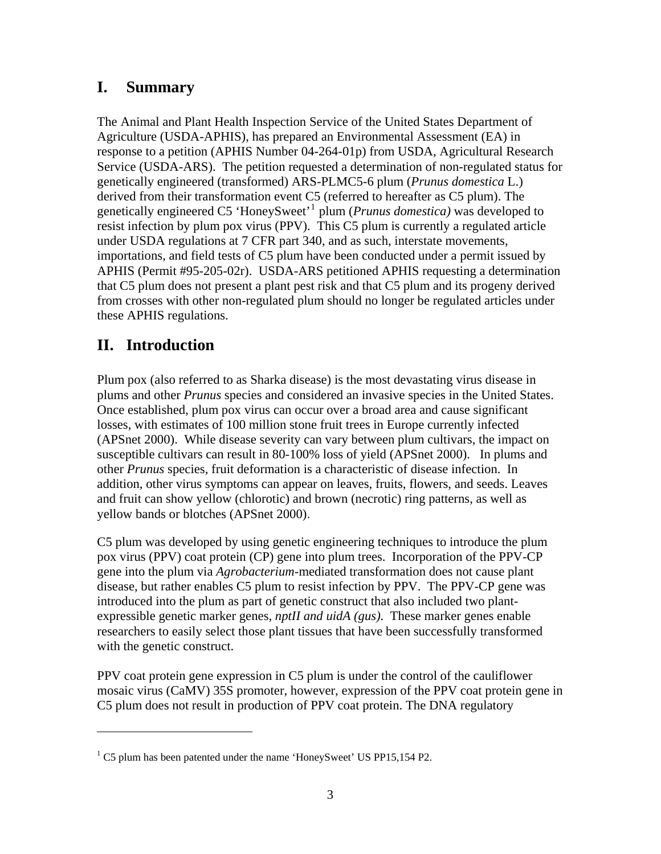# **I. Summary**

The Animal and Plant Health Inspection Service of the United States Department of Agriculture (USDA-APHIS), has prepared an Environmental Assessment (EA) in response to a petition (APHIS Number 04-264-01p) from USDA, Agricultural Research Service (USDA-ARS). The petition requested a determination of non-regulated status for genetically engineered (transformed) ARS-PLMC5-6 plum (*Prunus domestica* L.) derived from their transformation event C5 (referred to hereafter as C5 plum). The genetically engineered C5 'HoneySweet'[1](#page-16-0) plum (*Prunus domestica)* was developed to resist infection by plum pox virus (PPV). This C5 plum is currently a regulated article under USDA regulations at 7 CFR part 340, and as such, interstate movements, importations, and field tests of C5 plum have been conducted under a permit issued by APHIS (Permit #95-205-02r). USDA-ARS petitioned APHIS requesting a determination that C5 plum does not present a plant pest risk and that C5 plum and its progeny derived from crosses with other non-regulated plum should no longer be regulated articles under these APHIS regulations.

# **II. Introduction**

 $\overline{a}$ 

Plum pox (also referred to as Sharka disease) is the most devastating virus disease in plums and other *Prunus* species and considered an invasive species in the United States. Once established, plum pox virus can occur over a broad area and cause significant losses, with estimates of 100 million stone fruit trees in Europe currently infected (APSnet 2000). While disease severity can vary between plum cultivars, the impact on susceptible cultivars can result in 80-100% loss of yield (APSnet 2000). In plums and other *Prunus* species*,* fruit deformation is a characteristic of disease infection. In addition, other virus symptoms can appear on leaves, fruits, flowers, and seeds. Leaves and fruit can show yellow (chlorotic) and brown (necrotic) ring patterns, as well as yellow bands or blotches (APSnet 2000).

C5 plum was developed by using genetic engineering techniques to introduce the plum pox virus (PPV) coat protein (CP) gene into plum trees. Incorporation of the PPV-CP gene into the plum via *Agrobacterium*-mediated transformation does not cause plant disease, but rather enables C5 plum to resist infection by PPV. The PPV-CP gene was introduced into the plum as part of genetic construct that also included two plantexpressible genetic marker genes, *nptII and uidA (gus)*. These marker genes enable researchers to easily select those plant tissues that have been successfully transformed with the genetic construct.

PPV coat protein gene expression in C5 plum is under the control of the cauliflower mosaic virus (CaMV) 35S promoter, however, expression of the PPV coat protein gene in C5 plum does not result in production of PPV coat protein. The DNA regulatory

<span id="page-16-0"></span><sup>&</sup>lt;sup>1</sup> C5 plum has been patented under the name 'HoneySweet' US PP15,154 P2.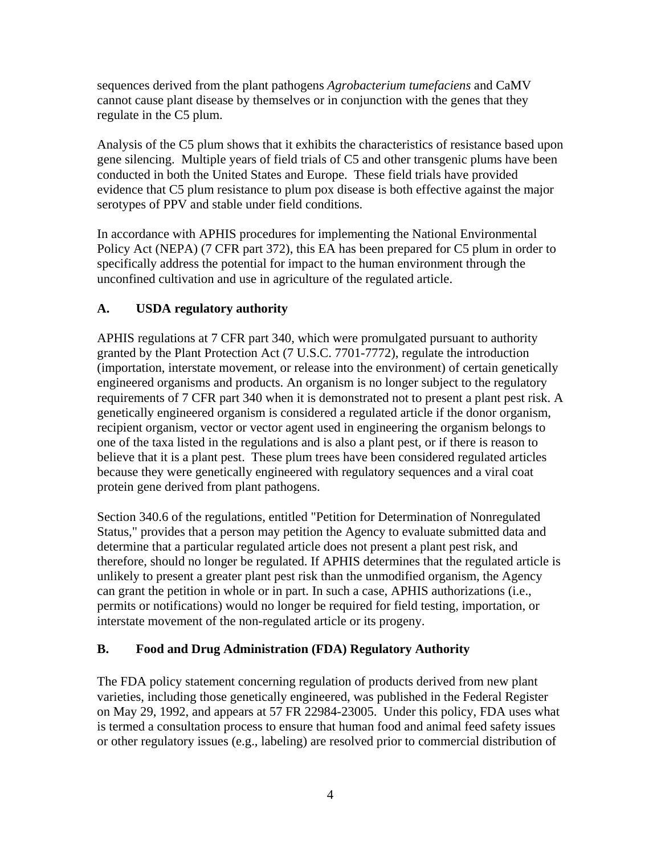sequences derived from the plant pathogens *Agrobacterium tumefaciens* and CaMV cannot cause plant disease by themselves or in conjunction with the genes that they regulate in the C5 plum.

Analysis of the C5 plum shows that it exhibits the characteristics of resistance based upon gene silencing. Multiple years of field trials of C5 and other transgenic plums have been conducted in both the United States and Europe. These field trials have provided evidence that C5 plum resistance to plum pox disease is both effective against the major serotypes of PPV and stable under field conditions.

In accordance with APHIS procedures for implementing the National Environmental Policy Act (NEPA) (7 CFR part 372), this EA has been prepared for C5 plum in order to specifically address the potential for impact to the human environment through the unconfined cultivation and use in agriculture of the regulated article.

# **A. USDA regulatory authority**

APHIS regulations at 7 CFR part 340, which were promulgated pursuant to authority granted by the Plant Protection Act (7 U.S.C. 7701-7772), regulate the introduction (importation, interstate movement, or release into the environment) of certain genetically engineered organisms and products. An organism is no longer subject to the regulatory requirements of 7 CFR part 340 when it is demonstrated not to present a plant pest risk. A genetically engineered organism is considered a regulated article if the donor organism, recipient organism, vector or vector agent used in engineering the organism belongs to one of the taxa listed in the regulations and is also a plant pest, or if there is reason to believe that it is a plant pest. These plum trees have been considered regulated articles because they were genetically engineered with regulatory sequences and a viral coat protein gene derived from plant pathogens.

Section 340.6 of the regulations, entitled "Petition for Determination of Nonregulated Status," provides that a person may petition the Agency to evaluate submitted data and determine that a particular regulated article does not present a plant pest risk, and therefore, should no longer be regulated. If APHIS determines that the regulated article is unlikely to present a greater plant pest risk than the unmodified organism, the Agency can grant the petition in whole or in part. In such a case, APHIS authorizations (i.e., permits or notifications) would no longer be required for field testing, importation, or interstate movement of the non-regulated article or its progeny.

## **B. Food and Drug Administration (FDA) Regulatory Authority**

The FDA policy statement concerning regulation of products derived from new plant varieties, including those genetically engineered, was published in the Federal Register on May 29, 1992, and appears at 57 FR 22984-23005. Under this policy, FDA uses what is termed a consultation process to ensure that human food and animal feed safety issues or other regulatory issues (e.g., labeling) are resolved prior to commercial distribution of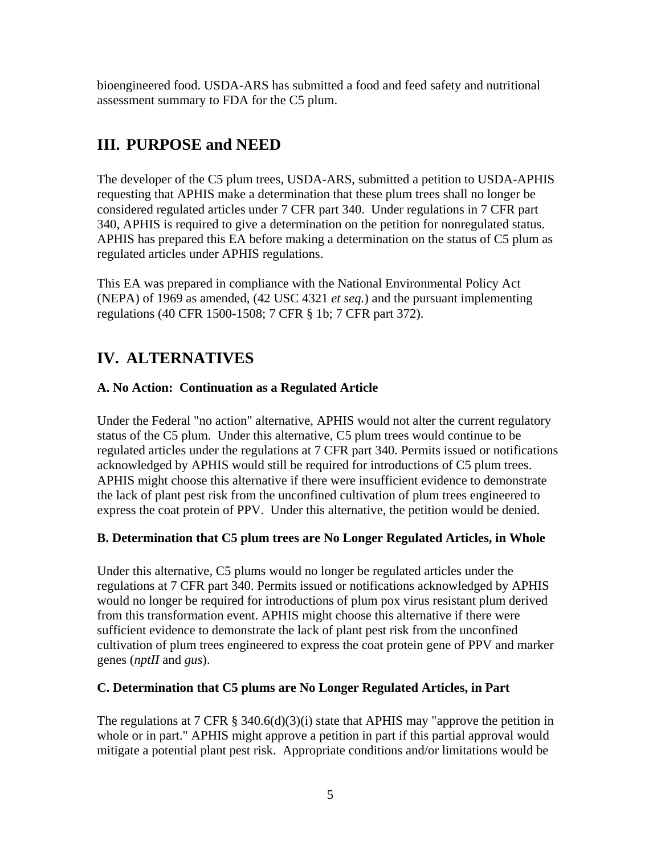bioengineered food. USDA-ARS has submitted a food and feed safety and nutritional assessment summary to FDA for the C5 plum.

# **III. PURPOSE and NEED**

The developer of the C5 plum trees, USDA-ARS, submitted a petition to USDA-APHIS requesting that APHIS make a determination that these plum trees shall no longer be considered regulated articles under 7 CFR part 340. Under regulations in 7 CFR part 340, APHIS is required to give a determination on the petition for nonregulated status. APHIS has prepared this EA before making a determination on the status of C5 plum as regulated articles under APHIS regulations.

This EA was prepared in compliance with the National Environmental Policy Act (NEPA) of 1969 as amended, (42 USC 4321 *et seq.*) and the pursuant implementing regulations (40 CFR 1500-1508; 7 CFR § 1b; 7 CFR part 372).

# **IV. ALTERNATIVES**

# **A. No Action: Continuation as a Regulated Article**

Under the Federal "no action" alternative, APHIS would not alter the current regulatory status of the C5 plum. Under this alternative, C5 plum trees would continue to be regulated articles under the regulations at 7 CFR part 340. Permits issued or notifications acknowledged by APHIS would still be required for introductions of C5 plum trees. APHIS might choose this alternative if there were insufficient evidence to demonstrate the lack of plant pest risk from the unconfined cultivation of plum trees engineered to express the coat protein of PPV. Under this alternative, the petition would be denied.

## **B. Determination that C5 plum trees are No Longer Regulated Articles, in Whole**

Under this alternative, C5 plums would no longer be regulated articles under the regulations at 7 CFR part 340. Permits issued or notifications acknowledged by APHIS would no longer be required for introductions of plum pox virus resistant plum derived from this transformation event. APHIS might choose this alternative if there were sufficient evidence to demonstrate the lack of plant pest risk from the unconfined cultivation of plum trees engineered to express the coat protein gene of PPV and marker genes (*nptII* and *gus*).

## **C. Determination that C5 plums are No Longer Regulated Articles, in Part**

The regulations at 7 CFR § 340.6(d)(3)(i) state that APHIS may "approve the petition in whole or in part." APHIS might approve a petition in part if this partial approval would mitigate a potential plant pest risk. Appropriate conditions and/or limitations would be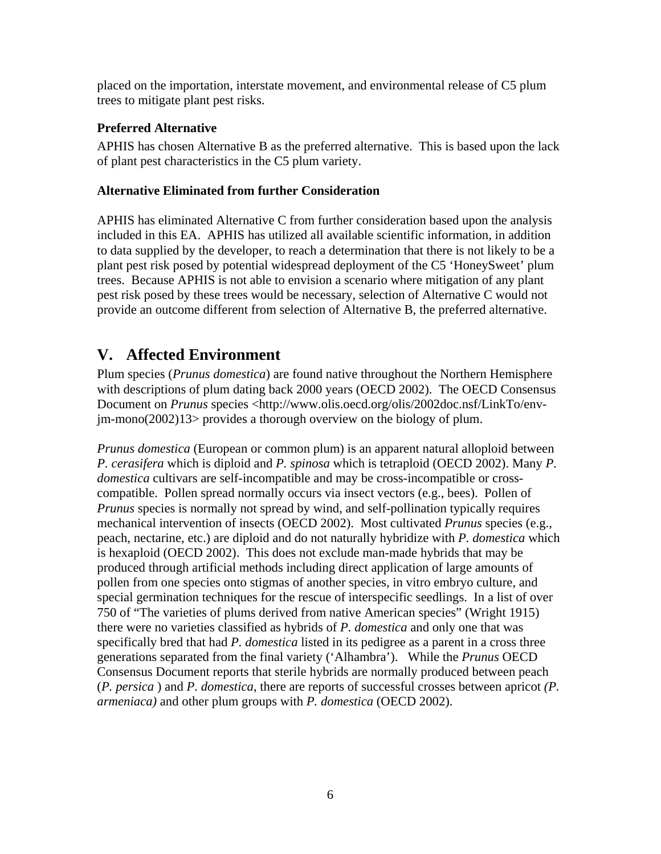placed on the importation, interstate movement, and environmental release of C5 plum trees to mitigate plant pest risks.

## **Preferred Alternative**

APHIS has chosen Alternative B as the preferred alternative. This is based upon the lack of plant pest characteristics in the C5 plum variety.

# **Alternative Eliminated from further Consideration**

APHIS has eliminated Alternative C from further consideration based upon the analysis included in this EA. APHIS has utilized all available scientific information, in addition to data supplied by the developer, to reach a determination that there is not likely to be a plant pest risk posed by potential widespread deployment of the C5 'HoneySweet' plum trees. Because APHIS is not able to envision a scenario where mitigation of any plant pest risk posed by these trees would be necessary, selection of Alternative C would not provide an outcome different from selection of Alternative B, the preferred alternative.

# **V. Affected Environment**

Plum species (*Prunus domestica*) are found native throughout the Northern Hemisphere with descriptions of plum dating back 2000 years (OECD 2002). The OECD Consensus Document on *Prunus* species <http://www.olis.oecd.org/olis/2002doc.nsf/LinkTo/envjm-mono(2002)13> provides a thorough overview on the biology of plum.

*Prunus domestica* (European or common plum) is an apparent natural alloploid between *P. cerasifera* which is diploid and *P. spinosa* which is tetraploid (OECD 2002). Many *P. domestica* cultivars are self-incompatible and may be cross-incompatible or crosscompatible. Pollen spread normally occurs via insect vectors (e.g., bees). Pollen of *Prunus* species is normally not spread by wind, and self-pollination typically requires mechanical intervention of insects (OECD 2002). Most cultivated *Prunus* species (e.g., peach, nectarine, etc.) are diploid and do not naturally hybridize with *P. domestica* which is hexaploid (OECD 2002). This does not exclude man-made hybrids that may be produced through artificial methods including direct application of large amounts of pollen from one species onto stigmas of another species, in vitro embryo culture, and special germination techniques for the rescue of interspecific seedlings. In a list of over 750 of "The varieties of plums derived from native American species" (Wright 1915) there were no varieties classified as hybrids of *P. domestica* and only one that was specifically bred that had *P. domestica* listed in its pedigree as a parent in a cross three generations separated from the final variety ('Alhambra'). While the *Prunus* OECD Consensus Document reports that sterile hybrids are normally produced between peach (*P. persica* ) and *P. domestica*, there are reports of successful crosses between apricot *(P. armeniaca)* and other plum groups with *P. domestica* (OECD 2002).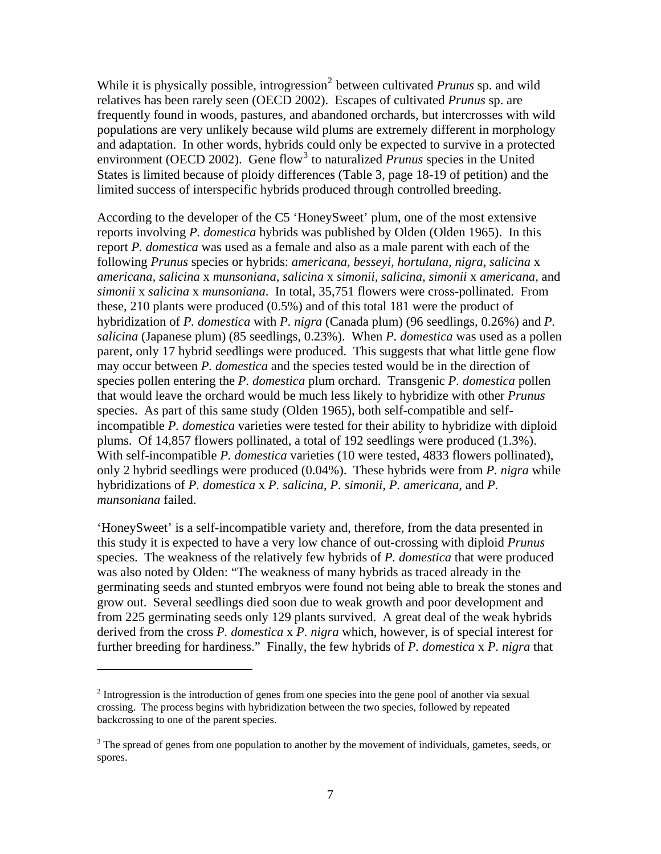While it is physically possible, introgression<sup>[2](#page-20-0)</sup> between cultivated *Prunus* sp. and wild relatives has been rarely seen (OECD 2002). Escapes of cultivated *Prunus* sp. are frequently found in woods, pastures, and abandoned orchards, but intercrosses with wild populations are very unlikely because wild plums are extremely different in morphology and adaptation. In other words, hybrids could only be expected to survive in a protected environment (OECD 2002). Gene flow<sup>[3](#page-20-1)</sup> to naturalized *Prunus* species in the United States is limited because of ploidy differences (Table 3, page 18-19 of petition) and the limited success of interspecific hybrids produced through controlled breeding.

According to the developer of the C5 'HoneySweet' plum, one of the most extensive reports involving *P. domestica* hybrids was published by Olden (Olden 1965). In this report *P. domestica* was used as a female and also as a male parent with each of the following *Prunus* species or hybrids: *americana, besseyi, hortulana, nigra, salicina* x *americana, salicina* x *munsoniana, salicina* x *simonii, salicina, simonii* x *americana,* and *simonii* x *salicina* x *munsoniana*. In total, 35,751 flowers were cross-pollinated. From these, 210 plants were produced (0.5%) and of this total 181 were the product of hybridization of *P. domestica* with *P. nigra* (Canada plum) (96 seedlings, 0.26%) and *P. salicina* (Japanese plum) (85 seedlings, 0.23%). When *P. domestica* was used as a pollen parent, only 17 hybrid seedlings were produced. This suggests that what little gene flow may occur between *P. domestica* and the species tested would be in the direction of species pollen entering the *P. domestica* plum orchard. Transgenic *P. domestica* pollen that would leave the orchard would be much less likely to hybridize with other *Prunus* species. As part of this same study (Olden 1965), both self-compatible and selfincompatible *P. domestica* varieties were tested for their ability to hybridize with diploid plums. Of 14,857 flowers pollinated, a total of 192 seedlings were produced (1.3%). With self-incompatible *P. domestica* varieties (10 were tested, 4833 flowers pollinated), only 2 hybrid seedlings were produced (0.04%). These hybrids were from *P. nigra* while hybridizations of *P. domestica* x *P. salicina*, *P. simonii*, *P. americana*, and *P. munsoniana* failed.

'HoneySweet' is a self-incompatible variety and, therefore, from the data presented in this study it is expected to have a very low chance of out-crossing with diploid *Prunus* species. The weakness of the relatively few hybrids of *P. domestica* that were produced was also noted by Olden: "The weakness of many hybrids as traced already in the germinating seeds and stunted embryos were found not being able to break the stones and grow out. Several seedlings died soon due to weak growth and poor development and from 225 germinating seeds only 129 plants survived. A great deal of the weak hybrids derived from the cross *P. domestica* x *P. nigra* which, however, is of special interest for further breeding for hardiness." Finally, the few hybrids of *P. domestica* x *P. nigra* that

 $\overline{a}$ 

<span id="page-20-0"></span> $2<sup>2</sup>$  Introgression is the introduction of genes from one species into the gene pool of another via sexual crossing. The process begins with hybridization between the two species, followed by repeated backcrossing to one of the parent species.

<span id="page-20-1"></span> $3$  The spread of genes from one population to another by the movement of individuals, gametes, seeds, or spores.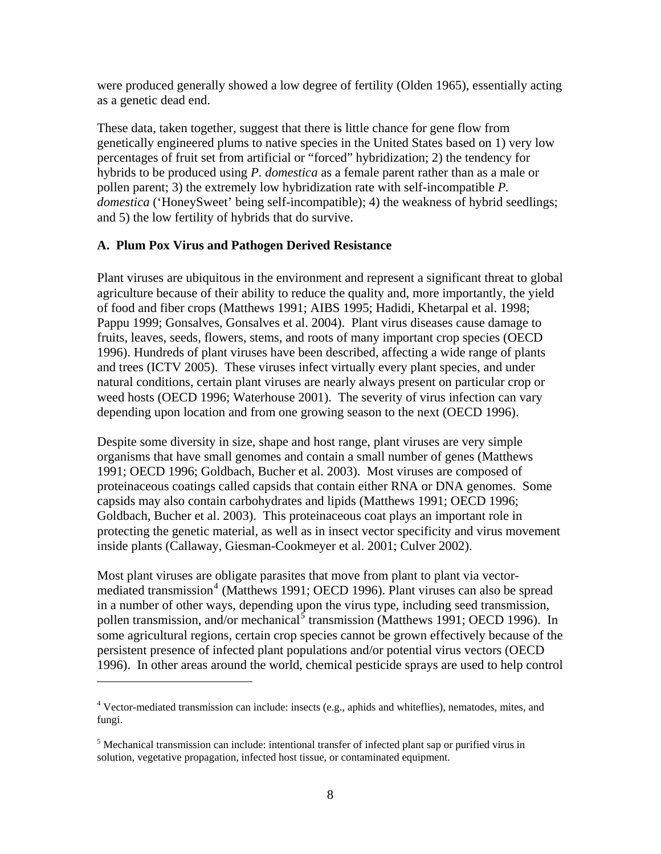<span id="page-21-0"></span>were produced generally showed a low degree of fertility (Olden 1965), essentially acting as a genetic dead end.

These data, taken together, suggest that there is little chance for gene flow from genetically engineered plums to native species in the United States based on 1) very low percentages of fruit set from artificial or "forced" hybridization; 2) the tendency for hybrids to be produced using *P. domestica* as a female parent rather than as a male or pollen parent; 3) the extremely low hybridization rate with self-incompatible *P. domestica* ('HoneySweet' being self-incompatible); 4) the weakness of hybrid seedlings; and 5) the low fertility of hybrids that do survive.

### **A. Plum Pox Virus and Pathogen Derived Resistance**

Plant viruses are ubiquitous in the environment and represent a significant threat to global agriculture because of their ability to reduce the quality and, more importantly, the yield of food and fiber crops (Matthews 1991; AIBS 1995; Hadidi, Khetarpal et al. 1998; Pappu 1999; Gonsalves, Gonsalves et al. 2004). Plant virus diseases cause damage to fruits, leaves, seeds, flowers, stems, and roots of many important crop species (OECD 1996). Hundreds of plant viruses have been described, affecting a wide range of plants and trees (ICTV 2005). These viruses infect virtually every plant species, and under natural conditions, certain plant viruses are nearly always present on particular crop or weed hosts (OECD 1996; Waterhouse 2001). The severity of virus infection can vary depending upon location and from one growing season to the next (OECD 1996).

Despite some diversity in size, shape and host range, plant viruses are very simple organisms that have small genomes and contain a small number of genes (Matthews 1991; OECD 1996; Goldbach, Bucher et al. 2003). Most viruses are composed of proteinaceous coatings called capsids that contain either RNA or DNA genomes. Some capsids may also contain carbohydrates and lipids (Matthews 1991; OECD 1996; Goldbach, Bucher et al. 2003). This proteinaceous coat plays an important role in protecting the genetic material, as well as in insect vector specificity and virus movement inside plants (Callaway, Giesman-Cookmeyer et al. 2001; Culver 2002).

Most plant viruses are obligate parasites that move from plant to plant via vector-mediated transmission<sup>[4](#page-21-1)</sup> (Matthews 1991; OECD 1996). Plant viruses can also be spread in a number of other ways, depending upon the virus type, including seed transmission, pollen transmission, and/or mechanical<sup>[5](#page-21-2)</sup> transmission (Matthews 1991; OECD 1996). In some agricultural regions, certain crop species cannot be grown effectively because of the persistent presence of infected plant populations and/or potential virus vectors (OECD 1996). In other areas around the world, chemical pesticide sprays are used to help control

 $\overline{a}$ 

<span id="page-21-1"></span><sup>&</sup>lt;sup>4</sup> Vector-mediated transmission can include: insects (e.g., aphids and whiteflies), nematodes, mites, and fungi.

<span id="page-21-2"></span><sup>&</sup>lt;sup>5</sup> Mechanical transmission can include: intentional transfer of infected plant sap or purified virus in solution, vegetative propagation, infected host tissue, or contaminated equipment.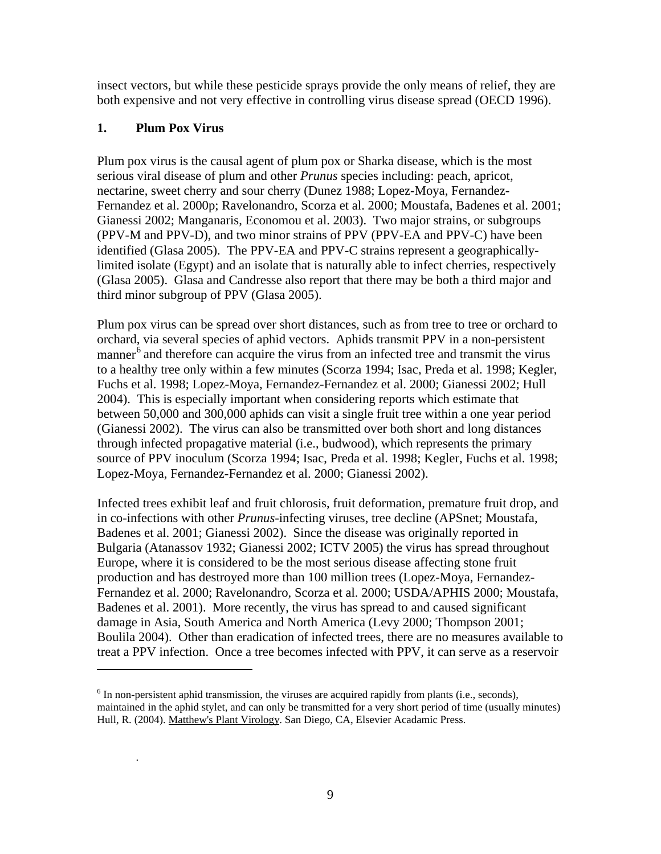insect vectors, but while these pesticide sprays provide the only means of relief, they are both expensive and not very effective in controlling virus disease spread (OECD 1996).

## **1. Plum Pox Virus**

 $\overline{a}$ 

.

Plum pox virus is the causal agent of plum pox or Sharka disease, which is the most serious viral disease of plum and other *Prunus* species including: peach, apricot, nectarine, sweet cherry and sour cherry (Dunez 1988; Lopez-Moya, Fernandez-Fernandez et al. 2000p; Ravelonandro, Scorza et al. 2000; Moustafa, Badenes et al. 2001; Gianessi 2002; Manganaris, Economou et al. 2003). Two major strains, or subgroups (PPV-M and PPV-D), and two minor strains of PPV (PPV-EA and PPV-C) have been identified (Glasa 2005). The PPV-EA and PPV-C strains represent a geographicallylimited isolate (Egypt) and an isolate that is naturally able to infect cherries, respectively (Glasa 2005). Glasa and Candresse also report that there may be both a third major and third minor subgroup of PPV (Glasa 2005).

Plum pox virus can be spread over short distances, such as from tree to tree or orchard to orchard, via several species of aphid vectors. Aphids transmit PPV in a non-persistent manner<sup>[6](#page-22-0)</sup> and therefore can acquire the virus from an infected tree and transmit the virus to a healthy tree only within a few minutes (Scorza 1994; Isac, Preda et al. 1998; Kegler, Fuchs et al. 1998; Lopez-Moya, Fernandez-Fernandez et al. 2000; Gianessi 2002; Hull 2004). This is especially important when considering reports which estimate that between 50,000 and 300,000 aphids can visit a single fruit tree within a one year period (Gianessi 2002). The virus can also be transmitted over both short and long distances through infected propagative material (i.e., budwood), which represents the primary source of PPV inoculum (Scorza 1994; Isac, Preda et al. 1998; Kegler, Fuchs et al. 1998; Lopez-Moya, Fernandez-Fernandez et al. 2000; Gianessi 2002).

Infected trees exhibit leaf and fruit chlorosis, fruit deformation, premature fruit drop, and in co-infections with other *Prunus-*infecting viruses, tree decline (APSnet; Moustafa, Badenes et al. 2001; Gianessi 2002). Since the disease was originally reported in Bulgaria (Atanassov 1932; Gianessi 2002; ICTV 2005) the virus has spread throughout Europe, where it is considered to be the most serious disease affecting stone fruit production and has destroyed more than 100 million trees (Lopez-Moya, Fernandez-Fernandez et al. 2000; Ravelonandro, Scorza et al. 2000; USDA/APHIS 2000; Moustafa, Badenes et al. 2001). More recently, the virus has spread to and caused significant damage in Asia, South America and North America (Levy 2000; Thompson 2001; Boulila 2004). Other than eradication of infected trees, there are no measures available to treat a PPV infection. Once a tree becomes infected with PPV, it can serve as a reservoir

<span id="page-22-0"></span> $6$  In non-persistent aphid transmission, the viruses are acquired rapidly from plants (i.e., seconds), maintained in the aphid stylet, and can only be transmitted for a very short period of time (usually minutes) Hull, R. (2004). Matthew's Plant Virology. San Diego, CA, Elsevier Acadamic Press.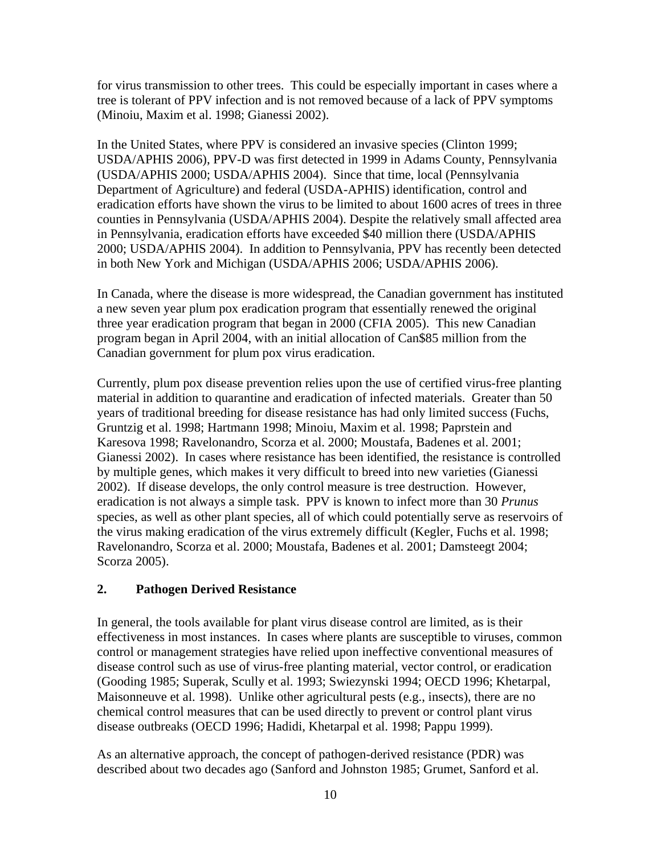for virus transmission to other trees. This could be especially important in cases where a tree is tolerant of PPV infection and is not removed because of a lack of PPV symptoms (Minoiu, Maxim et al. 1998; Gianessi 2002).

In the United States, where PPV is considered an invasive species (Clinton 1999; USDA/APHIS 2006), PPV-D was first detected in 1999 in Adams County, Pennsylvania (USDA/APHIS 2000; USDA/APHIS 2004). Since that time, local (Pennsylvania Department of Agriculture) and federal (USDA-APHIS) identification, control and eradication efforts have shown the virus to be limited to about 1600 acres of trees in three counties in Pennsylvania (USDA/APHIS 2004). Despite the relatively small affected area in Pennsylvania, eradication efforts have exceeded \$40 million there (USDA/APHIS 2000; USDA/APHIS 2004). In addition to Pennsylvania, PPV has recently been detected in both New York and Michigan (USDA/APHIS 2006; USDA/APHIS 2006).

In Canada, where the disease is more widespread, the Canadian government has instituted a new seven year plum pox eradication program that essentially renewed the original three year eradication program that began in 2000 (CFIA 2005). This new Canadian program began in April 2004, with an initial allocation of Can\$85 million from the Canadian government for plum pox virus eradication.

Currently, plum pox disease prevention relies upon the use of certified virus-free planting material in addition to quarantine and eradication of infected materials. Greater than 50 years of traditional breeding for disease resistance has had only limited success (Fuchs, Gruntzig et al. 1998; Hartmann 1998; Minoiu, Maxim et al. 1998; Paprstein and Karesova 1998; Ravelonandro, Scorza et al. 2000; Moustafa, Badenes et al. 2001; Gianessi 2002). In cases where resistance has been identified, the resistance is controlled by multiple genes, which makes it very difficult to breed into new varieties (Gianessi 2002). If disease develops, the only control measure is tree destruction. However, eradication is not always a simple task. PPV is known to infect more than 30 *Prunus*  species, as well as other plant species, all of which could potentially serve as reservoirs of the virus making eradication of the virus extremely difficult (Kegler, Fuchs et al. 1998; Ravelonandro, Scorza et al. 2000; Moustafa, Badenes et al. 2001; Damsteegt 2004; Scorza 2005).

## **2. Pathogen Derived Resistance**

In general, the tools available for plant virus disease control are limited, as is their effectiveness in most instances. In cases where plants are susceptible to viruses, common control or management strategies have relied upon ineffective conventional measures of disease control such as use of virus-free planting material, vector control, or eradication (Gooding 1985; Superak, Scully et al. 1993; Swiezynski 1994; OECD 1996; Khetarpal, Maisonneuve et al. 1998). Unlike other agricultural pests (e.g., insects), there are no chemical control measures that can be used directly to prevent or control plant virus disease outbreaks (OECD 1996; Hadidi, Khetarpal et al. 1998; Pappu 1999).

As an alternative approach, the concept of pathogen-derived resistance (PDR) was described about two decades ago (Sanford and Johnston 1985; Grumet, Sanford et al.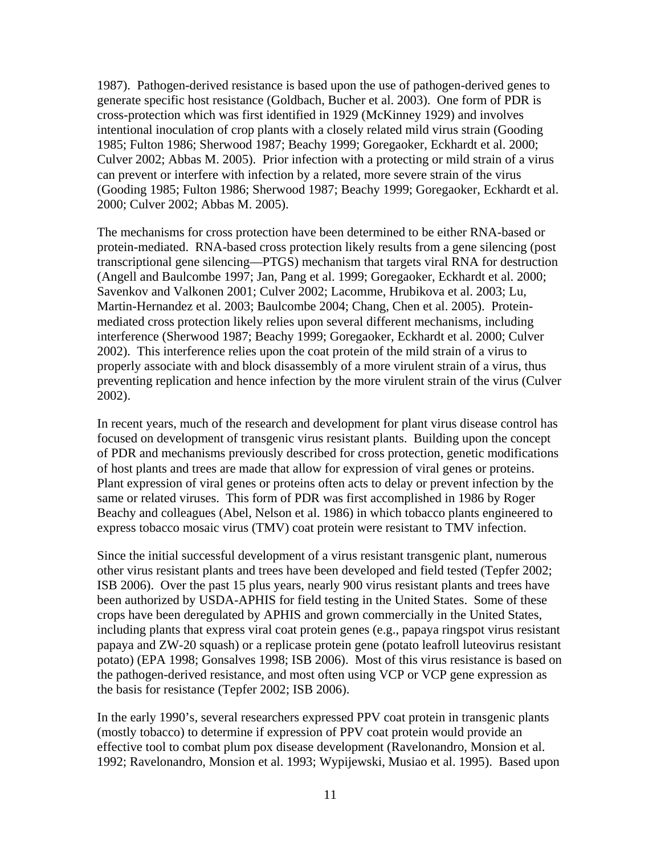1987). Pathogen-derived resistance is based upon the use of pathogen-derived genes to generate specific host resistance (Goldbach, Bucher et al. 2003). One form of PDR is cross-protection which was first identified in 1929 (McKinney 1929) and involves intentional inoculation of crop plants with a closely related mild virus strain (Gooding 1985; Fulton 1986; Sherwood 1987; Beachy 1999; Goregaoker, Eckhardt et al. 2000; Culver 2002; Abbas M. 2005). Prior infection with a protecting or mild strain of a virus can prevent or interfere with infection by a related, more severe strain of the virus (Gooding 1985; Fulton 1986; Sherwood 1987; Beachy 1999; Goregaoker, Eckhardt et al. 2000; Culver 2002; Abbas M. 2005).

The mechanisms for cross protection have been determined to be either RNA-based or protein-mediated. RNA-based cross protection likely results from a gene silencing (post transcriptional gene silencing—PTGS) mechanism that targets viral RNA for destruction (Angell and Baulcombe 1997; Jan, Pang et al. 1999; Goregaoker, Eckhardt et al. 2000; Savenkov and Valkonen 2001; Culver 2002; Lacomme, Hrubikova et al. 2003; Lu, Martin-Hernandez et al. 2003; Baulcombe 2004; Chang, Chen et al. 2005). Proteinmediated cross protection likely relies upon several different mechanisms, including interference (Sherwood 1987; Beachy 1999; Goregaoker, Eckhardt et al. 2000; Culver 2002). This interference relies upon the coat protein of the mild strain of a virus to properly associate with and block disassembly of a more virulent strain of a virus, thus preventing replication and hence infection by the more virulent strain of the virus (Culver 2002).

In recent years, much of the research and development for plant virus disease control has focused on development of transgenic virus resistant plants. Building upon the concept of PDR and mechanisms previously described for cross protection, genetic modifications of host plants and trees are made that allow for expression of viral genes or proteins. Plant expression of viral genes or proteins often acts to delay or prevent infection by the same or related viruses. This form of PDR was first accomplished in 1986 by Roger Beachy and colleagues (Abel, Nelson et al. 1986) in which tobacco plants engineered to express tobacco mosaic virus (TMV) coat protein were resistant to TMV infection.

Since the initial successful development of a virus resistant transgenic plant, numerous other virus resistant plants and trees have been developed and field tested (Tepfer 2002; ISB 2006). Over the past 15 plus years, nearly 900 virus resistant plants and trees have been authorized by USDA-APHIS for field testing in the United States. Some of these crops have been deregulated by APHIS and grown commercially in the United States, including plants that express viral coat protein genes (e.g., papaya ringspot virus resistant papaya and ZW-20 squash) or a replicase protein gene (potato leafroll luteovirus resistant potato) (EPA 1998; Gonsalves 1998; ISB 2006). Most of this virus resistance is based on the pathogen-derived resistance, and most often using VCP or VCP gene expression as the basis for resistance (Tepfer 2002; ISB 2006).

In the early 1990's, several researchers expressed PPV coat protein in transgenic plants (mostly tobacco) to determine if expression of PPV coat protein would provide an effective tool to combat plum pox disease development (Ravelonandro, Monsion et al. 1992; Ravelonandro, Monsion et al. 1993; Wypijewski, Musiao et al. 1995). Based upon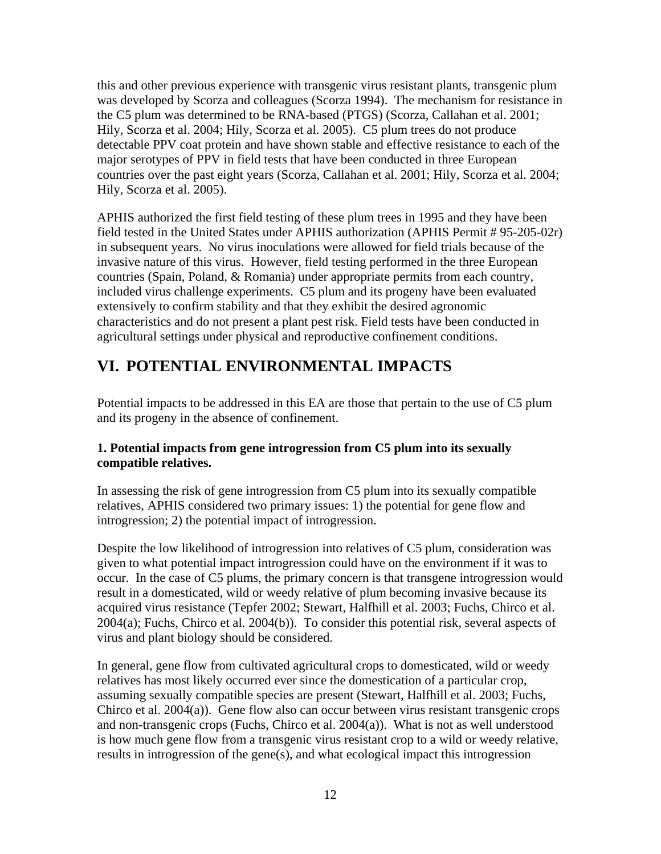<span id="page-25-0"></span>this and other previous experience with transgenic virus resistant plants, transgenic plum was developed by Scorza and colleagues (Scorza 1994). The mechanism for resistance in the C5 plum was determined to be RNA-based (PTGS) (Scorza, Callahan et al. 2001; Hily, Scorza et al. 2004; Hily, Scorza et al. 2005). C5 plum trees do not produce detectable PPV coat protein and have shown stable and effective resistance to each of the major serotypes of PPV in field tests that have been conducted in three European countries over the past eight years (Scorza, Callahan et al. 2001; Hily, Scorza et al. 2004; Hily, Scorza et al. 2005).

APHIS authorized the first field testing of these plum trees in 1995 and they have been field tested in the United States under APHIS authorization (APHIS Permit # 95-205-02r) in subsequent years. No virus inoculations were allowed for field trials because of the invasive nature of this virus. However, field testing performed in the three European countries (Spain, Poland, & Romania) under appropriate permits from each country, included virus challenge experiments. C5 plum and its progeny have been evaluated extensively to confirm stability and that they exhibit the desired agronomic characteristics and do not present a plant pest risk. Field tests have been conducted in agricultural settings under physical and reproductive confinement conditions.

# **VI. POTENTIAL ENVIRONMENTAL IMPACTS**

Potential impacts to be addressed in this EA are those that pertain to the use of C5 plum and its progeny in the absence of confinement.

## **1. Potential impacts from gene introgression from C5 plum into its sexually compatible relatives.**

In assessing the risk of gene introgression from C5 plum into its sexually compatible relatives, APHIS considered two primary issues: 1) the potential for gene flow and introgression; 2) the potential impact of introgression.

Despite the low likelihood of introgression into relatives of C5 plum, consideration was given to what potential impact introgression could have on the environment if it was to occur. In the case of C5 plums, the primary concern is that transgene introgression would result in a domesticated, wild or weedy relative of plum becoming invasive because its acquired virus resistance (Tepfer 2002; Stewart, Halfhill et al. 2003; Fuchs, Chirco et al. 2004(a); Fuchs, Chirco et al. 2004(b)). To consider this potential risk, several aspects of virus and plant biology should be considered.

In general, gene flow from cultivated agricultural crops to domesticated, wild or weedy relatives has most likely occurred ever since the domestication of a particular crop, assuming sexually compatible species are present (Stewart, Halfhill et al. 2003; Fuchs, Chirco et al. 2004(a)). Gene flow also can occur between virus resistant transgenic crops and non-transgenic crops (Fuchs, Chirco et al. 2004(a)). What is not as well understood is how much gene flow from a transgenic virus resistant crop to a wild or weedy relative, results in introgression of the gene(s), and what ecological impact this introgression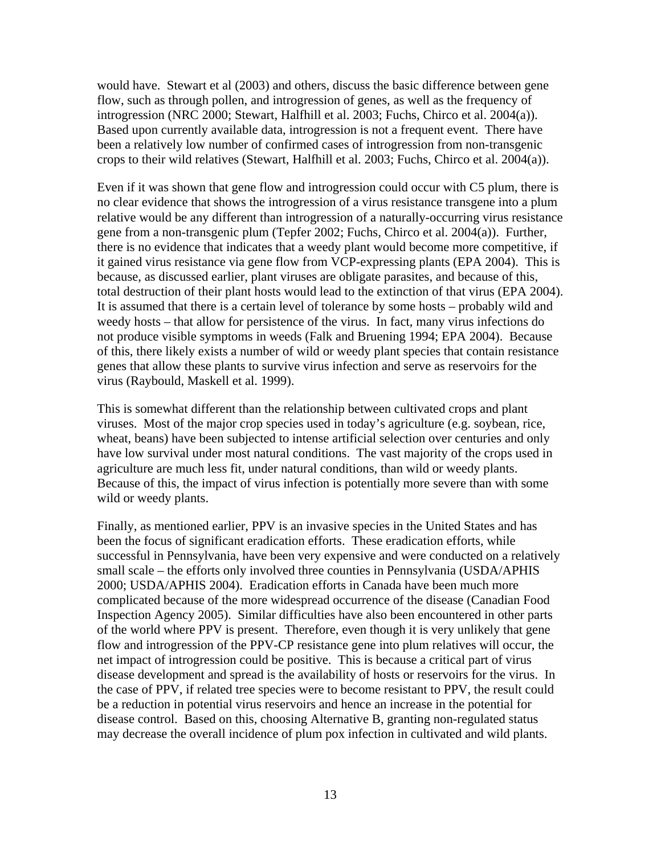would have. Stewart et al (2003) and others, discuss the basic difference between gene flow, such as through pollen, and introgression of genes, as well as the frequency of introgression (NRC 2000; Stewart, Halfhill et al. 2003; Fuchs, Chirco et al. 2004(a)). Based upon currently available data, introgression is not a frequent event. There have been a relatively low number of confirmed cases of introgression from non-transgenic crops to their wild relatives (Stewart, Halfhill et al. 2003; Fuchs, Chirco et al. 2004(a)).

Even if it was shown that gene flow and introgression could occur with C5 plum, there is no clear evidence that shows the introgression of a virus resistance transgene into a plum relative would be any different than introgression of a naturally-occurring virus resistance gene from a non-transgenic plum (Tepfer 2002; Fuchs, Chirco et al. 2004(a)). Further, there is no evidence that indicates that a weedy plant would become more competitive, if it gained virus resistance via gene flow from VCP-expressing plants (EPA 2004). This is because, as discussed earlier, plant viruses are obligate parasites, and because of this, total destruction of their plant hosts would lead to the extinction of that virus (EPA 2004). It is assumed that there is a certain level of tolerance by some hosts – probably wild and weedy hosts – that allow for persistence of the virus. In fact, many virus infections do not produce visible symptoms in weeds (Falk and Bruening 1994; EPA 2004). Because of this, there likely exists a number of wild or weedy plant species that contain resistance genes that allow these plants to survive virus infection and serve as reservoirs for the virus (Raybould, Maskell et al. 1999).

This is somewhat different than the relationship between cultivated crops and plant viruses. Most of the major crop species used in today's agriculture (e.g. soybean, rice, wheat, beans) have been subjected to intense artificial selection over centuries and only have low survival under most natural conditions. The vast majority of the crops used in agriculture are much less fit, under natural conditions, than wild or weedy plants. Because of this, the impact of virus infection is potentially more severe than with some wild or weedy plants.

Finally, as mentioned earlier, PPV is an invasive species in the United States and has been the focus of significant eradication efforts. These eradication efforts, while successful in Pennsylvania, have been very expensive and were conducted on a relatively small scale – the efforts only involved three counties in Pennsylvania (USDA/APHIS 2000; USDA/APHIS 2004). Eradication efforts in Canada have been much more complicated because of the more widespread occurrence of the disease (Canadian Food Inspection Agency 2005). Similar difficulties have also been encountered in other parts of the world where PPV is present. Therefore, even though it is very unlikely that gene flow and introgression of the PPV-CP resistance gene into plum relatives will occur, the net impact of introgression could be positive. This is because a critical part of virus disease development and spread is the availability of hosts or reservoirs for the virus. In the case of PPV, if related tree species were to become resistant to PPV, the result could be a reduction in potential virus reservoirs and hence an increase in the potential for disease control. Based on this, choosing Alternative B, granting non-regulated status may decrease the overall incidence of plum pox infection in cultivated and wild plants.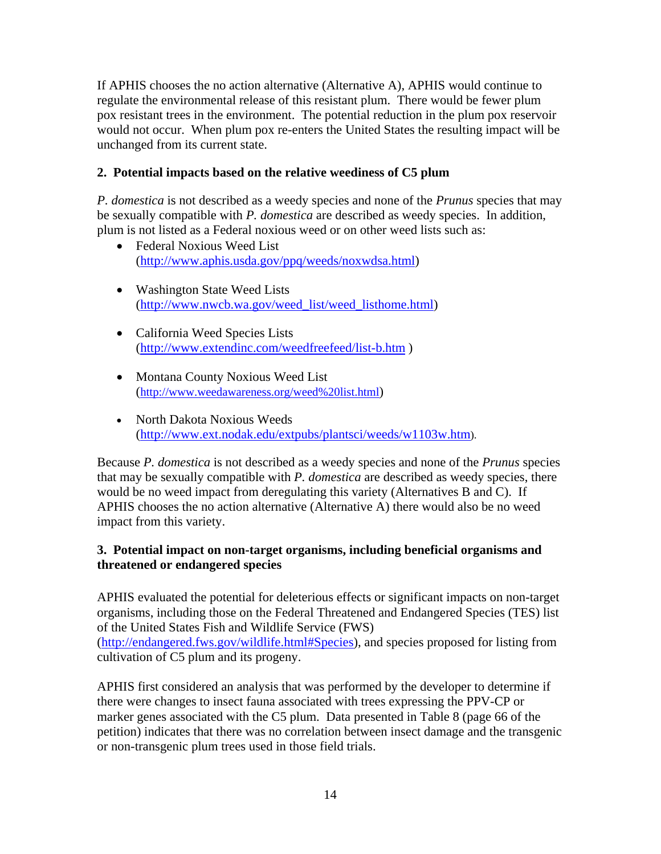If APHIS chooses the no action alternative (Alternative A), APHIS would continue to regulate the environmental release of this resistant plum. There would be fewer plum pox resistant trees in the environment. The potential reduction in the plum pox reservoir would not occur. When plum pox re-enters the United States the resulting impact will be unchanged from its current state.

## **2. Potential impacts based on the relative weediness of C5 plum**

*P. domestica* is not described as a weedy species and none of the *Prunus* species that may be sexually compatible with *P. domestica* are described as weedy species. In addition, plum is not listed as a Federal noxious weed or on other weed lists such as:

- Federal Noxious Weed List ([http://www.aphis.usda.gov/ppq/weeds/noxwdsa.html\)](http://www.aphis.usda.gov/ppq/weeds/noxwdsa.html)
- Washington State Weed Lists ([http://www.nwcb.wa.gov/weed\\_list/weed\\_listhome.html\)](http://www.nwcb.wa.gov/weed_list/weed_listhome.html)
- California Weed Species Lists (<http://www.extendinc.com/weedfreefeed/list-b.htm>)
- Montana County Noxious Weed List (<http://www.weedawareness.org/weed%20list.html>)
- North Dakota Noxious Weeds ([http://www.ext.nodak.edu/extpubs/plantsci/weeds/w1103w.htm\)](http://www.ext.nodak.edu/extpubs/plantsci/weeds/w1103w.htm).

Because *P. domestica* is not described as a weedy species and none of the *Prunus* species that may be sexually compatible with *P. domestica* are described as weedy species, there would be no weed impact from deregulating this variety (Alternatives B and C). If APHIS chooses the no action alternative (Alternative A) there would also be no weed impact from this variety.

## **3. Potential impact on non-target organisms, including beneficial organisms and threatened or endangered species**

APHIS evaluated the potential for deleterious effects or significant impacts on non-target organisms, including those on the Federal Threatened and Endangered Species (TES) list of the United States Fish and Wildlife Service (FWS) ([http://endangered.fws.gov/wildlife.html#Species\)](http://endangered.fws.gov/wildlife.html#Species), and species proposed for listing from cultivation of C5 plum and its progeny.

APHIS first considered an analysis that was performed by the developer to determine if there were changes to insect fauna associated with trees expressing the PPV-CP or marker genes associated with the C5 plum. Data presented in Table 8 (page 66 of the petition) indicates that there was no correlation between insect damage and the transgenic or non-transgenic plum trees used in those field trials.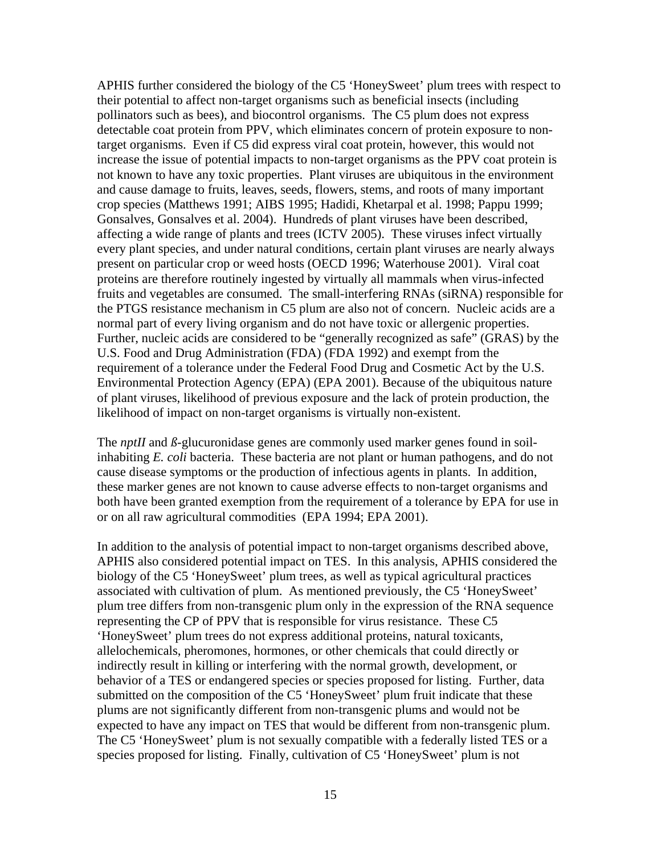APHIS further considered the biology of the C5 'HoneySweet' plum trees with respect to their potential to affect non-target organisms such as beneficial insects (including pollinators such as bees), and biocontrol organisms. The C5 plum does not express detectable coat protein from PPV, which eliminates concern of protein exposure to nontarget organisms. Even if C5 did express viral coat protein, however, this would not increase the issue of potential impacts to non-target organisms as the PPV coat protein is not known to have any toxic properties. Plant viruses are ubiquitous in the environment and cause damage to fruits, leaves, seeds, flowers, stems, and roots of many important crop species (Matthews 1991; AIBS 1995; Hadidi, Khetarpal et al. 1998; Pappu 1999; Gonsalves, Gonsalves et al. 2004). Hundreds of plant viruses have been described, affecting a wide range of plants and trees (ICTV 2005). These viruses infect virtually every plant species, and under natural conditions, certain plant viruses are nearly always present on particular crop or weed hosts (OECD 1996; Waterhouse 2001). Viral coat proteins are therefore routinely ingested by virtually all mammals when virus-infected fruits and vegetables are consumed. The small-interfering RNAs (siRNA) responsible for the PTGS resistance mechanism in C5 plum are also not of concern. Nucleic acids are a normal part of every living organism and do not have toxic or allergenic properties. Further, nucleic acids are considered to be "generally recognized as safe" (GRAS) by the U.S. Food and Drug Administration (FDA) (FDA 1992) and exempt from the requirement of a tolerance under the Federal Food Drug and Cosmetic Act by the U.S. Environmental Protection Agency (EPA) (EPA 2001). Because of the ubiquitous nature of plant viruses, likelihood of previous exposure and the lack of protein production, the likelihood of impact on non-target organisms is virtually non-existent.

The *nptII* and *ß-*glucuronidase genes are commonly used marker genes found in soilinhabiting *E. coli* bacteria. These bacteria are not plant or human pathogens, and do not cause disease symptoms or the production of infectious agents in plants. In addition, these marker genes are not known to cause adverse effects to non-target organisms and both have been granted exemption from the requirement of a tolerance by EPA for use in or on all raw agricultural commodities (EPA 1994; EPA 2001).

In addition to the analysis of potential impact to non-target organisms described above, APHIS also considered potential impact on TES. In this analysis, APHIS considered the biology of the C5 'HoneySweet' plum trees, as well as typical agricultural practices associated with cultivation of plum. As mentioned previously, the C5 'HoneySweet' plum tree differs from non-transgenic plum only in the expression of the RNA sequence representing the CP of PPV that is responsible for virus resistance. These C5 'HoneySweet' plum trees do not express additional proteins, natural toxicants, allelochemicals, pheromones, hormones, or other chemicals that could directly or indirectly result in killing or interfering with the normal growth, development, or behavior of a TES or endangered species or species proposed for listing. Further, data submitted on the composition of the C5 'HoneySweet' plum fruit indicate that these plums are not significantly different from non-transgenic plums and would not be expected to have any impact on TES that would be different from non-transgenic plum. The C5 'HoneySweet' plum is not sexually compatible with a federally listed TES or a species proposed for listing. Finally, cultivation of C5 'HoneySweet' plum is not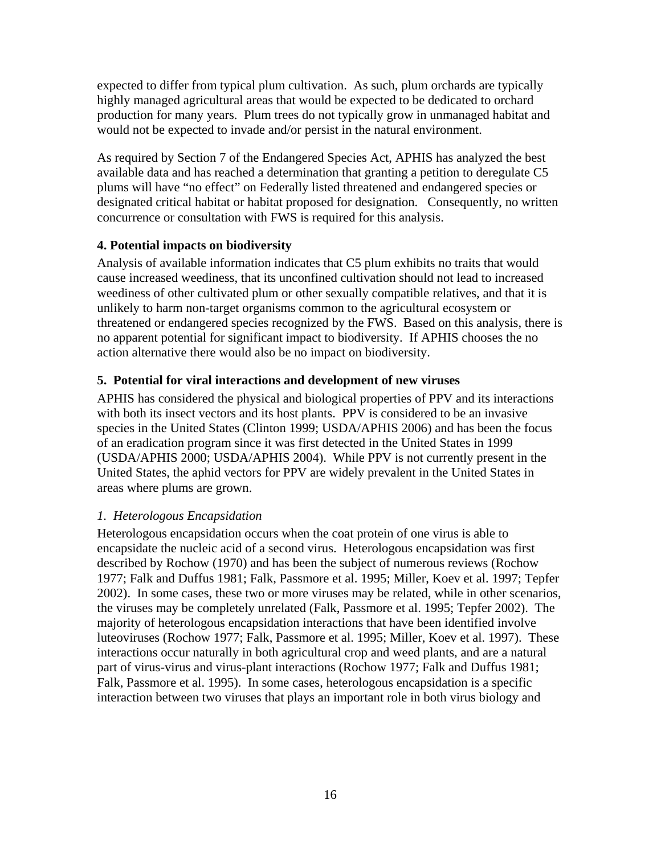expected to differ from typical plum cultivation. As such, plum orchards are typically highly managed agricultural areas that would be expected to be dedicated to orchard production for many years. Plum trees do not typically grow in unmanaged habitat and would not be expected to invade and/or persist in the natural environment.

As required by Section 7 of the Endangered Species Act, APHIS has analyzed the best available data and has reached a determination that granting a petition to deregulate C5 plums will have "no effect" on Federally listed threatened and endangered species or designated critical habitat or habitat proposed for designation. Consequently, no written concurrence or consultation with FWS is required for this analysis.

## **4. Potential impacts on biodiversity**

Analysis of available information indicates that C5 plum exhibits no traits that would cause increased weediness, that its unconfined cultivation should not lead to increased weediness of other cultivated plum or other sexually compatible relatives, and that it is unlikely to harm non-target organisms common to the agricultural ecosystem or threatened or endangered species recognized by the FWS. Based on this analysis, there is no apparent potential for significant impact to biodiversity. If APHIS chooses the no action alternative there would also be no impact on biodiversity.

# **5. Potential for viral interactions and development of new viruses**

APHIS has considered the physical and biological properties of PPV and its interactions with both its insect vectors and its host plants. PPV is considered to be an invasive species in the United States (Clinton 1999; USDA/APHIS 2006) and has been the focus of an eradication program since it was first detected in the United States in 1999 (USDA/APHIS 2000; USDA/APHIS 2004). While PPV is not currently present in the United States, the aphid vectors for PPV are widely prevalent in the United States in areas where plums are grown.

# *1. Heterologous Encapsidation*

Heterologous encapsidation occurs when the coat protein of one virus is able to encapsidate the nucleic acid of a second virus. Heterologous encapsidation was first described by Rochow (1970) and has been the subject of numerous reviews (Rochow 1977; Falk and Duffus 1981; Falk, Passmore et al. 1995; Miller, Koev et al. 1997; Tepfer 2002). In some cases, these two or more viruses may be related, while in other scenarios, the viruses may be completely unrelated (Falk, Passmore et al. 1995; Tepfer 2002). The majority of heterologous encapsidation interactions that have been identified involve luteoviruses (Rochow 1977; Falk, Passmore et al. 1995; Miller, Koev et al. 1997). These interactions occur naturally in both agricultural crop and weed plants, and are a natural part of virus-virus and virus-plant interactions (Rochow 1977; Falk and Duffus 1981; Falk, Passmore et al. 1995). In some cases, heterologous encapsidation is a specific interaction between two viruses that plays an important role in both virus biology and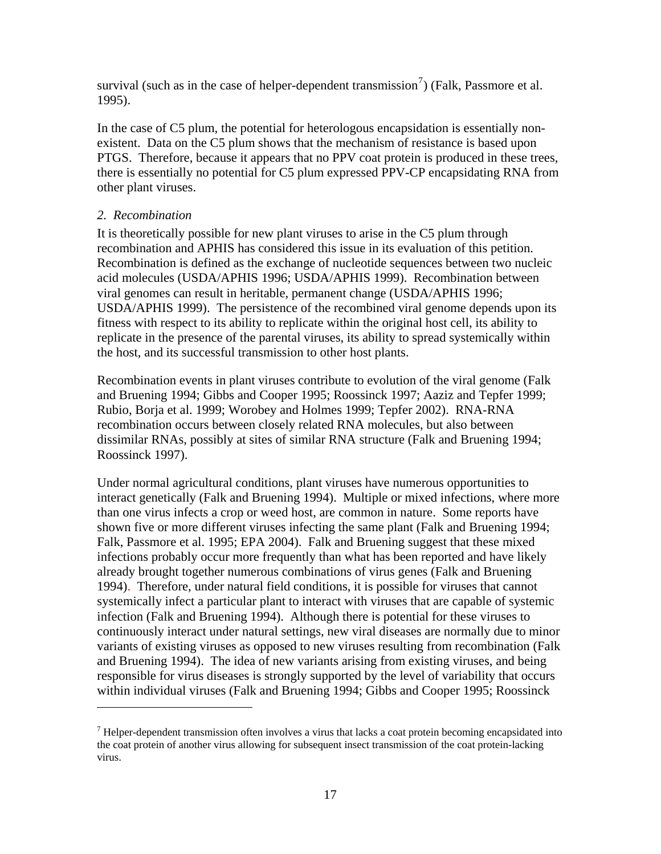survival (such as in the case of helper-dependent transmission<sup>[7](#page-30-0)</sup>) (Falk, Passmore et al. 1995).

In the case of C5 plum, the potential for heterologous encapsidation is essentially nonexistent. Data on the C5 plum shows that the mechanism of resistance is based upon PTGS. Therefore, because it appears that no PPV coat protein is produced in these trees, there is essentially no potential for C5 plum expressed PPV-CP encapsidating RNA from other plant viruses.

### *2. Recombination*

 $\overline{a}$ 

It is theoretically possible for new plant viruses to arise in the C5 plum through recombination and APHIS has considered this issue in its evaluation of this petition. Recombination is defined as the exchange of nucleotide sequences between two nucleic acid molecules (USDA/APHIS 1996; USDA/APHIS 1999). Recombination between viral genomes can result in heritable, permanent change (USDA/APHIS 1996; USDA/APHIS 1999). The persistence of the recombined viral genome depends upon its fitness with respect to its ability to replicate within the original host cell, its ability to replicate in the presence of the parental viruses, its ability to spread systemically within the host, and its successful transmission to other host plants.

Recombination events in plant viruses contribute to evolution of the viral genome (Falk and Bruening 1994; Gibbs and Cooper 1995; Roossinck 1997; Aaziz and Tepfer 1999; Rubio, Borja et al. 1999; Worobey and Holmes 1999; Tepfer 2002). RNA-RNA recombination occurs between closely related RNA molecules, but also between dissimilar RNAs, possibly at sites of similar RNA structure (Falk and Bruening 1994; Roossinck 1997).

Under normal agricultural conditions, plant viruses have numerous opportunities to interact genetically (Falk and Bruening 1994). Multiple or mixed infections, where more than one virus infects a crop or weed host, are common in nature. Some reports have shown five or more different viruses infecting the same plant (Falk and Bruening 1994; Falk, Passmore et al. 1995; EPA 2004). Falk and Bruening suggest that these mixed infections probably occur more frequently than what has been reported and have likely already brought together numerous combinations of virus genes (Falk and Bruening 1994). Therefore, under natural field conditions, it is possible for viruses that cannot systemically infect a particular plant to interact with viruses that are capable of systemic infection (Falk and Bruening 1994). Although there is potential for these viruses to continuously interact under natural settings, new viral diseases are normally due to minor variants of existing viruses as opposed to new viruses resulting from recombination (Falk and Bruening 1994). The idea of new variants arising from existing viruses, and being responsible for virus diseases is strongly supported by the level of variability that occurs within individual viruses (Falk and Bruening 1994; Gibbs and Cooper 1995; Roossinck

<span id="page-30-0"></span> $<sup>7</sup>$  Helper-dependent transmission often involves a virus that lacks a coat protein becoming encapsidated into</sup> the coat protein of another virus allowing for subsequent insect transmission of the coat protein-lacking virus.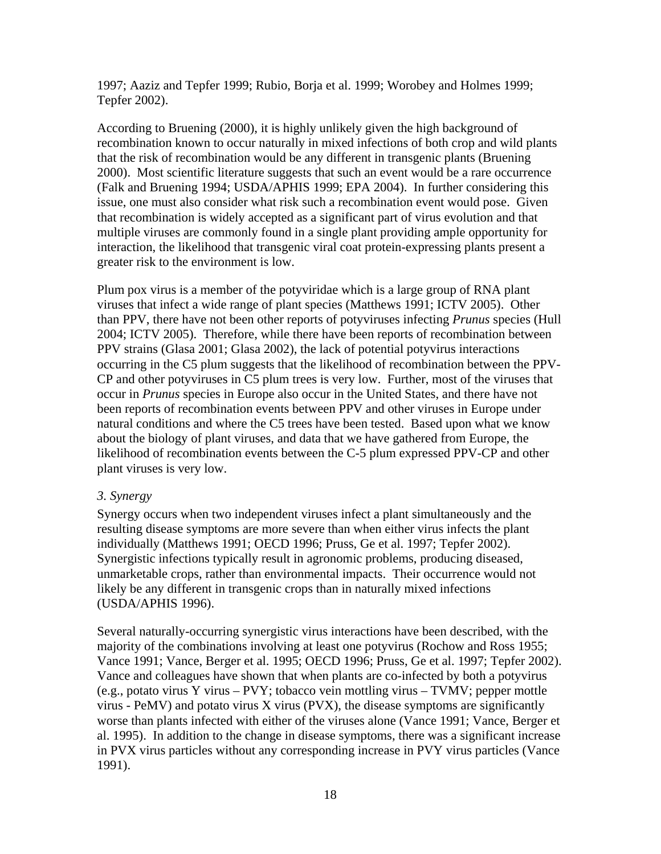1997; Aaziz and Tepfer 1999; Rubio, Borja et al. 1999; Worobey and Holmes 1999; Tepfer 2002).

According to Bruening (2000), it is highly unlikely given the high background of recombination known to occur naturally in mixed infections of both crop and wild plants that the risk of recombination would be any different in transgenic plants (Bruening 2000). Most scientific literature suggests that such an event would be a rare occurrence (Falk and Bruening 1994; USDA/APHIS 1999; EPA 2004). In further considering this issue, one must also consider what risk such a recombination event would pose. Given that recombination is widely accepted as a significant part of virus evolution and that multiple viruses are commonly found in a single plant providing ample opportunity for interaction, the likelihood that transgenic viral coat protein-expressing plants present a greater risk to the environment is low.

Plum pox virus is a member of the potyviridae which is a large group of RNA plant viruses that infect a wide range of plant species (Matthews 1991; ICTV 2005). Other than PPV, there have not been other reports of potyviruses infecting *Prunus* species (Hull 2004; ICTV 2005). Therefore, while there have been reports of recombination between PPV strains (Glasa 2001; Glasa 2002), the lack of potential potyvirus interactions occurring in the C5 plum suggests that the likelihood of recombination between the PPV-CP and other potyviruses in C5 plum trees is very low. Further, most of the viruses that occur in *Prunus* species in Europe also occur in the United States, and there have not been reports of recombination events between PPV and other viruses in Europe under natural conditions and where the C5 trees have been tested. Based upon what we know about the biology of plant viruses, and data that we have gathered from Europe, the likelihood of recombination events between the C-5 plum expressed PPV-CP and other plant viruses is very low.

#### *3. Synergy*

Synergy occurs when two independent viruses infect a plant simultaneously and the resulting disease symptoms are more severe than when either virus infects the plant individually (Matthews 1991; OECD 1996; Pruss, Ge et al. 1997; Tepfer 2002). Synergistic infections typically result in agronomic problems, producing diseased, unmarketable crops, rather than environmental impacts. Their occurrence would not likely be any different in transgenic crops than in naturally mixed infections (USDA/APHIS 1996).

Several naturally-occurring synergistic virus interactions have been described, with the majority of the combinations involving at least one potyvirus (Rochow and Ross 1955; Vance 1991; Vance, Berger et al. 1995; OECD 1996; Pruss, Ge et al. 1997; Tepfer 2002). Vance and colleagues have shown that when plants are co-infected by both a potyvirus (e.g., potato virus Y virus – PVY; tobacco vein mottling virus – TVMV; pepper mottle virus - PeMV) and potato virus X virus (PVX), the disease symptoms are significantly worse than plants infected with either of the viruses alone (Vance 1991; Vance, Berger et al. 1995). In addition to the change in disease symptoms, there was a significant increase in PVX virus particles without any corresponding increase in PVY virus particles (Vance 1991).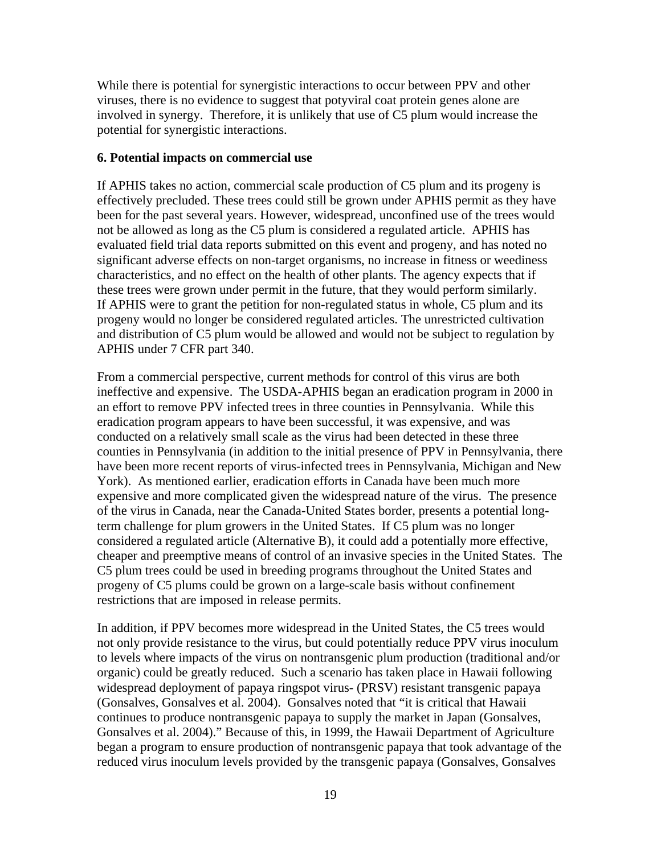While there is potential for synergistic interactions to occur between PPV and other viruses, there is no evidence to suggest that potyviral coat protein genes alone are involved in synergy. Therefore, it is unlikely that use of C5 plum would increase the potential for synergistic interactions.

#### **6. Potential impacts on commercial use**

If APHIS takes no action, commercial scale production of C5 plum and its progeny is effectively precluded. These trees could still be grown under APHIS permit as they have been for the past several years. However, widespread, unconfined use of the trees would not be allowed as long as the C5 plum is considered a regulated article. APHIS has evaluated field trial data reports submitted on this event and progeny, and has noted no significant adverse effects on non-target organisms, no increase in fitness or weediness characteristics, and no effect on the health of other plants. The agency expects that if these trees were grown under permit in the future, that they would perform similarly. If APHIS were to grant the petition for non-regulated status in whole, C5 plum and its progeny would no longer be considered regulated articles. The unrestricted cultivation and distribution of C5 plum would be allowed and would not be subject to regulation by APHIS under 7 CFR part 340.

From a commercial perspective, current methods for control of this virus are both ineffective and expensive. The USDA-APHIS began an eradication program in 2000 in an effort to remove PPV infected trees in three counties in Pennsylvania. While this eradication program appears to have been successful, it was expensive, and was conducted on a relatively small scale as the virus had been detected in these three counties in Pennsylvania (in addition to the initial presence of PPV in Pennsylvania, there have been more recent reports of virus-infected trees in Pennsylvania, Michigan and New York). As mentioned earlier, eradication efforts in Canada have been much more expensive and more complicated given the widespread nature of the virus. The presence of the virus in Canada, near the Canada-United States border, presents a potential longterm challenge for plum growers in the United States. If C5 plum was no longer considered a regulated article (Alternative B), it could add a potentially more effective, cheaper and preemptive means of control of an invasive species in the United States. The C5 plum trees could be used in breeding programs throughout the United States and progeny of C5 plums could be grown on a large-scale basis without confinement restrictions that are imposed in release permits.

In addition, if PPV becomes more widespread in the United States, the C5 trees would not only provide resistance to the virus, but could potentially reduce PPV virus inoculum to levels where impacts of the virus on nontransgenic plum production (traditional and/or organic) could be greatly reduced. Such a scenario has taken place in Hawaii following widespread deployment of papaya ringspot virus- (PRSV) resistant transgenic papaya (Gonsalves, Gonsalves et al. 2004). Gonsalves noted that "it is critical that Hawaii continues to produce nontransgenic papaya to supply the market in Japan (Gonsalves, Gonsalves et al. 2004)." Because of this, in 1999, the Hawaii Department of Agriculture began a program to ensure production of nontransgenic papaya that took advantage of the reduced virus inoculum levels provided by the transgenic papaya (Gonsalves, Gonsalves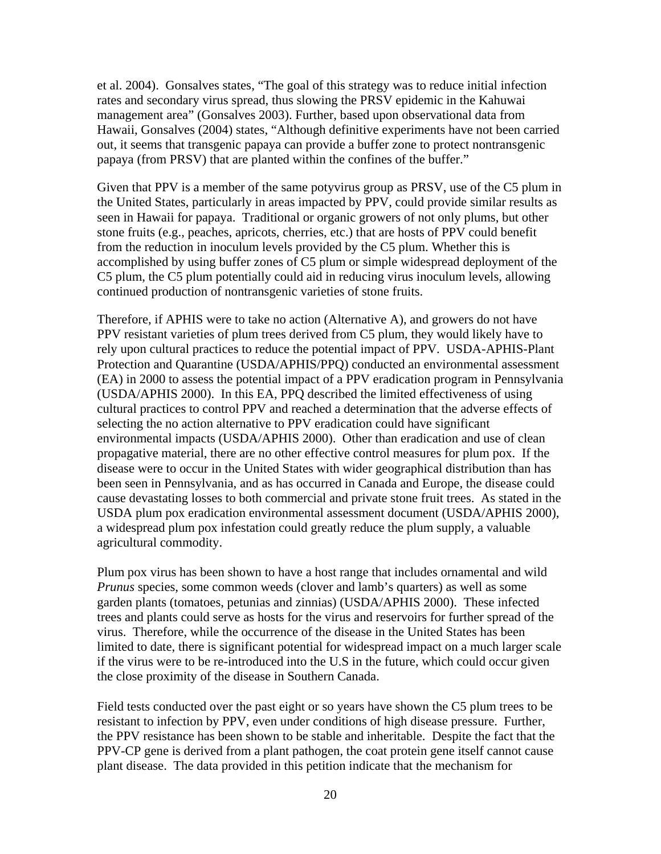et al. 2004). Gonsalves states, "The goal of this strategy was to reduce initial infection rates and secondary virus spread, thus slowing the PRSV epidemic in the Kahuwai management area" (Gonsalves 2003). Further, based upon observational data from Hawaii, Gonsalves (2004) states, "Although definitive experiments have not been carried out, it seems that transgenic papaya can provide a buffer zone to protect nontransgenic papaya (from PRSV) that are planted within the confines of the buffer."

Given that PPV is a member of the same potyvirus group as PRSV, use of the C5 plum in the United States, particularly in areas impacted by PPV, could provide similar results as seen in Hawaii for papaya. Traditional or organic growers of not only plums, but other stone fruits (e.g., peaches, apricots, cherries, etc.) that are hosts of PPV could benefit from the reduction in inoculum levels provided by the C5 plum. Whether this is accomplished by using buffer zones of C5 plum or simple widespread deployment of the C5 plum, the C5 plum potentially could aid in reducing virus inoculum levels, allowing continued production of nontransgenic varieties of stone fruits.

Therefore, if APHIS were to take no action (Alternative A), and growers do not have PPV resistant varieties of plum trees derived from C5 plum, they would likely have to rely upon cultural practices to reduce the potential impact of PPV. USDA-APHIS-Plant Protection and Quarantine (USDA/APHIS/PPQ) conducted an environmental assessment (EA) in 2000 to assess the potential impact of a PPV eradication program in Pennsylvania (USDA/APHIS 2000). In this EA, PPQ described the limited effectiveness of using cultural practices to control PPV and reached a determination that the adverse effects of selecting the no action alternative to PPV eradication could have significant environmental impacts (USDA/APHIS 2000). Other than eradication and use of clean propagative material, there are no other effective control measures for plum pox. If the disease were to occur in the United States with wider geographical distribution than has been seen in Pennsylvania, and as has occurred in Canada and Europe, the disease could cause devastating losses to both commercial and private stone fruit trees. As stated in the USDA plum pox eradication environmental assessment document (USDA/APHIS 2000), a widespread plum pox infestation could greatly reduce the plum supply, a valuable agricultural commodity.

Plum pox virus has been shown to have a host range that includes ornamental and wild *Prunus* species, some common weeds (clover and lamb's quarters) as well as some garden plants (tomatoes, petunias and zinnias) (USDA/APHIS 2000). These infected trees and plants could serve as hosts for the virus and reservoirs for further spread of the virus. Therefore, while the occurrence of the disease in the United States has been limited to date, there is significant potential for widespread impact on a much larger scale if the virus were to be re-introduced into the U.S in the future, which could occur given the close proximity of the disease in Southern Canada.

Field tests conducted over the past eight or so years have shown the C5 plum trees to be resistant to infection by PPV, even under conditions of high disease pressure. Further, the PPV resistance has been shown to be stable and inheritable. Despite the fact that the PPV-CP gene is derived from a plant pathogen, the coat protein gene itself cannot cause plant disease. The data provided in this petition indicate that the mechanism for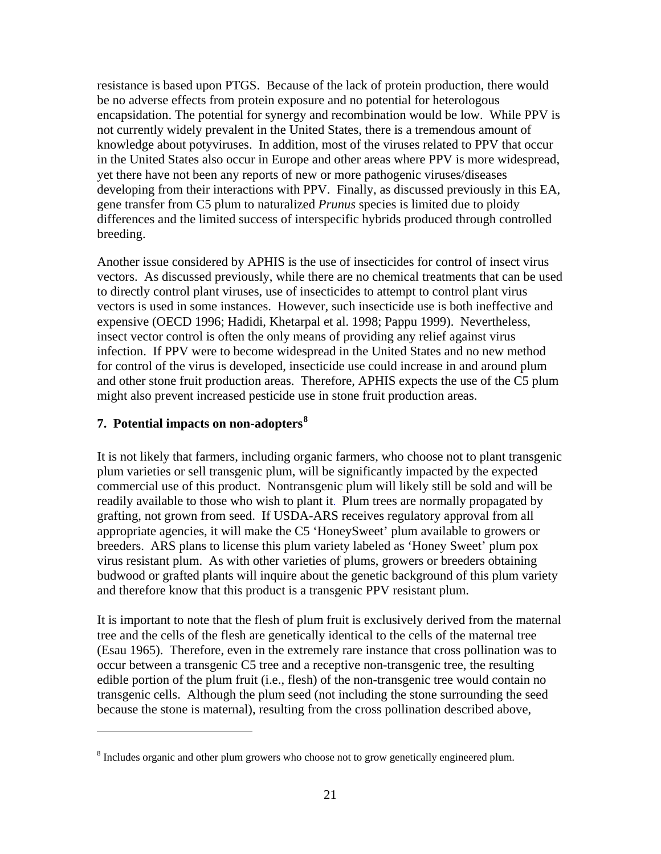resistance is based upon PTGS. Because of the lack of protein production, there would be no adverse effects from protein exposure and no potential for heterologous encapsidation. The potential for synergy and recombination would be low. While PPV is not currently widely prevalent in the United States, there is a tremendous amount of knowledge about potyviruses. In addition, most of the viruses related to PPV that occur in the United States also occur in Europe and other areas where PPV is more widespread, yet there have not been any reports of new or more pathogenic viruses/diseases developing from their interactions with PPV. Finally, as discussed previously in this EA, gene transfer from C5 plum to naturalized *Prunus* species is limited due to ploidy differences and the limited success of interspecific hybrids produced through controlled breeding.

Another issue considered by APHIS is the use of insecticides for control of insect virus vectors. As discussed previously, while there are no chemical treatments that can be used to directly control plant viruses, use of insecticides to attempt to control plant virus vectors is used in some instances. However, such insecticide use is both ineffective and expensive (OECD 1996; Hadidi, Khetarpal et al. 1998; Pappu 1999). Nevertheless, insect vector control is often the only means of providing any relief against virus infection. If PPV were to become widespread in the United States and no new method for control of the virus is developed, insecticide use could increase in and around plum and other stone fruit production areas. Therefore, APHIS expects the use of the C5 plum might also prevent increased pesticide use in stone fruit production areas.

## **7. Potential impacts on non-adopters[8](#page-34-0)**

 $\overline{a}$ 

It is not likely that farmers, including organic farmers, who choose not to plant transgenic plum varieties or sell transgenic plum, will be significantly impacted by the expected commercial use of this product. Nontransgenic plum will likely still be sold and will be readily available to those who wish to plant it. Plum trees are normally propagated by grafting, not grown from seed. If USDA-ARS receives regulatory approval from all appropriate agencies, it will make the C5 'HoneySweet' plum available to growers or breeders. ARS plans to license this plum variety labeled as 'Honey Sweet' plum pox virus resistant plum. As with other varieties of plums, growers or breeders obtaining budwood or grafted plants will inquire about the genetic background of this plum variety and therefore know that this product is a transgenic PPV resistant plum.

It is important to note that the flesh of plum fruit is exclusively derived from the maternal tree and the cells of the flesh are genetically identical to the cells of the maternal tree (Esau 1965). Therefore, even in the extremely rare instance that cross pollination was to occur between a transgenic C5 tree and a receptive non-transgenic tree, the resulting edible portion of the plum fruit (i.e., flesh) of the non-transgenic tree would contain no transgenic cells. Although the plum seed (not including the stone surrounding the seed because the stone is maternal), resulting from the cross pollination described above,

<span id="page-34-0"></span> $8$  Includes organic and other plum growers who choose not to grow genetically engineered plum.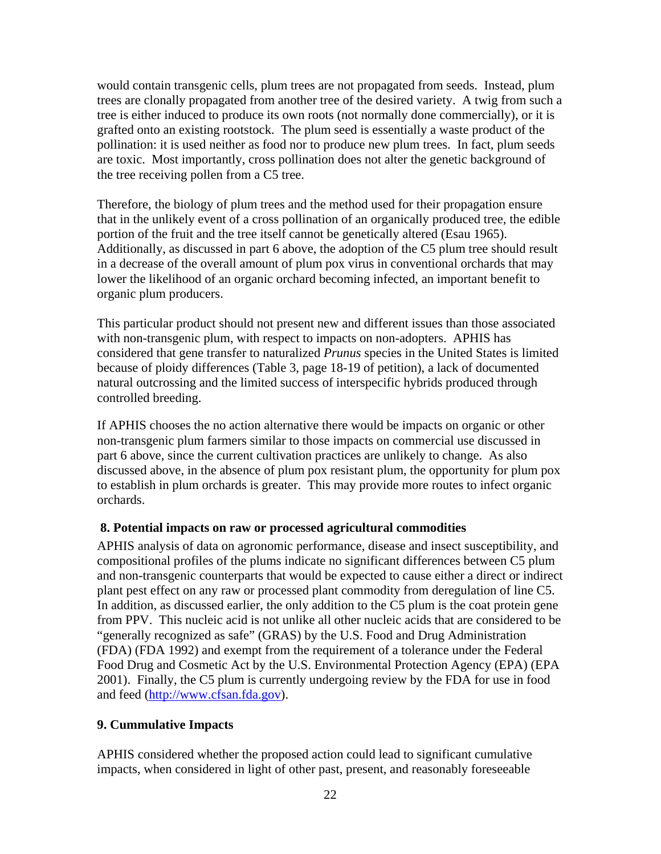would contain transgenic cells, plum trees are not propagated from seeds. Instead, plum trees are clonally propagated from another tree of the desired variety. A twig from such a tree is either induced to produce its own roots (not normally done commercially), or it is grafted onto an existing rootstock. The plum seed is essentially a waste product of the pollination: it is used neither as food nor to produce new plum trees. In fact, plum seeds are toxic. Most importantly, cross pollination does not alter the genetic background of the tree receiving pollen from a C5 tree.

Therefore, the biology of plum trees and the method used for their propagation ensure that in the unlikely event of a cross pollination of an organically produced tree, the edible portion of the fruit and the tree itself cannot be genetically altered (Esau 1965). Additionally, as discussed in part 6 above, the adoption of the C5 plum tree should result in a decrease of the overall amount of plum pox virus in conventional orchards that may lower the likelihood of an organic orchard becoming infected, an important benefit to organic plum producers.

This particular product should not present new and different issues than those associated with non-transgenic plum, with respect to impacts on non-adopters. APHIS has considered that gene transfer to naturalized *Prunus* species in the United States is limited because of ploidy differences (Table 3, page 18-19 of petition), a lack of documented natural outcrossing and the limited success of interspecific hybrids produced through controlled breeding.

If APHIS chooses the no action alternative there would be impacts on organic or other non-transgenic plum farmers similar to those impacts on commercial use discussed in part 6 above, since the current cultivation practices are unlikely to change. As also discussed above, in the absence of plum pox resistant plum, the opportunity for plum pox to establish in plum orchards is greater. This may provide more routes to infect organic orchards.

## **8. Potential impacts on raw or processed agricultural commodities**

APHIS analysis of data on agronomic performance, disease and insect susceptibility, and compositional profiles of the plums indicate no significant differences between C5 plum and non-transgenic counterparts that would be expected to cause either a direct or indirect plant pest effect on any raw or processed plant commodity from deregulation of line C5. In addition, as discussed earlier, the only addition to the C5 plum is the coat protein gene from PPV. This nucleic acid is not unlike all other nucleic acids that are considered to be "generally recognized as safe" (GRAS) by the U.S. Food and Drug Administration (FDA) (FDA 1992) and exempt from the requirement of a tolerance under the Federal Food Drug and Cosmetic Act by the U.S. Environmental Protection Agency (EPA) (EPA 2001). Finally, the C5 plum is currently undergoing review by the FDA for use in food and feed ([http://www.cfsan.fda.gov](http://www.cfsan.fda.gov/%7Elrd/biocon.html)).

## **9. Cummulative Impacts**

APHIS considered whether the proposed action could lead to significant cumulative impacts, when considered in light of other past, present, and reasonably foreseeable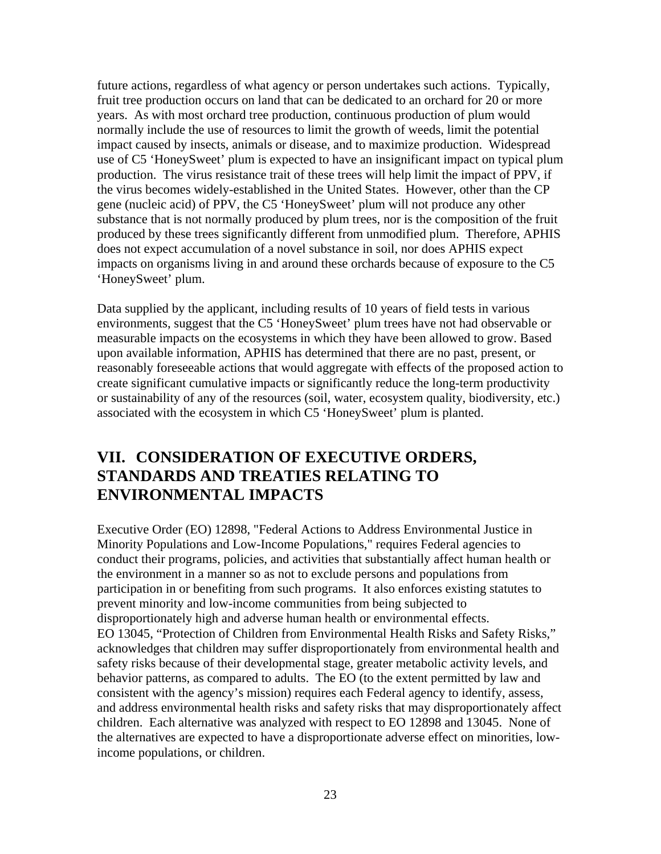<span id="page-36-0"></span>future actions, regardless of what agency or person undertakes such actions. Typically, fruit tree production occurs on land that can be dedicated to an orchard for 20 or more years. As with most orchard tree production, continuous production of plum would normally include the use of resources to limit the growth of weeds, limit the potential impact caused by insects, animals or disease, and to maximize production. Widespread use of C5 'HoneySweet' plum is expected to have an insignificant impact on typical plum production. The virus resistance trait of these trees will help limit the impact of PPV, if the virus becomes widely-established in the United States. However, other than the CP gene (nucleic acid) of PPV, the C5 'HoneySweet' plum will not produce any other substance that is not normally produced by plum trees, nor is the composition of the fruit produced by these trees significantly different from unmodified plum. Therefore, APHIS does not expect accumulation of a novel substance in soil, nor does APHIS expect impacts on organisms living in and around these orchards because of exposure to the C5 'HoneySweet' plum.

Data supplied by the applicant, including results of 10 years of field tests in various environments, suggest that the C5 'HoneySweet' plum trees have not had observable or measurable impacts on the ecosystems in which they have been allowed to grow. Based upon available information, APHIS has determined that there are no past, present, or reasonably foreseeable actions that would aggregate with effects of the proposed action to create significant cumulative impacts or significantly reduce the long-term productivity or sustainability of any of the resources (soil, water, ecosystem quality, biodiversity, etc.) associated with the ecosystem in which C5 'HoneySweet' plum is planted.

# **VII. CONSIDERATION OF EXECUTIVE ORDERS, STANDARDS AND TREATIES RELATING TO ENVIRONMENTAL IMPACTS**

Executive Order (EO) 12898, "Federal Actions to Address Environmental Justice in Minority Populations and Low-Income Populations," requires Federal agencies to conduct their programs, policies, and activities that substantially affect human health or the environment in a manner so as not to exclude persons and populations from participation in or benefiting from such programs. It also enforces existing statutes to prevent minority and low-income communities from being subjected to disproportionately high and adverse human health or environmental effects. EO 13045, "Protection of Children from Environmental Health Risks and Safety Risks," acknowledges that children may suffer disproportionately from environmental health and safety risks because of their developmental stage, greater metabolic activity levels, and behavior patterns, as compared to adults. The EO (to the extent permitted by law and consistent with the agency's mission) requires each Federal agency to identify, assess, and address environmental health risks and safety risks that may disproportionately affect children. Each alternative was analyzed with respect to EO 12898 and 13045. None of the alternatives are expected to have a disproportionate adverse effect on minorities, lowincome populations, or children.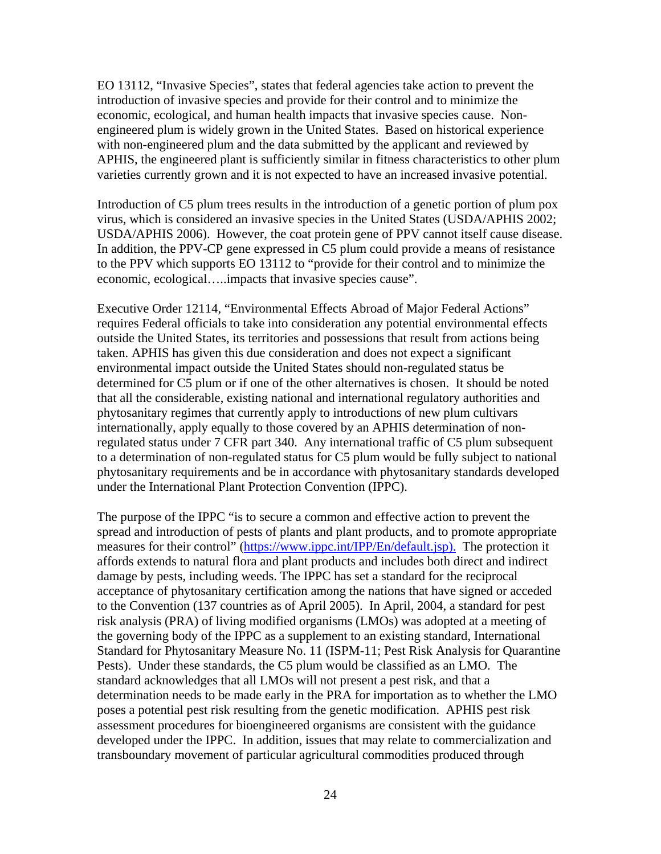EO 13112, "Invasive Species", states that federal agencies take action to prevent the introduction of invasive species and provide for their control and to minimize the economic, ecological, and human health impacts that invasive species cause. Nonengineered plum is widely grown in the United States. Based on historical experience with non-engineered plum and the data submitted by the applicant and reviewed by APHIS, the engineered plant is sufficiently similar in fitness characteristics to other plum varieties currently grown and it is not expected to have an increased invasive potential.

Introduction of C5 plum trees results in the introduction of a genetic portion of plum pox virus, which is considered an invasive species in the United States (USDA/APHIS 2002; USDA/APHIS 2006). However, the coat protein gene of PPV cannot itself cause disease. In addition, the PPV-CP gene expressed in C5 plum could provide a means of resistance to the PPV which supports EO 13112 to "provide for their control and to minimize the economic, ecological…..impacts that invasive species cause".

Executive Order 12114, "Environmental Effects Abroad of Major Federal Actions" requires Federal officials to take into consideration any potential environmental effects outside the United States, its territories and possessions that result from actions being taken. APHIS has given this due consideration and does not expect a significant environmental impact outside the United States should non-regulated status be determined for C5 plum or if one of the other alternatives is chosen. It should be noted that all the considerable, existing national and international regulatory authorities and phytosanitary regimes that currently apply to introductions of new plum cultivars internationally, apply equally to those covered by an APHIS determination of nonregulated status under 7 CFR part 340. Any international traffic of C5 plum subsequent to a determination of non-regulated status for C5 plum would be fully subject to national phytosanitary requirements and be in accordance with phytosanitary standards developed under the International Plant Protection Convention (IPPC).

The purpose of the IPPC "is to secure a common and effective action to prevent the spread and introduction of pests of plants and plant products, and to promote appropriate measures for their control" (https://www.ippc.int/IPP/En/default.jsp). The protection it affords extends to natural flora and plant products and includes both direct and indirect damage by pests, including weeds. The IPPC has set a standard for the reciprocal acceptance of phytosanitary certification among the nations that have signed or acceded to the Convention (137 countries as of April 2005). In April, 2004, a standard for pest risk analysis (PRA) of living modified organisms (LMOs) was adopted at a meeting of the governing body of the IPPC as a supplement to an existing standard, International Standard for Phytosanitary Measure No. 11 (ISPM-11; Pest Risk Analysis for Quarantine Pests). Under these standards, the C5 plum would be classified as an LMO. The standard acknowledges that all LMOs will not present a pest risk, and that a determination needs to be made early in the PRA for importation as to whether the LMO poses a potential pest risk resulting from the genetic modification. APHIS pest risk assessment procedures for bioengineered organisms are consistent with the guidance developed under the IPPC. In addition, issues that may relate to commercialization and transboundary movement of particular agricultural commodities produced through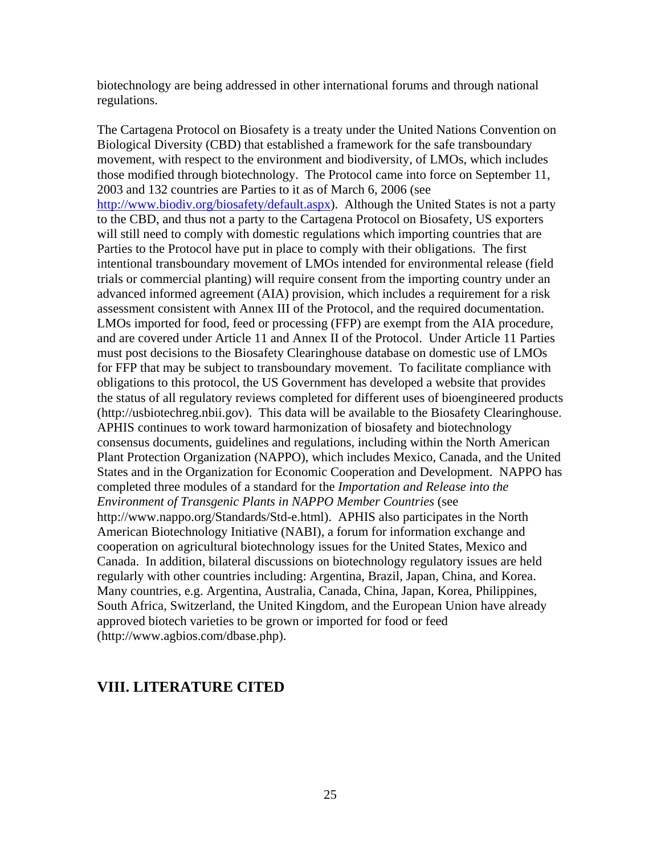<span id="page-38-0"></span>biotechnology are being addressed in other international forums and through national regulations.

The Cartagena Protocol on Biosafety is a treaty under the United Nations Convention on Biological Diversity (CBD) that established a framework for the safe transboundary movement, with respect to the environment and biodiversity, of LMOs, which includes those modified through biotechnology. The Protocol came into force on September 11, 2003 and 132 countries are Parties to it as of March 6, 2006 (see <http://www.biodiv.org/biosafety/default.aspx>). Although the United States is not a party to the CBD, and thus not a party to the Cartagena Protocol on Biosafety, US exporters will still need to comply with domestic regulations which importing countries that are Parties to the Protocol have put in place to comply with their obligations. The first intentional transboundary movement of LMOs intended for environmental release (field trials or commercial planting) will require consent from the importing country under an advanced informed agreement (AIA) provision, which includes a requirement for a risk assessment consistent with Annex III of the Protocol, and the required documentation. LMOs imported for food, feed or processing (FFP) are exempt from the AIA procedure, and are covered under Article 11 and Annex II of the Protocol. Under Article 11 Parties must post decisions to the Biosafety Clearinghouse database on domestic use of LMOs for FFP that may be subject to transboundary movement. To facilitate compliance with obligations to this protocol, the US Government has developed a website that provides the status of all regulatory reviews completed for different uses of bioengineered products (http://usbiotechreg.nbii.gov). This data will be available to the Biosafety Clearinghouse. APHIS continues to work toward harmonization of biosafety and biotechnology consensus documents, guidelines and regulations, including within the North American Plant Protection Organization (NAPPO), which includes Mexico, Canada, and the United States and in the Organization for Economic Cooperation and Development. NAPPO has completed three modules of a standard for the *Importation and Release into the Environment of Transgenic Plants in NAPPO Member Countries* (see http://www.nappo.org/Standards/Std-e.html). APHIS also participates in the North American Biotechnology Initiative (NABI), a forum for information exchange and cooperation on agricultural biotechnology issues for the United States, Mexico and Canada. In addition, bilateral discussions on biotechnology regulatory issues are held regularly with other countries including: Argentina, Brazil, Japan, China, and Korea. Many countries, e.g. Argentina, Australia, Canada, China, Japan, Korea, Philippines, South Africa, Switzerland, the United Kingdom, and the European Union have already approved biotech varieties to be grown or imported for food or feed (http://www.agbios.com/dbase.php).

# **VIII. LITERATURE CITED**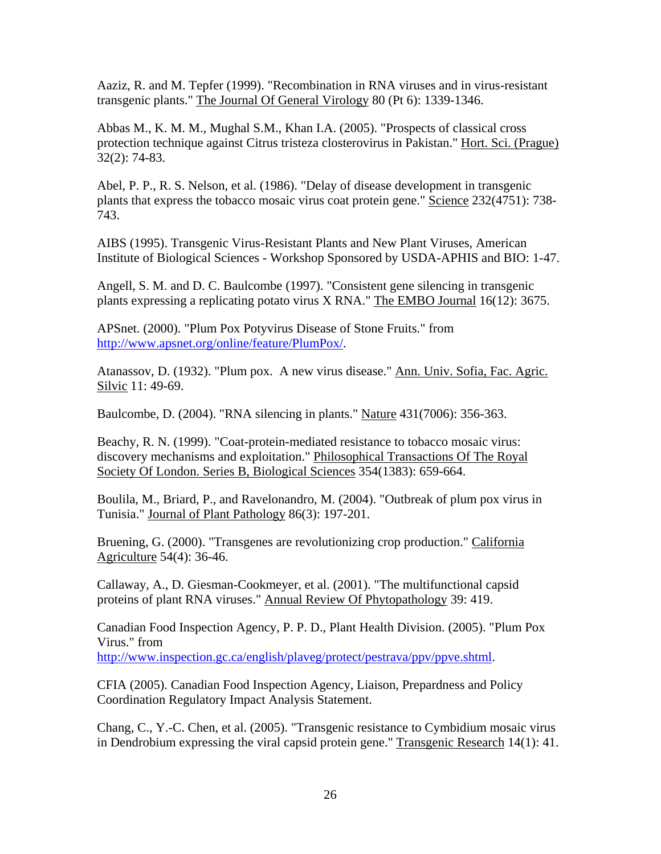Aaziz, R. and M. Tepfer (1999). "Recombination in RNA viruses and in virus-resistant transgenic plants." The Journal Of General Virology 80 (Pt 6): 1339-1346.

Abbas M., K. M. M., Mughal S.M., Khan I.A. (2005). "Prospects of classical cross protection technique against Citrus tristeza closterovirus in Pakistan." Hort. Sci. (Prague) 32(2): 74-83.

Abel, P. P., R. S. Nelson, et al. (1986). "Delay of disease development in transgenic plants that express the tobacco mosaic virus coat protein gene." Science 232(4751): 738- 743.

AIBS (1995). Transgenic Virus-Resistant Plants and New Plant Viruses, American Institute of Biological Sciences - Workshop Sponsored by USDA-APHIS and BIO: 1-47.

Angell, S. M. and D. C. Baulcombe (1997). "Consistent gene silencing in transgenic plants expressing a replicating potato virus X RNA." The EMBO Journal 16(12): 3675.

APSnet. (2000). "Plum Pox Potyvirus Disease of Stone Fruits." from [http://www.apsnet.org/online/feature/PlumPox/.](http://www.apsnet.org/online/feature/PlumPox/)

Atanassov, D. (1932). "Plum pox. A new virus disease." Ann. Univ. Sofia, Fac. Agric. Silvic 11: 49-69.

Baulcombe, D. (2004). "RNA silencing in plants." Nature 431(7006): 356-363.

Beachy, R. N. (1999). "Coat-protein-mediated resistance to tobacco mosaic virus: discovery mechanisms and exploitation." Philosophical Transactions Of The Royal Society Of London. Series B, Biological Sciences 354(1383): 659-664.

Boulila, M., Briard, P., and Ravelonandro, M. (2004). "Outbreak of plum pox virus in Tunisia." Journal of Plant Pathology 86(3): 197-201.

Bruening, G. (2000). "Transgenes are revolutionizing crop production." California Agriculture 54(4): 36-46.

Callaway, A., D. Giesman-Cookmeyer, et al. (2001). "The multifunctional capsid proteins of plant RNA viruses." Annual Review Of Phytopathology 39: 419.

Canadian Food Inspection Agency, P. P. D., Plant Health Division. (2005). "Plum Pox Virus." from

[http://www.inspection.gc.ca/english/plaveg/protect/pestrava/ppv/ppve.shtml.](http://www.inspection.gc.ca/english/plaveg/protect/pestrava/ppv/ppve.shtml)

CFIA (2005). Canadian Food Inspection Agency, Liaison, Prepardness and Policy Coordination Regulatory Impact Analysis Statement.

Chang, C., Y.-C. Chen, et al. (2005). "Transgenic resistance to Cymbidium mosaic virus in Dendrobium expressing the viral capsid protein gene." Transgenic Research 14(1): 41.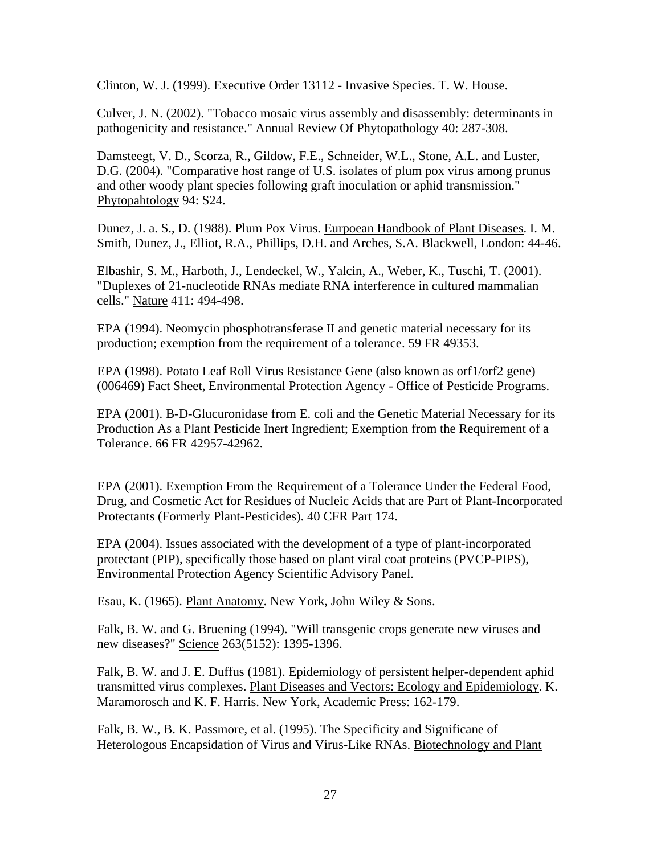Clinton, W. J. (1999). Executive Order 13112 - Invasive Species. T. W. House.

Culver, J. N. (2002). "Tobacco mosaic virus assembly and disassembly: determinants in pathogenicity and resistance." Annual Review Of Phytopathology 40: 287-308.

Damsteegt, V. D., Scorza, R., Gildow, F.E., Schneider, W.L., Stone, A.L. and Luster, D.G. (2004). "Comparative host range of U.S. isolates of plum pox virus among prunus and other woody plant species following graft inoculation or aphid transmission." Phytopahtology 94: S24.

Dunez, J. a. S., D. (1988). Plum Pox Virus. Eurpoean Handbook of Plant Diseases. I. M. Smith, Dunez, J., Elliot, R.A., Phillips, D.H. and Arches, S.A. Blackwell, London: 44-46.

Elbashir, S. M., Harboth, J., Lendeckel, W., Yalcin, A., Weber, K., Tuschi, T. (2001). "Duplexes of 21-nucleotide RNAs mediate RNA interference in cultured mammalian cells." Nature 411: 494-498.

EPA (1994). Neomycin phosphotransferase II and genetic material necessary for its production; exemption from the requirement of a tolerance. 59 FR 49353.

EPA (1998). Potato Leaf Roll Virus Resistance Gene (also known as orf1/orf2 gene) (006469) Fact Sheet, Environmental Protection Agency - Office of Pesticide Programs.

EPA (2001). B-D-Glucuronidase from E. coli and the Genetic Material Necessary for its Production As a Plant Pesticide Inert Ingredient; Exemption from the Requirement of a Tolerance. 66 FR 42957-42962.

EPA (2001). Exemption From the Requirement of a Tolerance Under the Federal Food, Drug, and Cosmetic Act for Residues of Nucleic Acids that are Part of Plant-Incorporated Protectants (Formerly Plant-Pesticides). 40 CFR Part 174.

EPA (2004). Issues associated with the development of a type of plant-incorporated protectant (PIP), specifically those based on plant viral coat proteins (PVCP-PIPS), Environmental Protection Agency Scientific Advisory Panel.

Esau, K. (1965). Plant Anatomy. New York, John Wiley & Sons.

Falk, B. W. and G. Bruening (1994). "Will transgenic crops generate new viruses and new diseases?" Science 263(5152): 1395-1396.

Falk, B. W. and J. E. Duffus (1981). Epidemiology of persistent helper-dependent aphid transmitted virus complexes. Plant Diseases and Vectors: Ecology and Epidemiology. K. Maramorosch and K. F. Harris. New York, Academic Press: 162-179.

Falk, B. W., B. K. Passmore, et al. (1995). The Specificity and Significane of Heterologous Encapsidation of Virus and Virus-Like RNAs. Biotechnology and Plant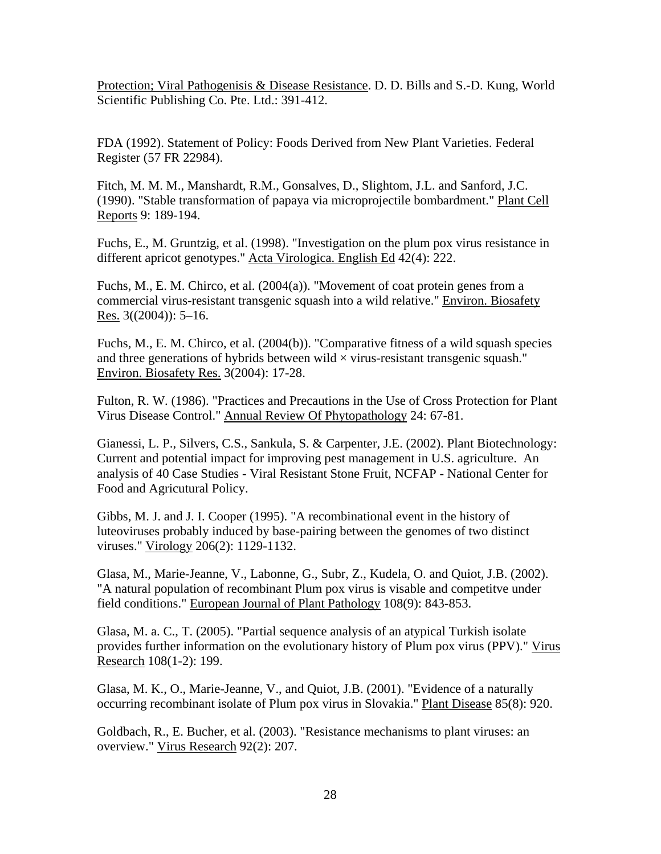Protection; Viral Pathogenisis & Disease Resistance. D. D. Bills and S.-D. Kung, World Scientific Publishing Co. Pte. Ltd.: 391-412.

FDA (1992). Statement of Policy: Foods Derived from New Plant Varieties. Federal Register (57 FR 22984).

Fitch, M. M. M., Manshardt, R.M., Gonsalves, D., Slightom, J.L. and Sanford, J.C. (1990). "Stable transformation of papaya via microprojectile bombardment." Plant Cell Reports 9: 189-194.

Fuchs, E., M. Gruntzig, et al. (1998). "Investigation on the plum pox virus resistance in different apricot genotypes." Acta Virologica. English Ed 42(4): 222.

Fuchs, M., E. M. Chirco, et al. (2004(a)). "Movement of coat protein genes from a commercial virus-resistant transgenic squash into a wild relative." Environ. Biosafety Res. 3((2004)): 5–16.

Fuchs, M., E. M. Chirco, et al. (2004(b)). "Comparative fitness of a wild squash species and three generations of hybrids between wild  $\times$  virus-resistant transgenic squash." Environ. Biosafety Res. 3(2004): 17-28.

Fulton, R. W. (1986). "Practices and Precautions in the Use of Cross Protection for Plant Virus Disease Control." Annual Review Of Phytopathology 24: 67-81.

Gianessi, L. P., Silvers, C.S., Sankula, S. & Carpenter, J.E. (2002). Plant Biotechnology: Current and potential impact for improving pest management in U.S. agriculture. An analysis of 40 Case Studies - Viral Resistant Stone Fruit, NCFAP - National Center for Food and Agricutural Policy.

Gibbs, M. J. and J. I. Cooper (1995). "A recombinational event in the history of luteoviruses probably induced by base-pairing between the genomes of two distinct viruses." Virology 206(2): 1129-1132.

Glasa, M., Marie-Jeanne, V., Labonne, G., Subr, Z., Kudela, O. and Quiot, J.B. (2002). "A natural population of recombinant Plum pox virus is visable and competitve under field conditions." European Journal of Plant Pathology 108(9): 843-853.

Glasa, M. a. C., T. (2005). "Partial sequence analysis of an atypical Turkish isolate provides further information on the evolutionary history of Plum pox virus (PPV)." Virus Research 108(1-2): 199.

Glasa, M. K., O., Marie-Jeanne, V., and Quiot, J.B. (2001). "Evidence of a naturally occurring recombinant isolate of Plum pox virus in Slovakia." Plant Disease 85(8): 920.

Goldbach, R., E. Bucher, et al. (2003). "Resistance mechanisms to plant viruses: an overview." Virus Research 92(2): 207.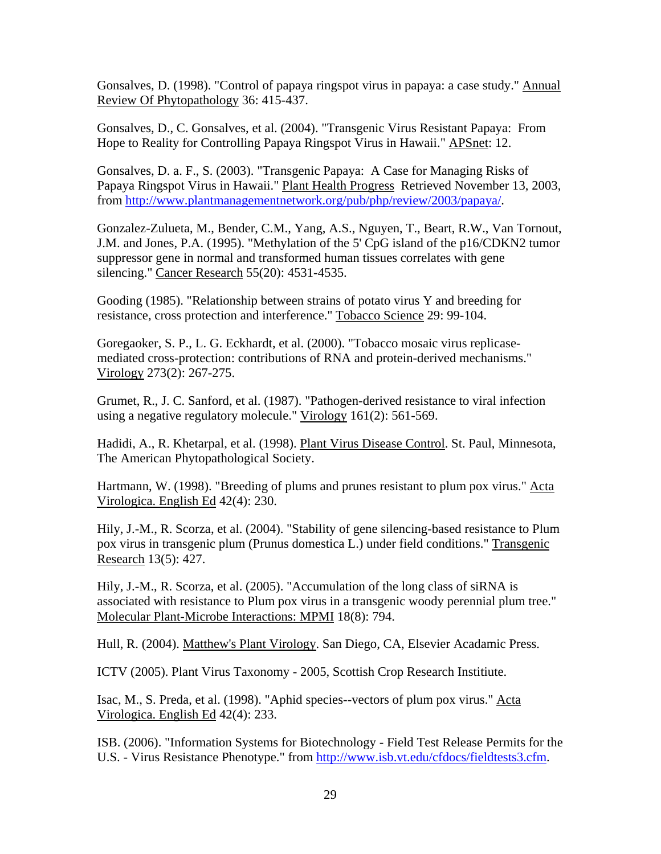Gonsalves, D. (1998). "Control of papaya ringspot virus in papaya: a case study." Annual Review Of Phytopathology 36: 415-437.

Gonsalves, D., C. Gonsalves, et al. (2004). "Transgenic Virus Resistant Papaya: From Hope to Reality for Controlling Papaya Ringspot Virus in Hawaii." APSnet: 12.

Gonsalves, D. a. F., S. (2003). "Transgenic Papaya: A Case for Managing Risks of Papaya Ringspot Virus in Hawaii." Plant Health Progress Retrieved November 13, 2003, from<http://www.plantmanagementnetwork.org/pub/php/review/2003/papaya/>.

Gonzalez-Zulueta, M., Bender, C.M., Yang, A.S., Nguyen, T., Beart, R.W., Van Tornout, J.M. and Jones, P.A. (1995). "Methylation of the 5' CpG island of the p16/CDKN2 tumor suppressor gene in normal and transformed human tissues correlates with gene silencing." Cancer Research 55(20): 4531-4535.

Gooding (1985). "Relationship between strains of potato virus Y and breeding for resistance, cross protection and interference." Tobacco Science 29: 99-104.

Goregaoker, S. P., L. G. Eckhardt, et al. (2000). "Tobacco mosaic virus replicasemediated cross-protection: contributions of RNA and protein-derived mechanisms." Virology 273(2): 267-275.

Grumet, R., J. C. Sanford, et al. (1987). "Pathogen-derived resistance to viral infection using a negative regulatory molecule." Virology 161(2): 561-569.

Hadidi, A., R. Khetarpal, et al. (1998). Plant Virus Disease Control. St. Paul, Minnesota, The American Phytopathological Society.

Hartmann, W. (1998). "Breeding of plums and prunes resistant to plum pox virus." Acta Virologica. English Ed 42(4): 230.

Hily, J.-M., R. Scorza, et al. (2004). "Stability of gene silencing-based resistance to Plum pox virus in transgenic plum (Prunus domestica L.) under field conditions." Transgenic Research 13(5): 427.

Hily, J.-M., R. Scorza, et al. (2005). "Accumulation of the long class of siRNA is associated with resistance to Plum pox virus in a transgenic woody perennial plum tree." Molecular Plant-Microbe Interactions: MPMI 18(8): 794.

Hull, R. (2004). Matthew's Plant Virology. San Diego, CA, Elsevier Acadamic Press.

ICTV (2005). Plant Virus Taxonomy - 2005, Scottish Crop Research Institiute.

Isac, M., S. Preda, et al. (1998). "Aphid species--vectors of plum pox virus." Acta Virologica. English Ed 42(4): 233.

ISB. (2006). "Information Systems for Biotechnology - Field Test Release Permits for the U.S. - Virus Resistance Phenotype." from [http://www.isb.vt.edu/cfdocs/fieldtests3.cfm.](http://www.isb.vt.edu/cfdocs/fieldtests3.cfm)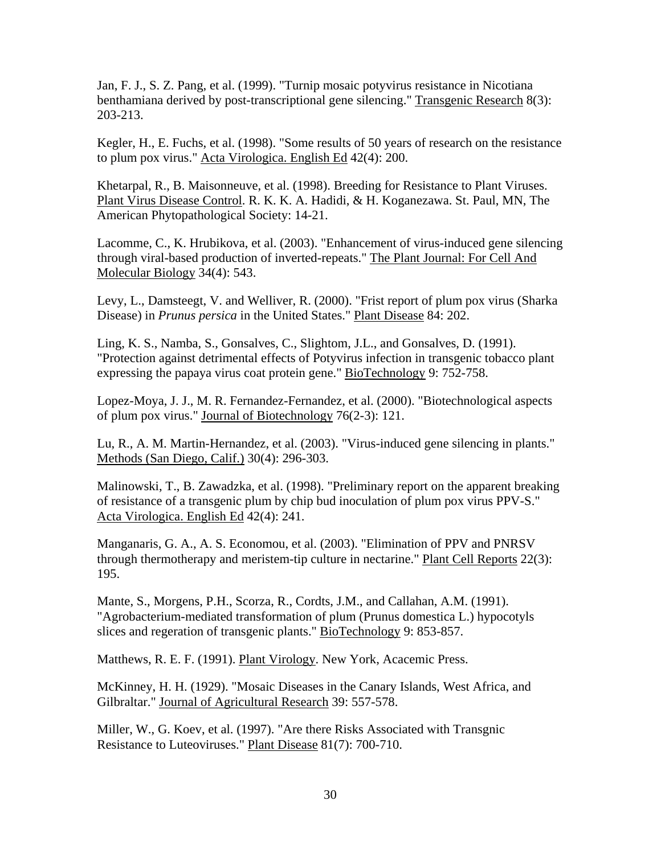Jan, F. J., S. Z. Pang, et al. (1999). "Turnip mosaic potyvirus resistance in Nicotiana benthamiana derived by post-transcriptional gene silencing." Transgenic Research 8(3): 203-213.

Kegler, H., E. Fuchs, et al. (1998). "Some results of 50 years of research on the resistance to plum pox virus." Acta Virologica. English Ed 42(4): 200.

Khetarpal, R., B. Maisonneuve, et al. (1998). Breeding for Resistance to Plant Viruses. Plant Virus Disease Control. R. K. K. A. Hadidi, & H. Koganezawa. St. Paul, MN, The American Phytopathological Society: 14-21.

Lacomme, C., K. Hrubikova, et al. (2003). "Enhancement of virus-induced gene silencing through viral-based production of inverted-repeats." The Plant Journal: For Cell And Molecular Biology 34(4): 543.

Levy, L., Damsteegt, V. and Welliver, R. (2000). "Frist report of plum pox virus (Sharka Disease) in *Prunus persica* in the United States." Plant Disease 84: 202.

Ling, K. S., Namba, S., Gonsalves, C., Slightom, J.L., and Gonsalves, D. (1991). "Protection against detrimental effects of Potyvirus infection in transgenic tobacco plant expressing the papaya virus coat protein gene." BioTechnology 9: 752-758.

Lopez-Moya, J. J., M. R. Fernandez-Fernandez, et al. (2000). "Biotechnological aspects of plum pox virus." Journal of Biotechnology 76(2-3): 121.

Lu, R., A. M. Martin-Hernandez, et al. (2003). "Virus-induced gene silencing in plants." Methods (San Diego, Calif.) 30(4): 296-303.

Malinowski, T., B. Zawadzka, et al. (1998). "Preliminary report on the apparent breaking of resistance of a transgenic plum by chip bud inoculation of plum pox virus PPV-S." Acta Virologica. English Ed 42(4): 241.

Manganaris, G. A., A. S. Economou, et al. (2003). "Elimination of PPV and PNRSV through thermotherapy and meristem-tip culture in nectarine." Plant Cell Reports 22(3): 195.

Mante, S., Morgens, P.H., Scorza, R., Cordts, J.M., and Callahan, A.M. (1991). "Agrobacterium-mediated transformation of plum (Prunus domestica L.) hypocotyls slices and regeration of transgenic plants." BioTechnology 9: 853-857.

Matthews, R. E. F. (1991). Plant Virology. New York, Acacemic Press.

McKinney, H. H. (1929). "Mosaic Diseases in the Canary Islands, West Africa, and Gilbraltar." Journal of Agricultural Research 39: 557-578.

Miller, W., G. Koev, et al. (1997). "Are there Risks Associated with Transgnic Resistance to Luteoviruses." Plant Disease 81(7): 700-710.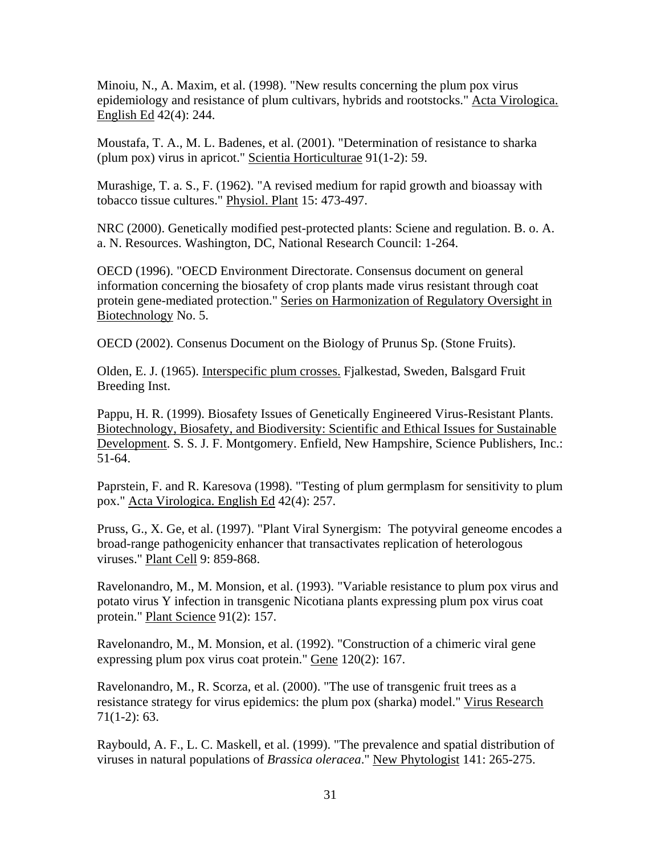Minoiu, N., A. Maxim, et al. (1998). "New results concerning the plum pox virus epidemiology and resistance of plum cultivars, hybrids and rootstocks." Acta Virologica. English Ed 42(4): 244.

Moustafa, T. A., M. L. Badenes, et al. (2001). "Determination of resistance to sharka (plum pox) virus in apricot." Scientia Horticulturae 91(1-2): 59.

Murashige, T. a. S., F. (1962). "A revised medium for rapid growth and bioassay with tobacco tissue cultures." Physiol. Plant 15: 473-497.

NRC (2000). Genetically modified pest-protected plants: Sciene and regulation. B. o. A. a. N. Resources. Washington, DC, National Research Council: 1-264.

OECD (1996). "OECD Environment Directorate. Consensus document on general information concerning the biosafety of crop plants made virus resistant through coat protein gene-mediated protection." Series on Harmonization of Regulatory Oversight in Biotechnology No. 5.

OECD (2002). Consenus Document on the Biology of Prunus Sp. (Stone Fruits).

Olden, E. J. (1965). Interspecific plum crosses. Fjalkestad, Sweden, Balsgard Fruit Breeding Inst.

Pappu, H. R. (1999). Biosafety Issues of Genetically Engineered Virus-Resistant Plants. Biotechnology, Biosafety, and Biodiversity: Scientific and Ethical Issues for Sustainable Development. S. S. J. F. Montgomery. Enfield, New Hampshire, Science Publishers, Inc.: 51-64.

Paprstein, F. and R. Karesova (1998). "Testing of plum germplasm for sensitivity to plum pox." Acta Virologica. English Ed 42(4): 257.

Pruss, G., X. Ge, et al. (1997). "Plant Viral Synergism: The potyviral geneome encodes a broad-range pathogenicity enhancer that transactivates replication of heterologous viruses." Plant Cell 9: 859-868.

Ravelonandro, M., M. Monsion, et al. (1993). "Variable resistance to plum pox virus and potato virus Y infection in transgenic Nicotiana plants expressing plum pox virus coat protein." Plant Science 91(2): 157.

Ravelonandro, M., M. Monsion, et al. (1992). "Construction of a chimeric viral gene expressing plum pox virus coat protein." Gene 120(2): 167.

Ravelonandro, M., R. Scorza, et al. (2000). "The use of transgenic fruit trees as a resistance strategy for virus epidemics: the plum pox (sharka) model." Virus Research 71(1-2): 63.

Raybould, A. F., L. C. Maskell, et al. (1999). "The prevalence and spatial distribution of viruses in natural populations of *Brassica oleracea*." New Phytologist 141: 265-275.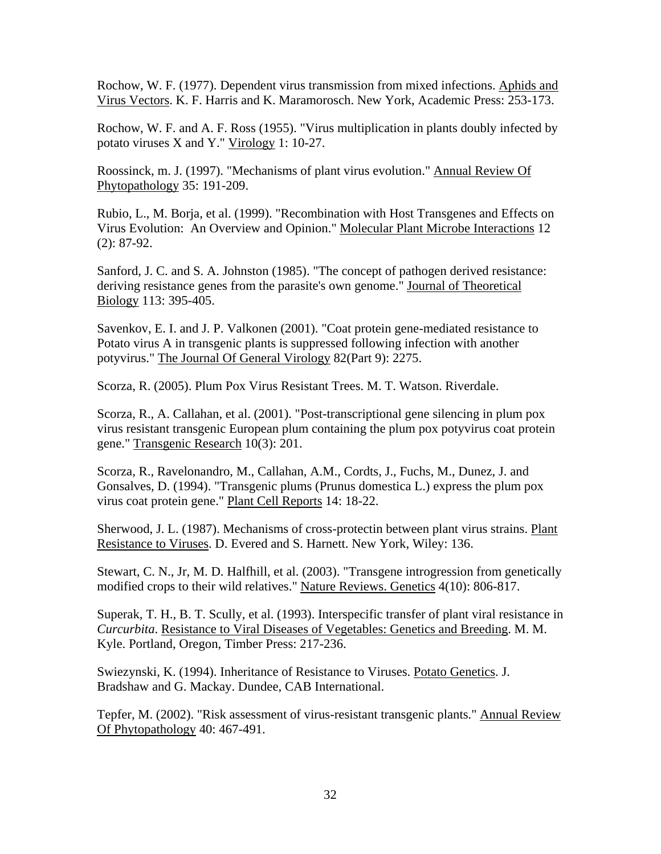Rochow, W. F. (1977). Dependent virus transmission from mixed infections. Aphids and Virus Vectors. K. F. Harris and K. Maramorosch. New York, Academic Press: 253-173.

Rochow, W. F. and A. F. Ross (1955). "Virus multiplication in plants doubly infected by potato viruses X and Y." Virology 1: 10-27.

Roossinck, m. J. (1997). "Mechanisms of plant virus evolution." Annual Review Of Phytopathology 35: 191-209.

Rubio, L., M. Borja, et al. (1999). "Recombination with Host Transgenes and Effects on Virus Evolution: An Overview and Opinion." Molecular Plant Microbe Interactions 12 (2): 87-92.

Sanford, J. C. and S. A. Johnston (1985). "The concept of pathogen derived resistance: deriving resistance genes from the parasite's own genome." Journal of Theoretical Biology 113: 395-405.

Savenkov, E. I. and J. P. Valkonen (2001). "Coat protein gene-mediated resistance to Potato virus A in transgenic plants is suppressed following infection with another potyvirus." The Journal Of General Virology 82(Part 9): 2275.

Scorza, R. (2005). Plum Pox Virus Resistant Trees. M. T. Watson. Riverdale.

Scorza, R., A. Callahan, et al. (2001). "Post-transcriptional gene silencing in plum pox virus resistant transgenic European plum containing the plum pox potyvirus coat protein gene." Transgenic Research 10(3): 201.

Scorza, R., Ravelonandro, M., Callahan, A.M., Cordts, J., Fuchs, M., Dunez, J. and Gonsalves, D. (1994). "Transgenic plums (Prunus domestica L.) express the plum pox virus coat protein gene." Plant Cell Reports 14: 18-22.

Sherwood, J. L. (1987). Mechanisms of cross-protectin between plant virus strains. Plant Resistance to Viruses. D. Evered and S. Harnett. New York, Wiley: 136.

Stewart, C. N., Jr, M. D. Halfhill, et al. (2003). "Transgene introgression from genetically modified crops to their wild relatives." Nature Reviews. Genetics 4(10): 806-817.

Superak, T. H., B. T. Scully, et al. (1993). Interspecific transfer of plant viral resistance in *Curcurbita*. Resistance to Viral Diseases of Vegetables: Genetics and Breeding. M. M. Kyle. Portland, Oregon, Timber Press: 217-236.

Swiezynski, K. (1994). Inheritance of Resistance to Viruses. Potato Genetics. J. Bradshaw and G. Mackay. Dundee, CAB International.

Tepfer, M. (2002). "Risk assessment of virus-resistant transgenic plants." Annual Review Of Phytopathology 40: 467-491.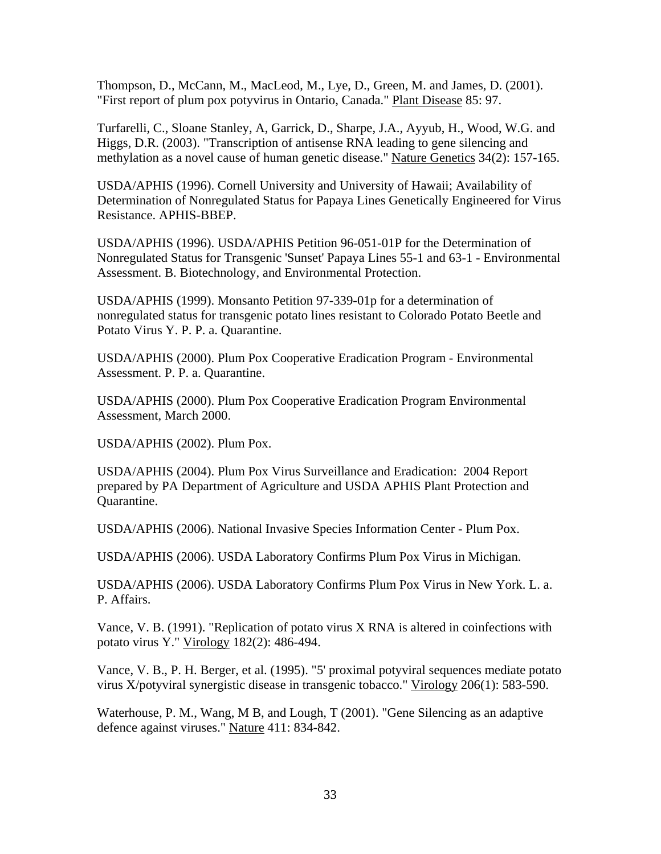Thompson, D., McCann, M., MacLeod, M., Lye, D., Green, M. and James, D. (2001). "First report of plum pox potyvirus in Ontario, Canada." Plant Disease 85: 97.

Turfarelli, C., Sloane Stanley, A, Garrick, D., Sharpe, J.A., Ayyub, H., Wood, W.G. and Higgs, D.R. (2003). "Transcription of antisense RNA leading to gene silencing and methylation as a novel cause of human genetic disease." Nature Genetics 34(2): 157-165.

USDA/APHIS (1996). Cornell University and University of Hawaii; Availability of Determination of Nonregulated Status for Papaya Lines Genetically Engineered for Virus Resistance. APHIS-BBEP.

USDA/APHIS (1996). USDA/APHIS Petition 96-051-01P for the Determination of Nonregulated Status for Transgenic 'Sunset' Papaya Lines 55-1 and 63-1 - Environmental Assessment. B. Biotechnology, and Environmental Protection.

USDA/APHIS (1999). Monsanto Petition 97-339-01p for a determination of nonregulated status for transgenic potato lines resistant to Colorado Potato Beetle and Potato Virus Y. P. P. a. Quarantine.

USDA/APHIS (2000). Plum Pox Cooperative Eradication Program - Environmental Assessment. P. P. a. Quarantine.

USDA/APHIS (2000). Plum Pox Cooperative Eradication Program Environmental Assessment, March 2000.

USDA/APHIS (2002). Plum Pox.

USDA/APHIS (2004). Plum Pox Virus Surveillance and Eradication: 2004 Report prepared by PA Department of Agriculture and USDA APHIS Plant Protection and Quarantine.

USDA/APHIS (2006). National Invasive Species Information Center - Plum Pox.

USDA/APHIS (2006). USDA Laboratory Confirms Plum Pox Virus in Michigan.

USDA/APHIS (2006). USDA Laboratory Confirms Plum Pox Virus in New York. L. a. P. Affairs.

Vance, V. B. (1991). "Replication of potato virus X RNA is altered in coinfections with potato virus Y." Virology 182(2): 486-494.

Vance, V. B., P. H. Berger, et al. (1995). "5' proximal potyviral sequences mediate potato virus X/potyviral synergistic disease in transgenic tobacco." Virology 206(1): 583-590.

Waterhouse, P. M., Wang, M B, and Lough, T (2001). "Gene Silencing as an adaptive defence against viruses." Nature 411: 834-842.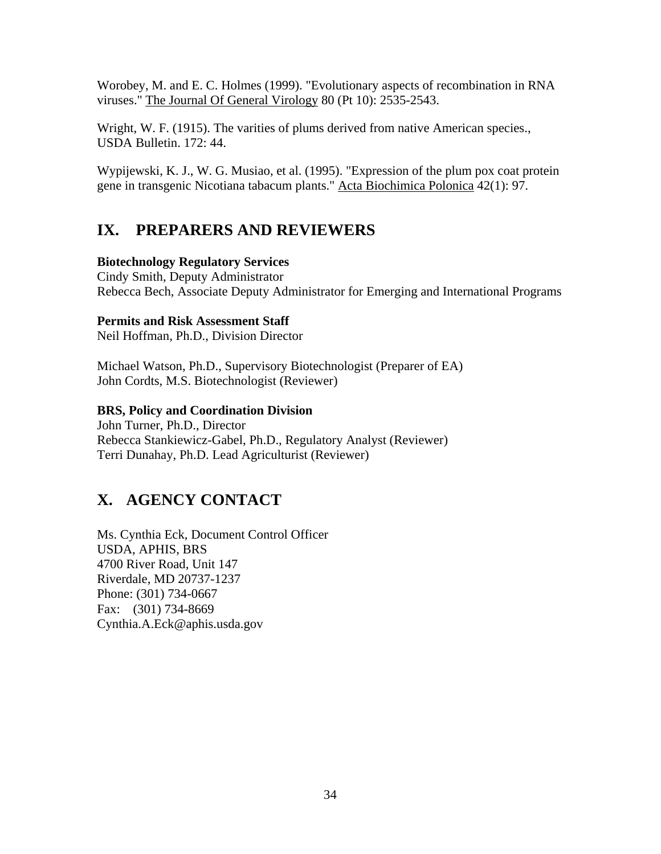<span id="page-47-0"></span>Worobey, M. and E. C. Holmes (1999). "Evolutionary aspects of recombination in RNA viruses." The Journal Of General Virology 80 (Pt 10): 2535-2543.

Wright, W. F. (1915). The varities of plums derived from native American species., USDA Bulletin. 172: 44.

Wypijewski, K. J., W. G. Musiao, et al. (1995). "Expression of the plum pox coat protein gene in transgenic Nicotiana tabacum plants." Acta Biochimica Polonica 42(1): 97.

# **IX. PREPARERS AND REVIEWERS**

## **Biotechnology Regulatory Services**

Cindy Smith, Deputy Administrator Rebecca Bech, Associate Deputy Administrator for Emerging and International Programs

## **Permits and Risk Assessment Staff**

Neil Hoffman, Ph.D., Division Director

Michael Watson, Ph.D., Supervisory Biotechnologist (Preparer of EA) John Cordts, M.S. Biotechnologist (Reviewer)

# **BRS, Policy and Coordination Division**

John Turner, Ph.D., Director Rebecca Stankiewicz-Gabel, Ph.D., Regulatory Analyst (Reviewer) Terri Dunahay, Ph.D. Lead Agriculturist (Reviewer)

# **X. AGENCY CONTACT**

Ms. Cynthia Eck, Document Control Officer USDA, APHIS, BRS 4700 River Road, Unit 147 Riverdale, MD 20737-1237 Phone: (301) 734-0667 Fax: (301) 734-8669 Cynthia.A.Eck@aphis.usda.gov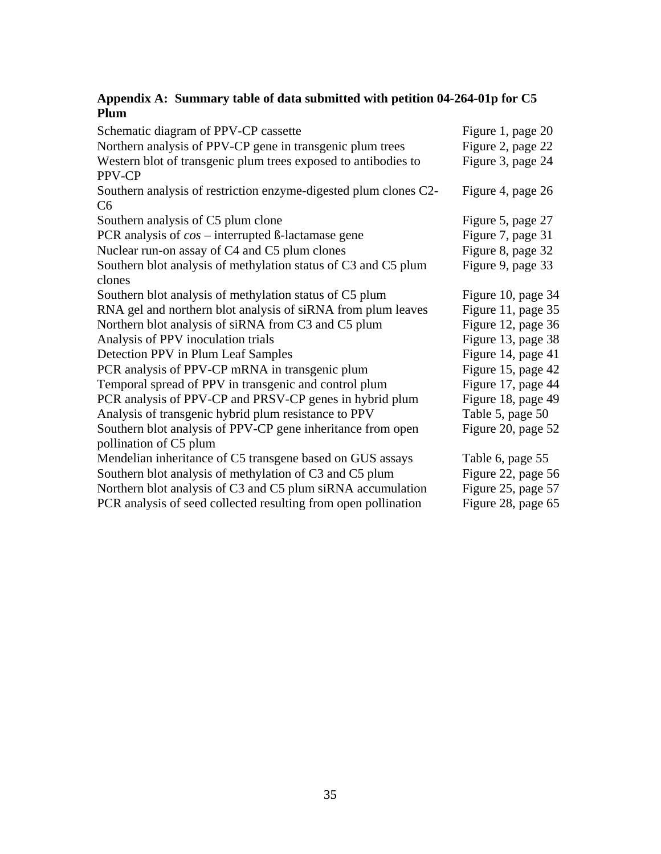### <span id="page-48-0"></span>**Appendix A: Summary table of data submitted with petition 04-264-01p for C5 Plum**

| Schematic diagram of PPV-CP cassette                                               | Figure 1, page 20  |
|------------------------------------------------------------------------------------|--------------------|
| Northern analysis of PPV-CP gene in transgenic plum trees                          | Figure 2, page 22  |
| Western blot of transgenic plum trees exposed to antibodies to<br>PPV-CP           | Figure 3, page 24  |
| Southern analysis of restriction enzyme-digested plum clones C2-<br>C <sub>6</sub> | Figure 4, page 26  |
| Southern analysis of C5 plum clone                                                 | Figure 5, page 27  |
| PCR analysis of $cos$ – interrupted $\beta$ -lactamase gene                        | Figure 7, page 31  |
| Nuclear run-on assay of C4 and C5 plum clones                                      | Figure 8, page 32  |
| Southern blot analysis of methylation status of C3 and C5 plum<br>clones           | Figure 9, page 33  |
| Southern blot analysis of methylation status of C5 plum                            | Figure 10, page 34 |
| RNA gel and northern blot analysis of siRNA from plum leaves                       | Figure 11, page 35 |
| Northern blot analysis of siRNA from C3 and C5 plum                                | Figure 12, page 36 |
| Analysis of PPV inoculation trials                                                 | Figure 13, page 38 |
| Detection PPV in Plum Leaf Samples                                                 | Figure 14, page 41 |
| PCR analysis of PPV-CP mRNA in transgenic plum                                     | Figure 15, page 42 |
| Temporal spread of PPV in transgenic and control plum                              | Figure 17, page 44 |
| PCR analysis of PPV-CP and PRSV-CP genes in hybrid plum                            | Figure 18, page 49 |
| Analysis of transgenic hybrid plum resistance to PPV                               | Table 5, page 50   |
| Southern blot analysis of PPV-CP gene inheritance from open                        | Figure 20, page 52 |
| pollination of C5 plum                                                             |                    |
| Mendelian inheritance of C5 transgene based on GUS assays                          | Table 6, page 55   |
| Southern blot analysis of methylation of C3 and C5 plum                            | Figure 22, page 56 |
| Northern blot analysis of C3 and C5 plum siRNA accumulation                        | Figure 25, page 57 |
| PCR analysis of seed collected resulting from open pollination                     | Figure 28, page 65 |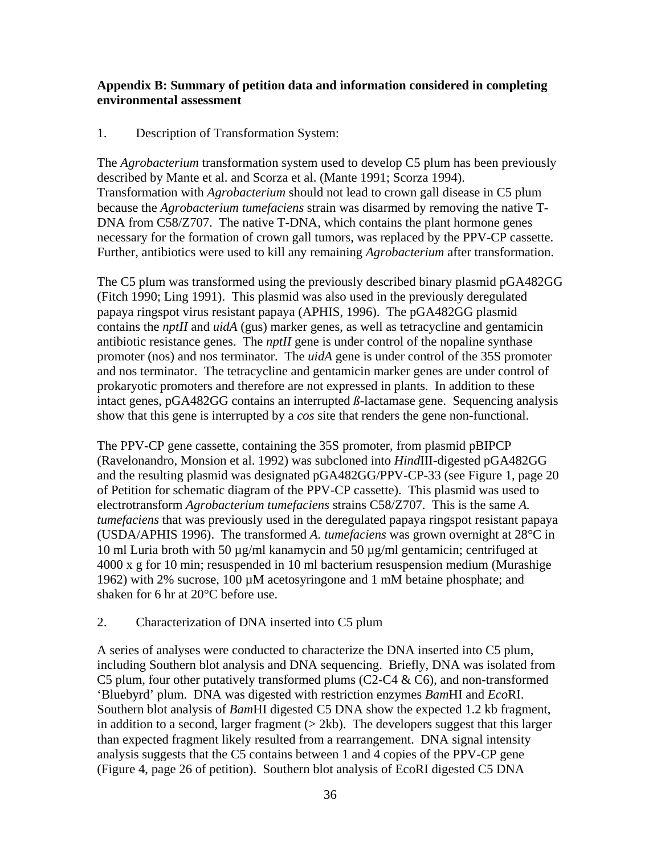### <span id="page-49-0"></span>**Appendix B: Summary of petition data and information considered in completing environmental assessment**

### 1. Description of Transformation System:

The *Agrobacterium* transformation system used to develop C5 plum has been previously described by Mante et al. and Scorza et al. (Mante 1991; Scorza 1994). Transformation with *Agrobacterium* should not lead to crown gall disease in C5 plum because the *Agrobacterium tumefaciens* strain was disarmed by removing the native T-DNA from C58/Z707. The native T-DNA, which contains the plant hormone genes necessary for the formation of crown gall tumors, was replaced by the PPV-CP cassette. Further, antibiotics were used to kill any remaining *Agrobacterium* after transformation.

The C5 plum was transformed using the previously described binary plasmid pGA482GG (Fitch 1990; Ling 1991). This plasmid was also used in the previously deregulated papaya ringspot virus resistant papaya (APHIS, 1996). The pGA482GG plasmid contains the *nptII* and *uidA* (gus) marker genes, as well as tetracycline and gentamicin antibiotic resistance genes. The *nptII* gene is under control of the nopaline synthase promoter (nos) and nos terminator. The *uidA* gene is under control of the 35S promoter and nos terminator. The tetracycline and gentamicin marker genes are under control of prokaryotic promoters and therefore are not expressed in plants. In addition to these intact genes, pGA482GG contains an interrupted *ß-*lactamase gene. Sequencing analysis show that this gene is interrupted by a *cos* site that renders the gene non-functional.

The PPV-CP gene cassette, containing the 35S promoter, from plasmid pBIPCP (Ravelonandro, Monsion et al. 1992) was subcloned into *Hind*III-digested pGA482GG and the resulting plasmid was designated pGA482GG/PPV-CP-33 (see Figure 1, page 20 of Petition for schematic diagram of the PPV-CP cassette). This plasmid was used to electrotransform *Agrobacterium tumefaciens* strains C58/Z707. This is the same *A. tumefaciens* that was previously used in the deregulated papaya ringspot resistant papaya (USDA/APHIS 1996). The transformed *A. tumefaciens* was grown overnight at 28°C in 10 ml Luria broth with 50 µg/ml kanamycin and 50 µg/ml gentamicin; centrifuged at 4000 x g for 10 min; resuspended in 10 ml bacterium resuspension medium (Murashige 1962) with 2% sucrose, 100 µM acetosyringone and 1 mM betaine phosphate; and shaken for 6 hr at 20°C before use.

## 2. Characterization of DNA inserted into C5 plum

A series of analyses were conducted to characterize the DNA inserted into C5 plum, including Southern blot analysis and DNA sequencing. Briefly, DNA was isolated from C5 plum, four other putatively transformed plums (C2-C4  $&$  C6), and non-transformed 'Bluebyrd' plum. DNA was digested with restriction enzymes *Bam*HI and *Eco*RI. Southern blot analysis of *Bam*HI digested C5 DNA show the expected 1.2 kb fragment, in addition to a second, larger fragment  $(2kb)$ . The developers suggest that this larger than expected fragment likely resulted from a rearrangement. DNA signal intensity analysis suggests that the C5 contains between 1 and 4 copies of the PPV-CP gene (Figure 4, page 26 of petition). Southern blot analysis of EcoRI digested C5 DNA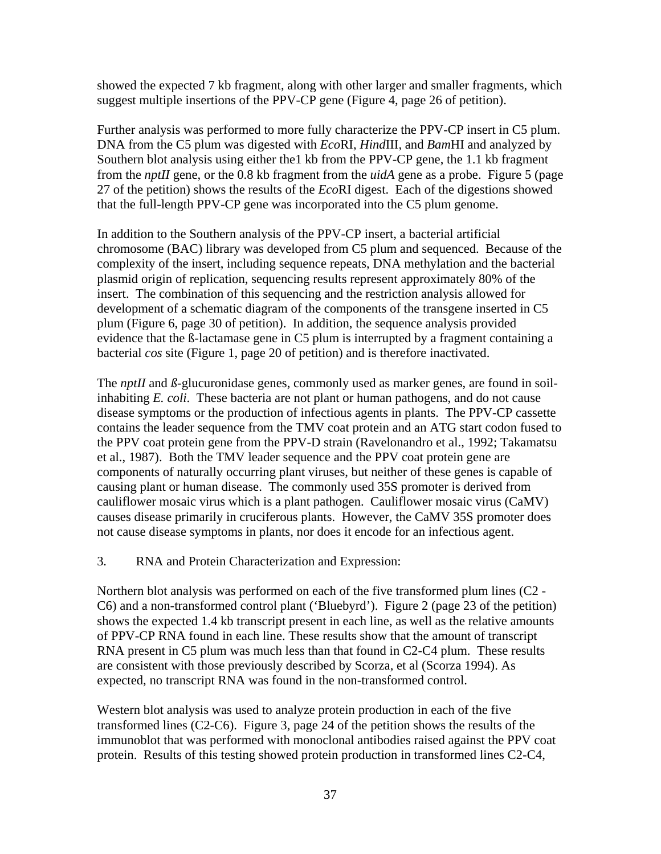showed the expected 7 kb fragment, along with other larger and smaller fragments, which suggest multiple insertions of the PPV-CP gene (Figure 4, page 26 of petition).

Further analysis was performed to more fully characterize the PPV-CP insert in C5 plum. DNA from the C5 plum was digested with *Eco*RI, *Hind*III, and *Bam*HI and analyzed by Southern blot analysis using either the1 kb from the PPV-CP gene, the 1.1 kb fragment from the *nptII* gene, or the 0.8 kb fragment from the *uidA* gene as a probe. Figure 5 (page 27 of the petition) shows the results of the *Eco*RI digest. Each of the digestions showed that the full-length PPV-CP gene was incorporated into the C5 plum genome.

In addition to the Southern analysis of the PPV-CP insert, a bacterial artificial chromosome (BAC) library was developed from C5 plum and sequenced. Because of the complexity of the insert, including sequence repeats, DNA methylation and the bacterial plasmid origin of replication, sequencing results represent approximately 80% of the insert. The combination of this sequencing and the restriction analysis allowed for development of a schematic diagram of the components of the transgene inserted in C5 plum (Figure 6, page 30 of petition). In addition, the sequence analysis provided evidence that the ß-lactamase gene in C5 plum is interrupted by a fragment containing a bacterial *cos* site (Figure 1, page 20 of petition) and is therefore inactivated.

The *nptII* and  $\beta$ -glucuronidase genes, commonly used as marker genes, are found in soilinhabiting *E. coli*. These bacteria are not plant or human pathogens, and do not cause disease symptoms or the production of infectious agents in plants. The PPV-CP cassette contains the leader sequence from the TMV coat protein and an ATG start codon fused to the PPV coat protein gene from the PPV-D strain (Ravelonandro et al., 1992; Takamatsu et al., 1987). Both the TMV leader sequence and the PPV coat protein gene are components of naturally occurring plant viruses, but neither of these genes is capable of causing plant or human disease. The commonly used 35S promoter is derived from cauliflower mosaic virus which is a plant pathogen. Cauliflower mosaic virus (CaMV) causes disease primarily in cruciferous plants. However, the CaMV 35S promoter does not cause disease symptoms in plants, nor does it encode for an infectious agent.

#### 3*.* RNA and Protein Characterization and Expression:

Northern blot analysis was performed on each of the five transformed plum lines (C2 - C6) and a non-transformed control plant ('Bluebyrd'). Figure 2 (page 23 of the petition) shows the expected 1.4 kb transcript present in each line, as well as the relative amounts of PPV-CP RNA found in each line. These results show that the amount of transcript RNA present in C5 plum was much less than that found in C2-C4 plum. These results are consistent with those previously described by Scorza, et al (Scorza 1994). As expected, no transcript RNA was found in the non-transformed control.

Western blot analysis was used to analyze protein production in each of the five transformed lines (C2-C6). Figure 3, page 24 of the petition shows the results of the immunoblot that was performed with monoclonal antibodies raised against the PPV coat protein. Results of this testing showed protein production in transformed lines C2-C4,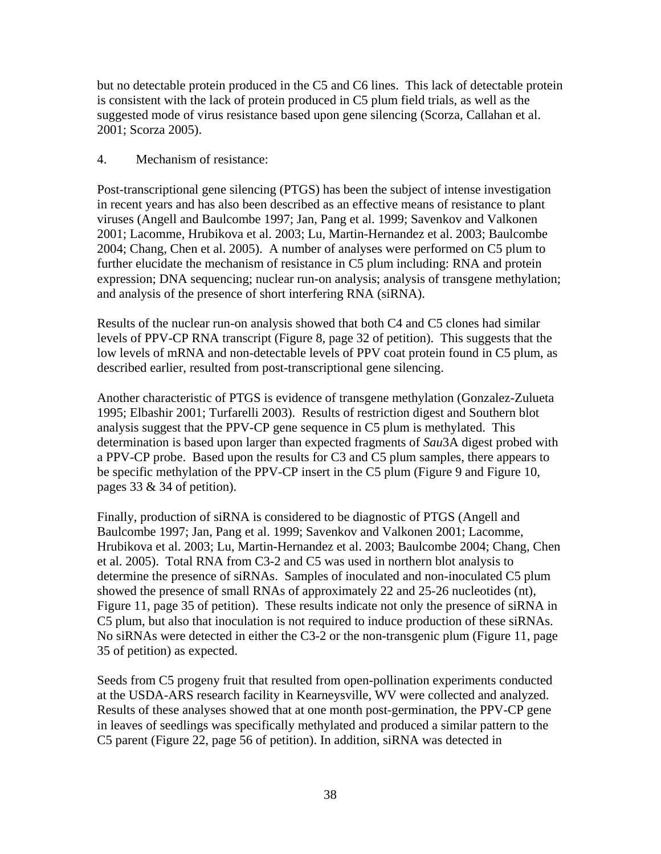but no detectable protein produced in the C5 and C6 lines. This lack of detectable protein is consistent with the lack of protein produced in C5 plum field trials, as well as the suggested mode of virus resistance based upon gene silencing (Scorza, Callahan et al. 2001; Scorza 2005).

### 4. Mechanism of resistance:

Post-transcriptional gene silencing (PTGS) has been the subject of intense investigation in recent years and has also been described as an effective means of resistance to plant viruses (Angell and Baulcombe 1997; Jan, Pang et al. 1999; Savenkov and Valkonen 2001; Lacomme, Hrubikova et al. 2003; Lu, Martin-Hernandez et al. 2003; Baulcombe 2004; Chang, Chen et al. 2005). A number of analyses were performed on C5 plum to further elucidate the mechanism of resistance in C5 plum including: RNA and protein expression; DNA sequencing; nuclear run-on analysis; analysis of transgene methylation; and analysis of the presence of short interfering RNA (siRNA).

Results of the nuclear run-on analysis showed that both C4 and C5 clones had similar levels of PPV-CP RNA transcript (Figure 8, page 32 of petition). This suggests that the low levels of mRNA and non-detectable levels of PPV coat protein found in C5 plum, as described earlier, resulted from post-transcriptional gene silencing.

Another characteristic of PTGS is evidence of transgene methylation (Gonzalez-Zulueta 1995; Elbashir 2001; Turfarelli 2003). Results of restriction digest and Southern blot analysis suggest that the PPV-CP gene sequence in C5 plum is methylated. This determination is based upon larger than expected fragments of *Sau*3A digest probed with a PPV-CP probe. Based upon the results for C3 and C5 plum samples, there appears to be specific methylation of the PPV-CP insert in the C5 plum (Figure 9 and Figure 10, pages 33 & 34 of petition).

Finally, production of siRNA is considered to be diagnostic of PTGS (Angell and Baulcombe 1997; Jan, Pang et al. 1999; Savenkov and Valkonen 2001; Lacomme, Hrubikova et al. 2003; Lu, Martin-Hernandez et al. 2003; Baulcombe 2004; Chang, Chen et al. 2005). Total RNA from C3-2 and C5 was used in northern blot analysis to determine the presence of siRNAs. Samples of inoculated and non-inoculated C5 plum showed the presence of small RNAs of approximately 22 and 25-26 nucleotides (nt), Figure 11, page 35 of petition). These results indicate not only the presence of siRNA in C5 plum, but also that inoculation is not required to induce production of these siRNAs. No siRNAs were detected in either the C3-2 or the non-transgenic plum (Figure 11, page 35 of petition) as expected.

Seeds from C5 progeny fruit that resulted from open-pollination experiments conducted at the USDA-ARS research facility in Kearneysville, WV were collected and analyzed. Results of these analyses showed that at one month post-germination, the PPV-CP gene in leaves of seedlings was specifically methylated and produced a similar pattern to the C5 parent (Figure 22, page 56 of petition). In addition, siRNA was detected in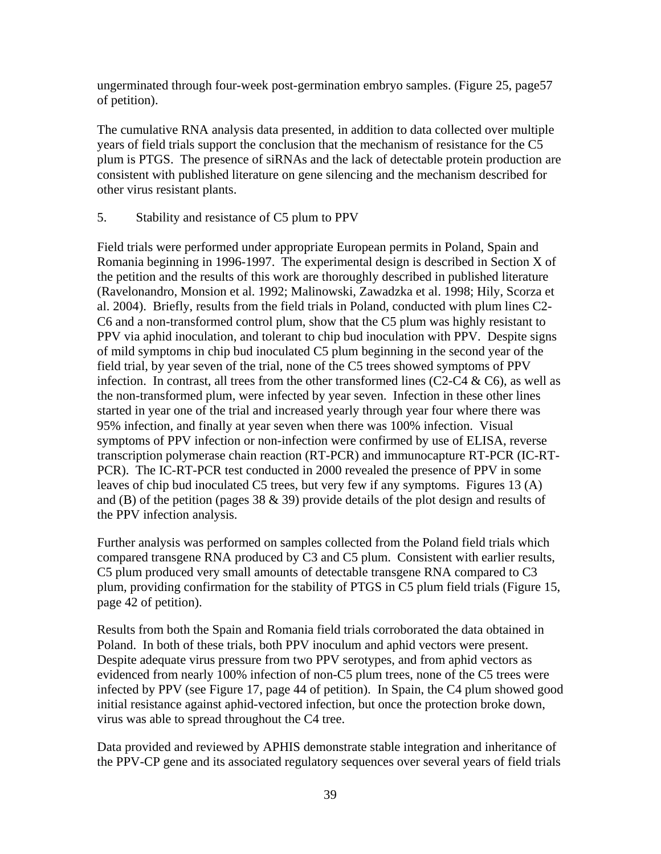ungerminated through four-week post-germination embryo samples. (Figure 25, page57 of petition).

The cumulative RNA analysis data presented, in addition to data collected over multiple years of field trials support the conclusion that the mechanism of resistance for the C5 plum is PTGS. The presence of siRNAs and the lack of detectable protein production are consistent with published literature on gene silencing and the mechanism described for other virus resistant plants.

### 5. Stability and resistance of C5 plum to PPV

Field trials were performed under appropriate European permits in Poland, Spain and Romania beginning in 1996-1997. The experimental design is described in Section X of the petition and the results of this work are thoroughly described in published literature (Ravelonandro, Monsion et al. 1992; Malinowski, Zawadzka et al. 1998; Hily, Scorza et al. 2004). Briefly, results from the field trials in Poland, conducted with plum lines C2- C6 and a non-transformed control plum, show that the C5 plum was highly resistant to PPV via aphid inoculation, and tolerant to chip bud inoculation with PPV. Despite signs of mild symptoms in chip bud inoculated C5 plum beginning in the second year of the field trial, by year seven of the trial, none of the C5 trees showed symptoms of PPV infection. In contrast, all trees from the other transformed lines (C2-C4  $\&$  C6), as well as the non-transformed plum, were infected by year seven. Infection in these other lines started in year one of the trial and increased yearly through year four where there was 95% infection, and finally at year seven when there was 100% infection. Visual symptoms of PPV infection or non-infection were confirmed by use of ELISA, reverse transcription polymerase chain reaction (RT-PCR) and immunocapture RT-PCR (IC-RT-PCR). The IC-RT-PCR test conducted in 2000 revealed the presence of PPV in some leaves of chip bud inoculated C5 trees, but very few if any symptoms. Figures 13 (A) and (B) of the petition (pages 38  $\&$  39) provide details of the plot design and results of the PPV infection analysis.

Further analysis was performed on samples collected from the Poland field trials which compared transgene RNA produced by C3 and C5 plum. Consistent with earlier results, C5 plum produced very small amounts of detectable transgene RNA compared to C3 plum, providing confirmation for the stability of PTGS in C5 plum field trials (Figure 15, page 42 of petition).

Results from both the Spain and Romania field trials corroborated the data obtained in Poland. In both of these trials, both PPV inoculum and aphid vectors were present. Despite adequate virus pressure from two PPV serotypes, and from aphid vectors as evidenced from nearly 100% infection of non-C5 plum trees, none of the C5 trees were infected by PPV (see Figure 17, page 44 of petition). In Spain, the C4 plum showed good initial resistance against aphid-vectored infection, but once the protection broke down, virus was able to spread throughout the C4 tree.

Data provided and reviewed by APHIS demonstrate stable integration and inheritance of the PPV-CP gene and its associated regulatory sequences over several years of field trials